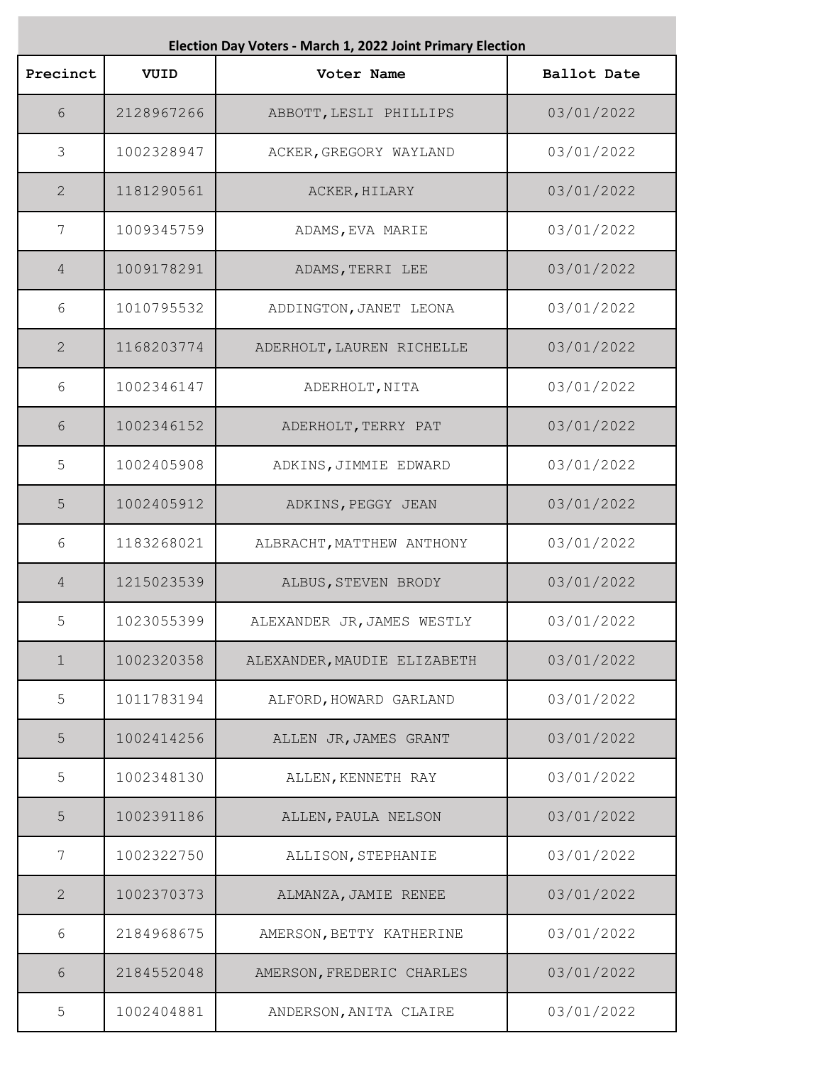| Election Day Voters - March 1, 2022 Joint Primary Election |            |                             |                    |
|------------------------------------------------------------|------------|-----------------------------|--------------------|
| Precinct                                                   | VUID       | Voter Name                  | <b>Ballot Date</b> |
| 6                                                          | 2128967266 | ABBOTT, LESLI PHILLIPS      | 03/01/2022         |
| 3                                                          | 1002328947 | ACKER, GREGORY WAYLAND      | 03/01/2022         |
| $\overline{2}$                                             | 1181290561 | ACKER, HILARY               | 03/01/2022         |
| $7\phantom{.0}$                                            | 1009345759 | ADAMS, EVA MARIE            | 03/01/2022         |
| 4                                                          | 1009178291 | ADAMS, TERRI LEE            | 03/01/2022         |
| 6                                                          | 1010795532 | ADDINGTON, JANET LEONA      | 03/01/2022         |
| $\mathbf{2}$                                               | 1168203774 | ADERHOLT, LAUREN RICHELLE   | 03/01/2022         |
| 6                                                          | 1002346147 | ADERHOLT, NITA              | 03/01/2022         |
| 6                                                          | 1002346152 | ADERHOLT, TERRY PAT         | 03/01/2022         |
| 5                                                          | 1002405908 | ADKINS, JIMMIE EDWARD       | 03/01/2022         |
| 5                                                          | 1002405912 | ADKINS, PEGGY JEAN          | 03/01/2022         |
| 6                                                          | 1183268021 | ALBRACHT, MATTHEW ANTHONY   | 03/01/2022         |
| 4                                                          | 1215023539 | ALBUS, STEVEN BRODY         | 03/01/2022         |
| 5                                                          | 1023055399 | ALEXANDER JR, JAMES WESTLY  | 03/01/2022         |
| $\mathbf 1$                                                | 1002320358 | ALEXANDER, MAUDIE ELIZABETH | 03/01/2022         |
| 5                                                          | 1011783194 | ALFORD, HOWARD GARLAND      | 03/01/2022         |
| 5                                                          | 1002414256 | ALLEN JR, JAMES GRANT       | 03/01/2022         |
| 5                                                          | 1002348130 | ALLEN, KENNETH RAY          | 03/01/2022         |
| 5                                                          | 1002391186 | ALLEN, PAULA NELSON         | 03/01/2022         |
| 7                                                          | 1002322750 | ALLISON, STEPHANIE          | 03/01/2022         |
| $\overline{2}$                                             | 1002370373 | ALMANZA, JAMIE RENEE        | 03/01/2022         |
| 6                                                          | 2184968675 | AMERSON, BETTY KATHERINE    | 03/01/2022         |
| 6                                                          | 2184552048 | AMERSON, FREDERIC CHARLES   | 03/01/2022         |
| 5                                                          | 1002404881 | ANDERSON, ANITA CLAIRE      | 03/01/2022         |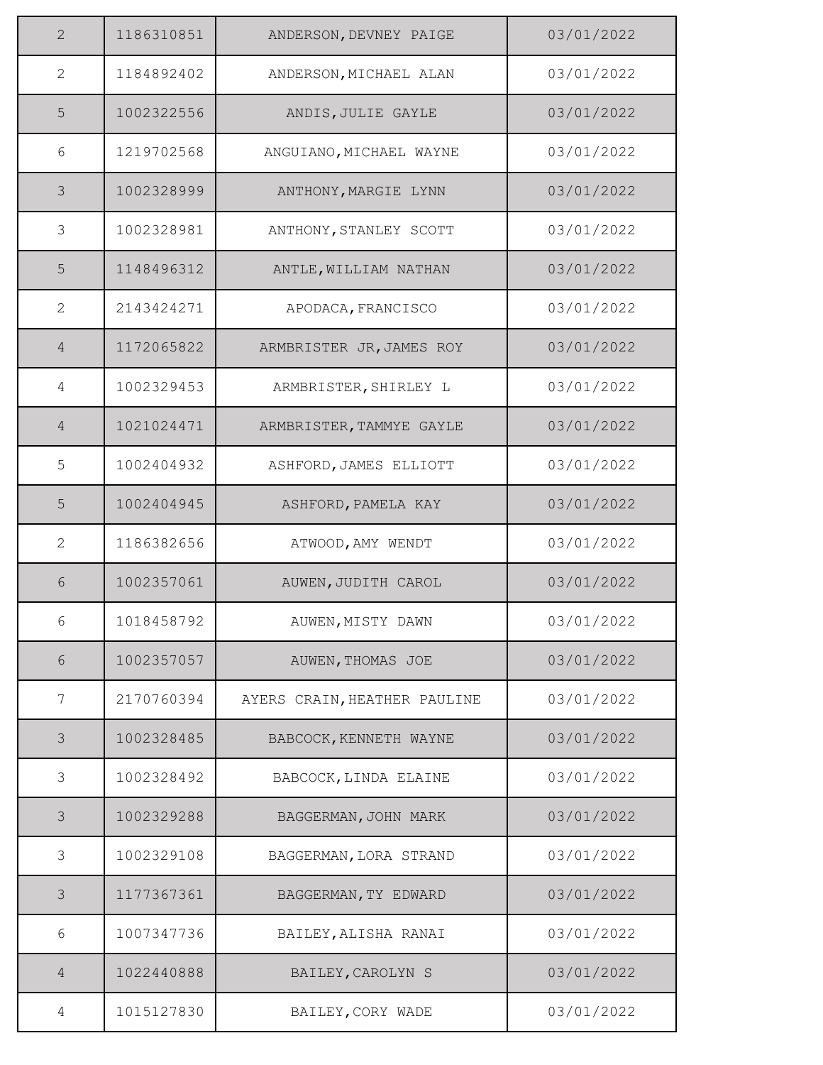| $\overline{2}$ | 1186310851 | ANDERSON, DEVNEY PAIGE       | 03/01/2022 |
|----------------|------------|------------------------------|------------|
| $\overline{2}$ | 1184892402 | ANDERSON, MICHAEL ALAN       | 03/01/2022 |
| 5              | 1002322556 | ANDIS, JULIE GAYLE           | 03/01/2022 |
| 6              | 1219702568 | ANGUIANO, MICHAEL WAYNE      | 03/01/2022 |
| 3              | 1002328999 | ANTHONY, MARGIE LYNN         | 03/01/2022 |
| $\mathfrak{Z}$ | 1002328981 | ANTHONY, STANLEY SCOTT       | 03/01/2022 |
| 5              | 1148496312 | ANTLE, WILLIAM NATHAN        | 03/01/2022 |
| 2              | 2143424271 | APODACA, FRANCISCO           | 03/01/2022 |
| $\overline{4}$ | 1172065822 | ARMBRISTER JR, JAMES ROY     | 03/01/2022 |
| 4              | 1002329453 | ARMBRISTER, SHIRLEY L        | 03/01/2022 |
| $\overline{4}$ | 1021024471 | ARMBRISTER, TAMMYE GAYLE     | 03/01/2022 |
| 5              | 1002404932 | ASHFORD, JAMES ELLIOTT       | 03/01/2022 |
| 5              | 1002404945 | ASHFORD, PAMELA KAY          | 03/01/2022 |
| $\overline{2}$ | 1186382656 | ATWOOD, AMY WENDT            | 03/01/2022 |
| 6              | 1002357061 | AUWEN, JUDITH CAROL          | 03/01/2022 |
| 6              | 1018458792 | AUWEN, MISTY DAWN            | 03/01/2022 |
| 6              | 1002357057 | AUWEN, THOMAS JOE            | 03/01/2022 |
| 7              | 2170760394 | AYERS CRAIN, HEATHER PAULINE | 03/01/2022 |
| 3              | 1002328485 | BABCOCK, KENNETH WAYNE       | 03/01/2022 |
| 3              | 1002328492 | BABCOCK, LINDA ELAINE        | 03/01/2022 |
| 3              | 1002329288 | BAGGERMAN, JOHN MARK         | 03/01/2022 |
| 3              | 1002329108 | BAGGERMAN, LORA STRAND       | 03/01/2022 |
| 3              | 1177367361 | BAGGERMAN, TY EDWARD         | 03/01/2022 |
| 6              | 1007347736 | BAILEY, ALISHA RANAI         | 03/01/2022 |
| $\overline{4}$ | 1022440888 | BAILEY, CAROLYN S            | 03/01/2022 |
| 4              | 1015127830 | BAILEY, CORY WADE            | 03/01/2022 |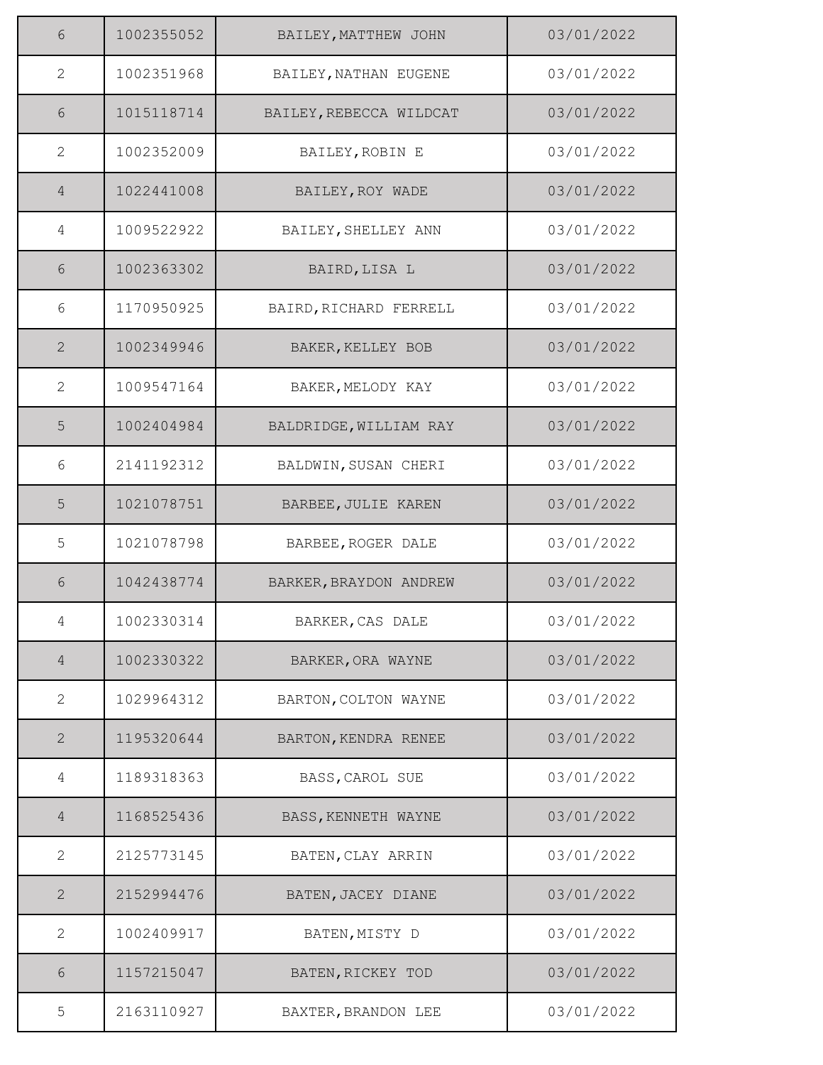| 6              | 1002355052 | BAILEY, MATTHEW JOHN    | 03/01/2022 |
|----------------|------------|-------------------------|------------|
| $\mathbf{2}$   | 1002351968 | BAILEY, NATHAN EUGENE   | 03/01/2022 |
| 6              | 1015118714 | BAILEY, REBECCA WILDCAT | 03/01/2022 |
| $\mathbf{2}$   | 1002352009 | BAILEY, ROBIN E         | 03/01/2022 |
| $\overline{4}$ | 1022441008 | BAILEY, ROY WADE        | 03/01/2022 |
| 4              | 1009522922 | BAILEY, SHELLEY ANN     | 03/01/2022 |
| 6              | 1002363302 | BAIRD, LISA L           | 03/01/2022 |
| 6              | 1170950925 | BAIRD, RICHARD FERRELL  | 03/01/2022 |
| $\overline{2}$ | 1002349946 | BAKER, KELLEY BOB       | 03/01/2022 |
| 2              | 1009547164 | BAKER, MELODY KAY       | 03/01/2022 |
| 5              | 1002404984 | BALDRIDGE, WILLIAM RAY  | 03/01/2022 |
| 6              | 2141192312 | BALDWIN, SUSAN CHERI    | 03/01/2022 |
| 5              | 1021078751 | BARBEE, JULIE KAREN     | 03/01/2022 |
| 5              | 1021078798 | BARBEE, ROGER DALE      | 03/01/2022 |
| 6              | 1042438774 | BARKER, BRAYDON ANDREW  | 03/01/2022 |
| 4              | 1002330314 | BARKER, CAS DALE        | 03/01/2022 |
| 4              | 1002330322 | BARKER, ORA WAYNE       | 03/01/2022 |
| 2              | 1029964312 | BARTON, COLTON WAYNE    | 03/01/2022 |
| $\mathbf{2}$   | 1195320644 | BARTON, KENDRA RENEE    | 03/01/2022 |
| 4              | 1189318363 | BASS, CAROL SUE         | 03/01/2022 |
| $\overline{4}$ | 1168525436 | BASS, KENNETH WAYNE     | 03/01/2022 |
| $\mathbf{2}$   | 2125773145 | BATEN, CLAY ARRIN       | 03/01/2022 |
| 2              | 2152994476 | BATEN, JACEY DIANE      | 03/01/2022 |
| $\mathbf{2}$   | 1002409917 | BATEN, MISTY D          | 03/01/2022 |
| 6              | 1157215047 | BATEN, RICKEY TOD       | 03/01/2022 |
| 5              | 2163110927 | BAXTER, BRANDON LEE     | 03/01/2022 |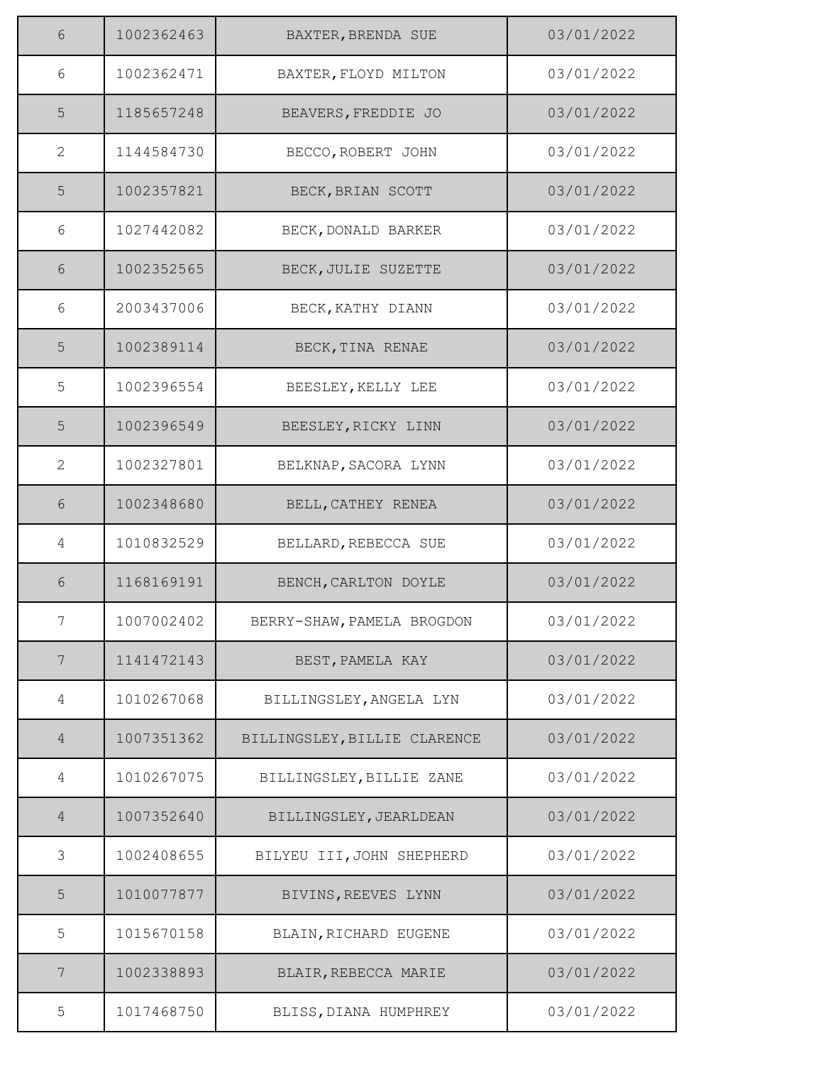| 6              | 1002362463 | BAXTER, BRENDA SUE           | 03/01/2022 |
|----------------|------------|------------------------------|------------|
| 6              | 1002362471 | BAXTER, FLOYD MILTON         | 03/01/2022 |
| 5              | 1185657248 | BEAVERS, FREDDIE JO          | 03/01/2022 |
| $\mathbf{2}$   | 1144584730 | BECCO, ROBERT JOHN           | 03/01/2022 |
| 5              | 1002357821 | BECK, BRIAN SCOTT            | 03/01/2022 |
| 6              | 1027442082 | BECK, DONALD BARKER          | 03/01/2022 |
| 6              | 1002352565 | BECK, JULIE SUZETTE          | 03/01/2022 |
| 6              | 2003437006 | BECK, KATHY DIANN            | 03/01/2022 |
| 5              | 1002389114 | BECK, TINA RENAE             | 03/01/2022 |
| 5              | 1002396554 | BEESLEY, KELLY LEE           | 03/01/2022 |
| 5              | 1002396549 | BEESLEY, RICKY LINN          | 03/01/2022 |
| $\mathbf{2}$   | 1002327801 | BELKNAP, SACORA LYNN         | 03/01/2022 |
| 6              | 1002348680 | BELL, CATHEY RENEA           | 03/01/2022 |
| 4              | 1010832529 | BELLARD, REBECCA SUE         | 03/01/2022 |
| 6              | 1168169191 | BENCH, CARLTON DOYLE         | 03/01/2022 |
| 7              | 1007002402 | BERRY-SHAW, PAMELA BROGDON   | 03/01/2022 |
| 7              | 1141472143 | BEST, PAMELA KAY             | 03/01/2022 |
| 4              | 1010267068 | BILLINGSLEY, ANGELA LYN      | 03/01/2022 |
| $\overline{4}$ | 1007351362 | BILLINGSLEY, BILLIE CLARENCE | 03/01/2022 |
| 4              | 1010267075 | BILLINGSLEY, BILLIE ZANE     | 03/01/2022 |
| 4              | 1007352640 | BILLINGSLEY, JEARLDEAN       | 03/01/2022 |
| 3              | 1002408655 | BILYEU III, JOHN SHEPHERD    | 03/01/2022 |
| 5              | 1010077877 | BIVINS, REEVES LYNN          | 03/01/2022 |
| 5              | 1015670158 | BLAIN, RICHARD EUGENE        | 03/01/2022 |
| 7              | 1002338893 | BLAIR, REBECCA MARIE         | 03/01/2022 |
| 5              | 1017468750 | BLISS, DIANA HUMPHREY        | 03/01/2022 |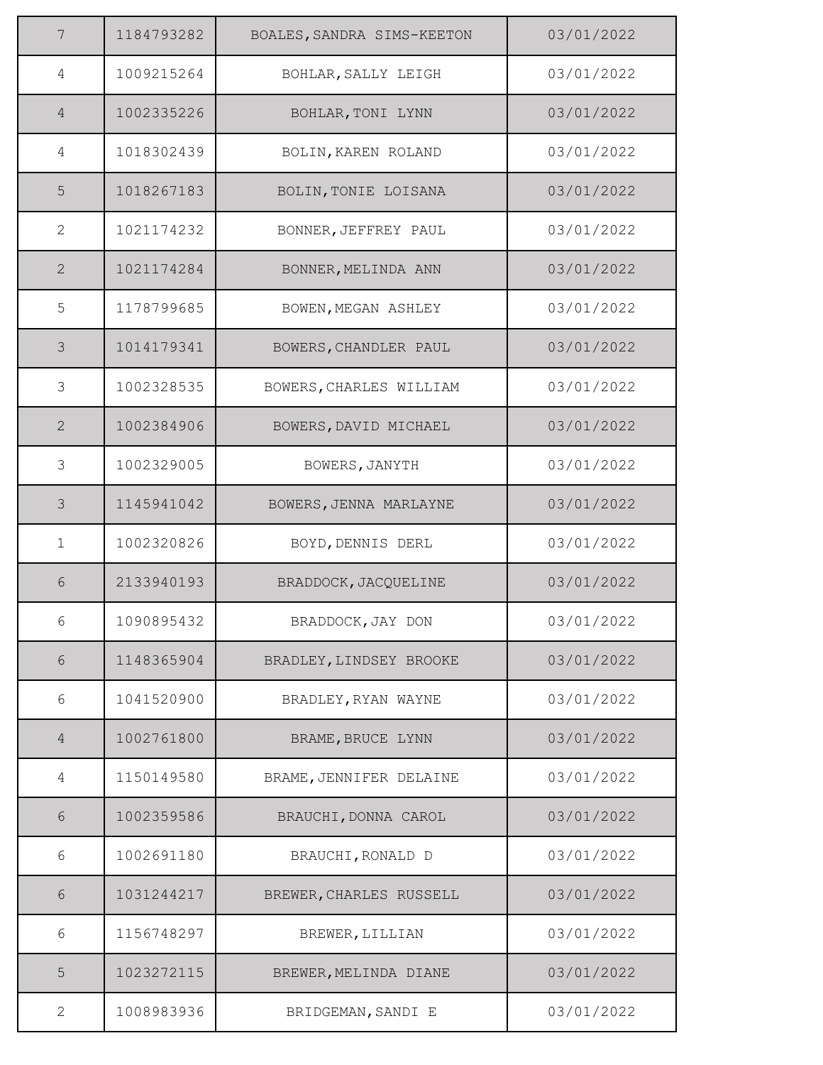| 7              | 1184793282 | BOALES, SANDRA SIMS-KEETON | 03/01/2022 |
|----------------|------------|----------------------------|------------|
| 4              | 1009215264 | BOHLAR, SALLY LEIGH        | 03/01/2022 |
| $\overline{4}$ | 1002335226 | BOHLAR, TONI LYNN          | 03/01/2022 |
| 4              | 1018302439 | BOLIN, KAREN ROLAND        | 03/01/2022 |
| 5              | 1018267183 | BOLIN, TONIE LOISANA       | 03/01/2022 |
| $\mathbf{2}$   | 1021174232 | BONNER, JEFFREY PAUL       | 03/01/2022 |
| $\mathbf{2}$   | 1021174284 | BONNER, MELINDA ANN        | 03/01/2022 |
| 5              | 1178799685 | BOWEN, MEGAN ASHLEY        | 03/01/2022 |
| 3              | 1014179341 | BOWERS, CHANDLER PAUL      | 03/01/2022 |
| 3              | 1002328535 | BOWERS, CHARLES WILLIAM    | 03/01/2022 |
| $\mathbf{2}$   | 1002384906 | BOWERS, DAVID MICHAEL      | 03/01/2022 |
| $\mathfrak{Z}$ | 1002329005 | BOWERS, JANYTH             | 03/01/2022 |
| 3              | 1145941042 | BOWERS, JENNA MARLAYNE     | 03/01/2022 |
| $\mathbf 1$    | 1002320826 | BOYD, DENNIS DERL          | 03/01/2022 |
| 6              | 2133940193 | BRADDOCK, JACQUELINE       | 03/01/2022 |
| 6              | 1090895432 | BRADDOCK, JAY DON          | 03/01/2022 |
| $\sqrt{6}$     | 1148365904 | BRADLEY, LINDSEY BROOKE    | 03/01/2022 |
| 6              | 1041520900 | BRADLEY, RYAN WAYNE        | 03/01/2022 |
| $\overline{4}$ | 1002761800 | BRAME, BRUCE LYNN          | 03/01/2022 |
| 4              | 1150149580 | BRAME, JENNIFER DELAINE    | 03/01/2022 |
| 6              | 1002359586 | BRAUCHI, DONNA CAROL       | 03/01/2022 |
| 6              | 1002691180 | BRAUCHI, RONALD D          | 03/01/2022 |
| 6              | 1031244217 | BREWER, CHARLES RUSSELL    | 03/01/2022 |
| 6              | 1156748297 | BREWER, LILLIAN            | 03/01/2022 |
| 5              | 1023272115 | BREWER, MELINDA DIANE      | 03/01/2022 |
| 2              | 1008983936 | BRIDGEMAN, SANDI E         | 03/01/2022 |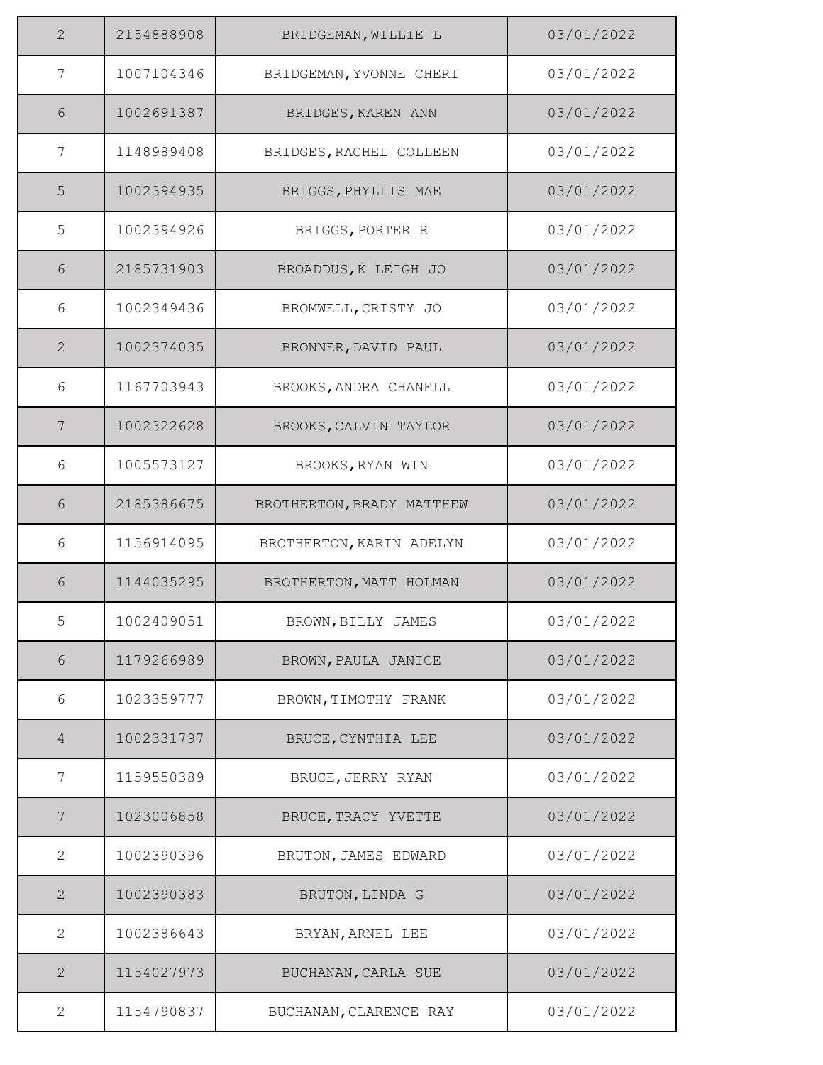| $\overline{2}$ | 2154888908 | BRIDGEMAN, WILLIE L       | 03/01/2022 |
|----------------|------------|---------------------------|------------|
| 7              | 1007104346 | BRIDGEMAN, YVONNE CHERI   | 03/01/2022 |
| 6              | 1002691387 | BRIDGES, KAREN ANN        | 03/01/2022 |
| 7              | 1148989408 | BRIDGES, RACHEL COLLEEN   | 03/01/2022 |
| 5              | 1002394935 | BRIGGS, PHYLLIS MAE       | 03/01/2022 |
| 5              | 1002394926 | BRIGGS, PORTER R          | 03/01/2022 |
| 6              | 2185731903 | BROADDUS, K LEIGH JO      | 03/01/2022 |
| 6              | 1002349436 | BROMWELL, CRISTY JO       | 03/01/2022 |
| $\mathbf{2}$   | 1002374035 | BRONNER, DAVID PAUL       | 03/01/2022 |
| 6              | 1167703943 | BROOKS, ANDRA CHANELL     | 03/01/2022 |
| 7              | 1002322628 | BROOKS, CALVIN TAYLOR     | 03/01/2022 |
| 6              | 1005573127 | BROOKS, RYAN WIN          | 03/01/2022 |
| 6              | 2185386675 | BROTHERTON, BRADY MATTHEW | 03/01/2022 |
| 6              | 1156914095 | BROTHERTON, KARIN ADELYN  | 03/01/2022 |
| 6              | 1144035295 | BROTHERTON, MATT HOLMAN   | 03/01/2022 |
| 5              | 1002409051 | BROWN, BILLY JAMES        | 03/01/2022 |
| $6\,$          | 1179266989 | BROWN, PAULA JANICE       | 03/01/2022 |
| 6              | 1023359777 | BROWN, TIMOTHY FRANK      | 03/01/2022 |
| $\overline{4}$ | 1002331797 | BRUCE, CYNTHIA LEE        | 03/01/2022 |
| 7              | 1159550389 | BRUCE, JERRY RYAN         | 03/01/2022 |
| 7              | 1023006858 | BRUCE, TRACY YVETTE       | 03/01/2022 |
| $\mathbf{2}$   | 1002390396 | BRUTON, JAMES EDWARD      | 03/01/2022 |
| $\mathbf{2}$   | 1002390383 | BRUTON, LINDA G           | 03/01/2022 |
| $\mathbf{2}$   | 1002386643 | BRYAN, ARNEL LEE          | 03/01/2022 |
| $\mathbf{2}$   | 1154027973 | BUCHANAN, CARLA SUE       | 03/01/2022 |
| $\mathbf{2}$   | 1154790837 | BUCHANAN, CLARENCE RAY    | 03/01/2022 |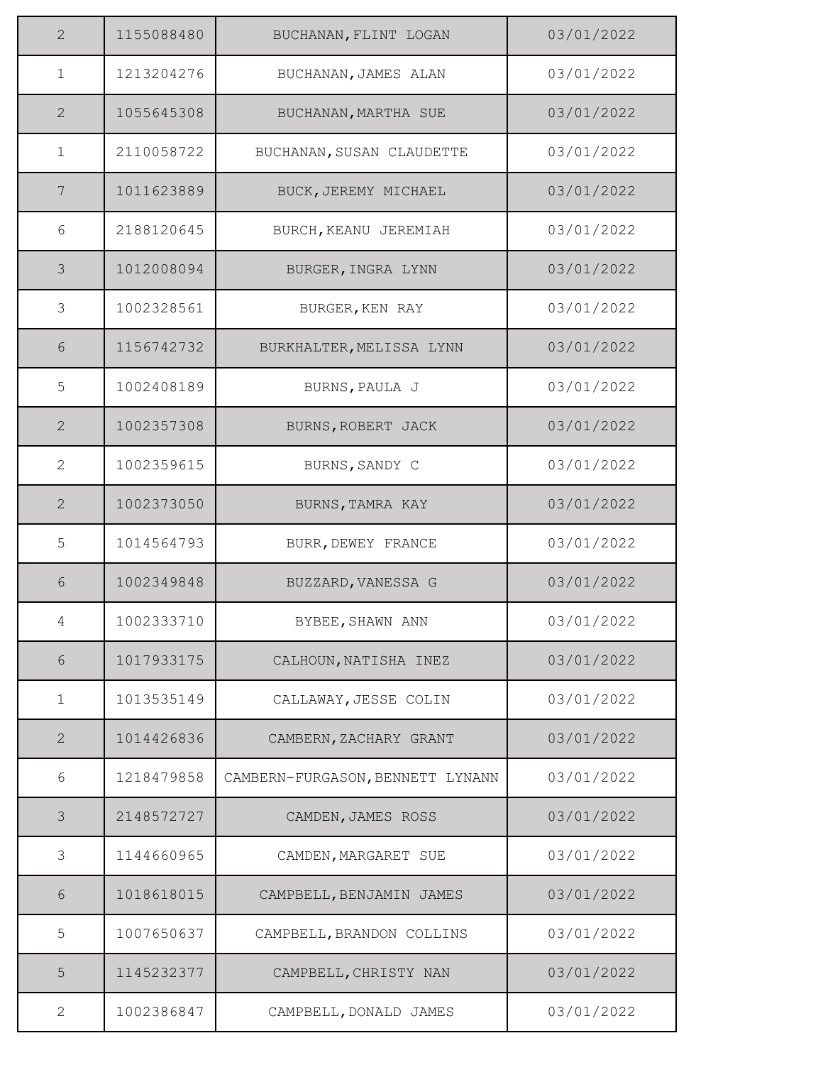| $\overline{2}$ | 1155088480 | BUCHANAN, FLINT LOGAN            | 03/01/2022 |
|----------------|------------|----------------------------------|------------|
| $\mathbf{1}$   | 1213204276 | BUCHANAN, JAMES ALAN             | 03/01/2022 |
| 2              | 1055645308 | BUCHANAN, MARTHA SUE             | 03/01/2022 |
| $\mathbf{1}$   | 2110058722 | BUCHANAN, SUSAN CLAUDETTE        | 03/01/2022 |
| 7              | 1011623889 | BUCK, JEREMY MICHAEL             | 03/01/2022 |
| 6              | 2188120645 | BURCH, KEANU JEREMIAH            | 03/01/2022 |
| $\mathcal{S}$  | 1012008094 | BURGER, INGRA LYNN               | 03/01/2022 |
| 3              | 1002328561 | BURGER, KEN RAY                  | 03/01/2022 |
| $6\,$          | 1156742732 | BURKHALTER, MELISSA LYNN         | 03/01/2022 |
| 5              | 1002408189 | BURNS, PAULA J                   | 03/01/2022 |
| 2              | 1002357308 | BURNS, ROBERT JACK               | 03/01/2022 |
| 2              | 1002359615 | BURNS, SANDY C                   | 03/01/2022 |
| 2              | 1002373050 | BURNS, TAMRA KAY                 | 03/01/2022 |
| 5              | 1014564793 | BURR, DEWEY FRANCE               | 03/01/2022 |
| 6              | 1002349848 | BUZZARD, VANESSA G               | 03/01/2022 |
| 4              | 1002333710 | BYBEE, SHAWN ANN                 | 03/01/2022 |
| $6\,$          | 1017933175 | CALHOUN, NATISHA INEZ            | 03/01/2022 |
| $\mathbf{1}$   | 1013535149 | CALLAWAY, JESSE COLIN            | 03/01/2022 |
| 2              | 1014426836 | CAMBERN, ZACHARY GRANT           | 03/01/2022 |
| 6              | 1218479858 | CAMBERN-FURGASON, BENNETT LYNANN | 03/01/2022 |
| 3              | 2148572727 | CAMDEN, JAMES ROSS               | 03/01/2022 |
| 3              | 1144660965 | CAMDEN, MARGARET SUE             | 03/01/2022 |
| 6              | 1018618015 | CAMPBELL, BENJAMIN JAMES         | 03/01/2022 |
| 5              | 1007650637 | CAMPBELL, BRANDON COLLINS        | 03/01/2022 |
| 5              | 1145232377 | CAMPBELL, CHRISTY NAN            | 03/01/2022 |
| 2              | 1002386847 | CAMPBELL, DONALD JAMES           | 03/01/2022 |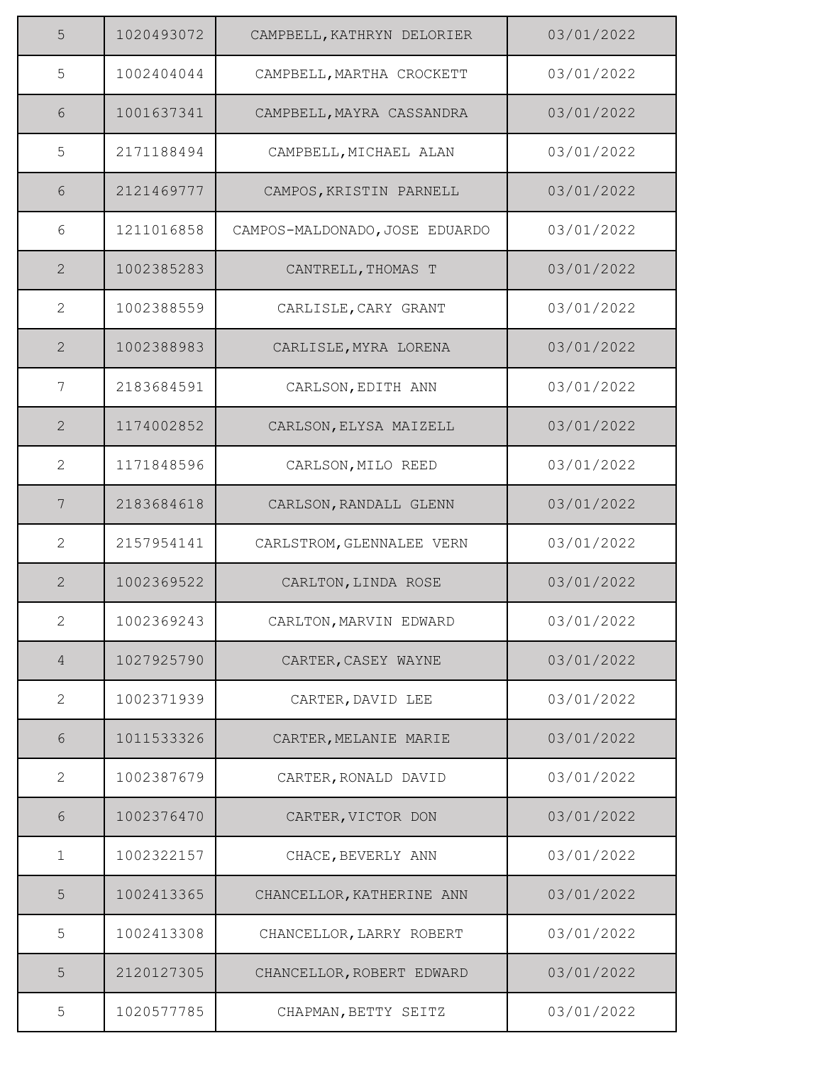| 5              | 1020493072 | CAMPBELL, KATHRYN DELORIER     | 03/01/2022 |
|----------------|------------|--------------------------------|------------|
| 5              | 1002404044 | CAMPBELL, MARTHA CROCKETT      | 03/01/2022 |
| 6              | 1001637341 | CAMPBELL, MAYRA CASSANDRA      | 03/01/2022 |
| 5              | 2171188494 | CAMPBELL, MICHAEL ALAN         | 03/01/2022 |
| 6              | 2121469777 | CAMPOS, KRISTIN PARNELL        | 03/01/2022 |
| 6              | 1211016858 | CAMPOS-MALDONADO, JOSE EDUARDO | 03/01/2022 |
| 2              | 1002385283 | CANTRELL, THOMAS T             | 03/01/2022 |
| $\overline{2}$ | 1002388559 | CARLISLE, CARY GRANT           | 03/01/2022 |
| $\overline{2}$ | 1002388983 | CARLISLE, MYRA LORENA          | 03/01/2022 |
| 7              | 2183684591 | CARLSON, EDITH ANN             | 03/01/2022 |
| 2              | 1174002852 | CARLSON, ELYSA MAIZELL         | 03/01/2022 |
| $\mathbf{2}$   | 1171848596 | CARLSON, MILO REED             | 03/01/2022 |
| 7              | 2183684618 | CARLSON, RANDALL GLENN         | 03/01/2022 |
| $\overline{2}$ | 2157954141 | CARLSTROM, GLENNALEE VERN      | 03/01/2022 |
| $\overline{2}$ | 1002369522 | CARLTON, LINDA ROSE            | 03/01/2022 |
| $\overline{2}$ | 1002369243 | CARLTON, MARVIN EDWARD         | 03/01/2022 |
| $\overline{4}$ | 1027925790 | CARTER, CASEY WAYNE            | 03/01/2022 |
| $\mathbf{2}$   | 1002371939 | CARTER, DAVID LEE              | 03/01/2022 |
| 6              | 1011533326 | CARTER, MELANIE MARIE          | 03/01/2022 |
| 2              | 1002387679 | CARTER, RONALD DAVID           | 03/01/2022 |
| 6              | 1002376470 | CARTER, VICTOR DON             | 03/01/2022 |
| $\mathbf 1$    | 1002322157 | CHACE, BEVERLY ANN             | 03/01/2022 |
| 5              | 1002413365 | CHANCELLOR, KATHERINE ANN      | 03/01/2022 |
| 5              | 1002413308 | CHANCELLOR, LARRY ROBERT       | 03/01/2022 |
| 5              | 2120127305 | CHANCELLOR, ROBERT EDWARD      | 03/01/2022 |
| 5              | 1020577785 | CHAPMAN, BETTY SEITZ           | 03/01/2022 |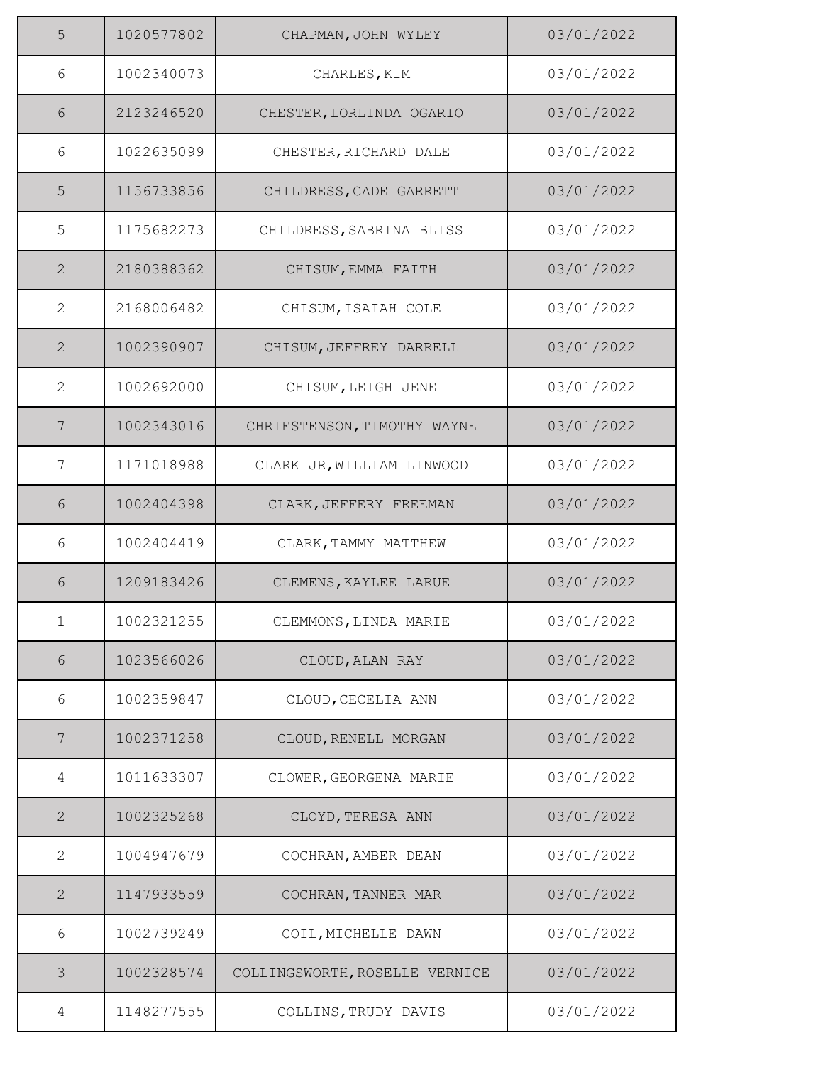| 5              | 1020577802 | CHAPMAN, JOHN WYLEY            | 03/01/2022 |
|----------------|------------|--------------------------------|------------|
| 6              | 1002340073 | CHARLES, KIM                   | 03/01/2022 |
| 6              | 2123246520 | CHESTER, LORLINDA OGARIO       | 03/01/2022 |
| 6              | 1022635099 | CHESTER, RICHARD DALE          | 03/01/2022 |
| 5              | 1156733856 | CHILDRESS, CADE GARRETT        | 03/01/2022 |
| 5              | 1175682273 | CHILDRESS, SABRINA BLISS       | 03/01/2022 |
| $\overline{2}$ | 2180388362 | CHISUM, EMMA FAITH             | 03/01/2022 |
| $\overline{2}$ | 2168006482 | CHISUM, ISAIAH COLE            | 03/01/2022 |
| $\overline{2}$ | 1002390907 | CHISUM, JEFFREY DARRELL        | 03/01/2022 |
| $\mathbf{2}$   | 1002692000 | CHISUM, LEIGH JENE             | 03/01/2022 |
| 7              | 1002343016 | CHRIESTENSON, TIMOTHY WAYNE    | 03/01/2022 |
| 7              | 1171018988 | CLARK JR, WILLIAM LINWOOD      | 03/01/2022 |
| 6              | 1002404398 | CLARK, JEFFERY FREEMAN         | 03/01/2022 |
| 6              | 1002404419 | CLARK, TAMMY MATTHEW           | 03/01/2022 |
| 6              | 1209183426 | CLEMENS, KAYLEE LARUE          | 03/01/2022 |
| 1              | 1002321255 | CLEMMONS, LINDA MARIE          | 03/01/2022 |
| $6\,$          | 1023566026 | CLOUD, ALAN RAY                | 03/01/2022 |
| 6              | 1002359847 | CLOUD, CECELIA ANN             | 03/01/2022 |
| 7              | 1002371258 | CLOUD, RENELL MORGAN           | 03/01/2022 |
| 4              | 1011633307 | CLOWER, GEORGENA MARIE         | 03/01/2022 |
| $\overline{2}$ | 1002325268 | CLOYD, TERESA ANN              | 03/01/2022 |
| $\mathbf{2}$   | 1004947679 | COCHRAN, AMBER DEAN            | 03/01/2022 |
| $\mathbf{2}$   | 1147933559 | COCHRAN, TANNER MAR            | 03/01/2022 |
| 6              | 1002739249 | COIL, MICHELLE DAWN            | 03/01/2022 |
| $\mathcal{S}$  | 1002328574 | COLLINGSWORTH, ROSELLE VERNICE | 03/01/2022 |
| 4              | 1148277555 | COLLINS, TRUDY DAVIS           | 03/01/2022 |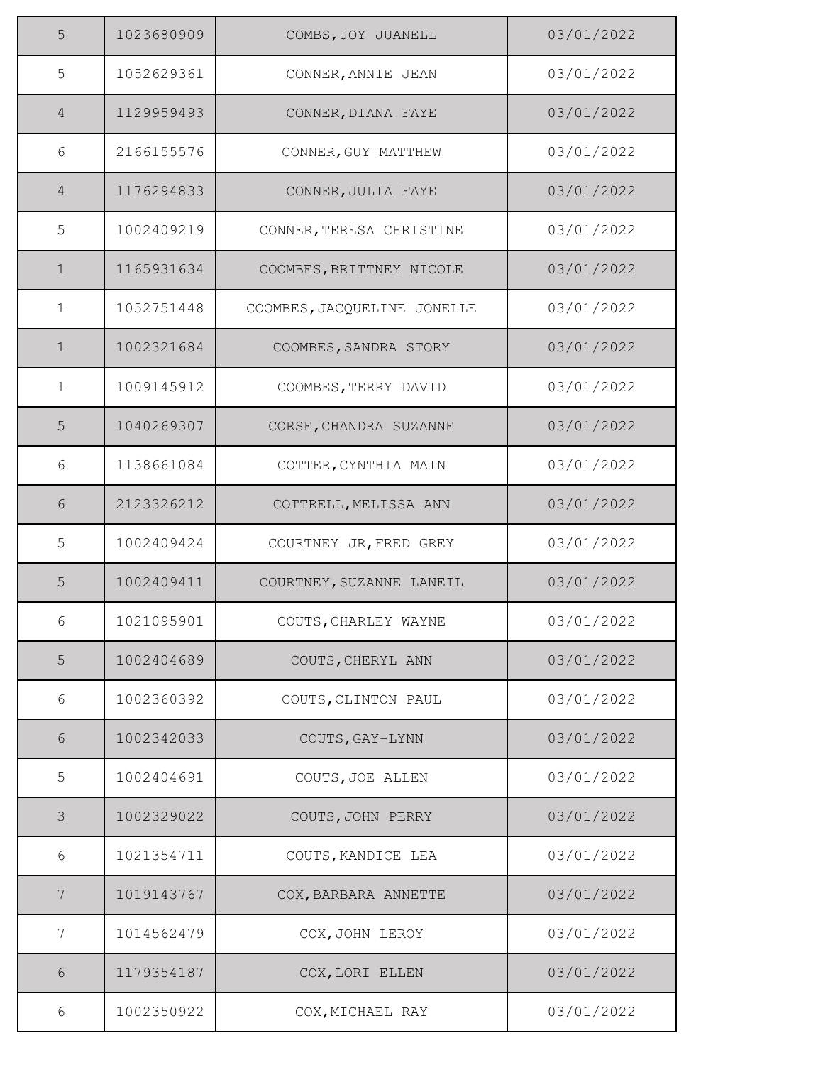| 5              | 1023680909 | COMBS, JOY JUANELL          | 03/01/2022 |
|----------------|------------|-----------------------------|------------|
| 5              | 1052629361 | CONNER, ANNIE JEAN          | 03/01/2022 |
| 4              | 1129959493 | CONNER, DIANA FAYE          | 03/01/2022 |
| 6              | 2166155576 | CONNER, GUY MATTHEW         | 03/01/2022 |
| $\overline{4}$ | 1176294833 | CONNER, JULIA FAYE          | 03/01/2022 |
| 5              | 1002409219 | CONNER, TERESA CHRISTINE    | 03/01/2022 |
| $\mathbf 1$    | 1165931634 | COOMBES, BRITTNEY NICOLE    | 03/01/2022 |
| $\mathbf{1}$   | 1052751448 | COOMBES, JACQUELINE JONELLE | 03/01/2022 |
| $\mathbf{1}$   | 1002321684 | COOMBES, SANDRA STORY       | 03/01/2022 |
| $\mathbf 1$    | 1009145912 | COOMBES, TERRY DAVID        | 03/01/2022 |
| 5              | 1040269307 | CORSE, CHANDRA SUZANNE      | 03/01/2022 |
| 6              | 1138661084 | COTTER, CYNTHIA MAIN        | 03/01/2022 |
| 6              | 2123326212 | COTTRELL, MELISSA ANN       | 03/01/2022 |
| 5              | 1002409424 | COURTNEY JR, FRED GREY      | 03/01/2022 |
| 5              | 1002409411 | COURTNEY, SUZANNE LANEIL    | 03/01/2022 |
| 6              | 1021095901 | COUTS, CHARLEY WAYNE        | 03/01/2022 |
| 5              | 1002404689 | COUTS, CHERYL ANN           | 03/01/2022 |
| 6              | 1002360392 | COUTS, CLINTON PAUL         | 03/01/2022 |
| 6              | 1002342033 | COUTS, GAY-LYNN             | 03/01/2022 |
| 5              | 1002404691 | COUTS, JOE ALLEN            | 03/01/2022 |
| 3              | 1002329022 | COUTS, JOHN PERRY           | 03/01/2022 |
| 6              | 1021354711 | COUTS, KANDICE LEA          | 03/01/2022 |
| 7              | 1019143767 | COX, BARBARA ANNETTE        | 03/01/2022 |
| 7              | 1014562479 | COX, JOHN LEROY             | 03/01/2022 |
| 6              | 1179354187 | COX, LORI ELLEN             | 03/01/2022 |
| 6              | 1002350922 | COX, MICHAEL RAY            | 03/01/2022 |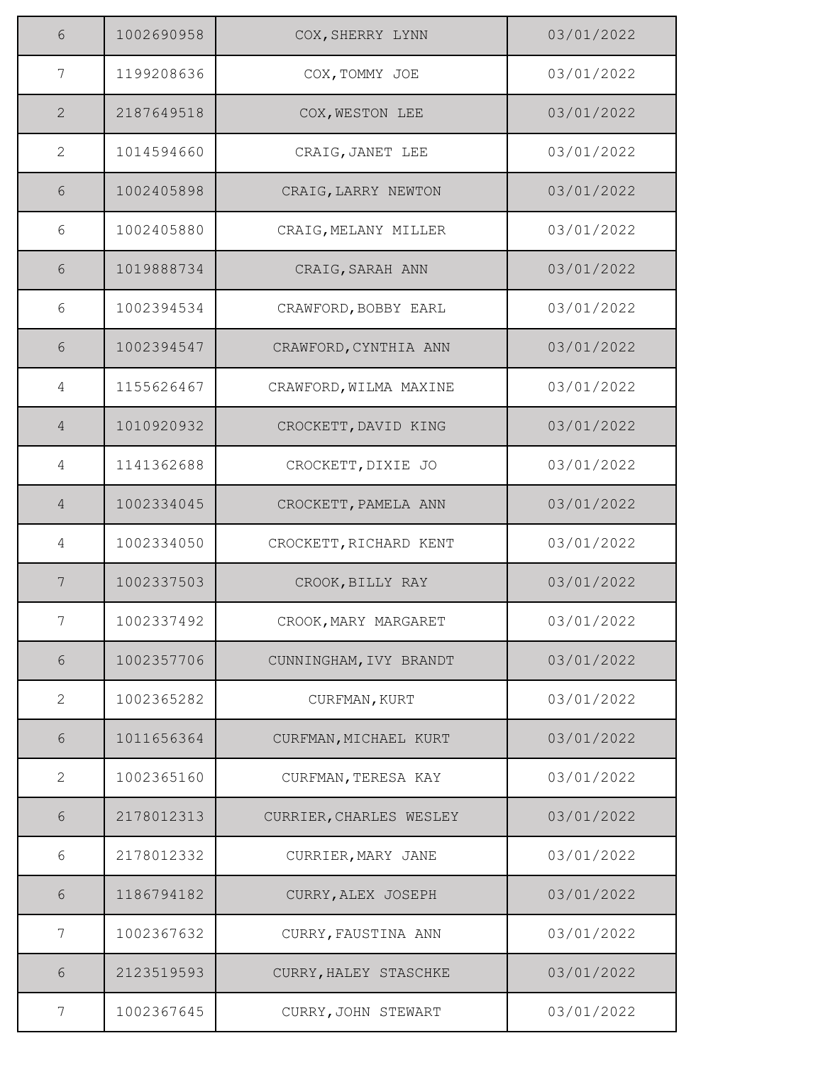| 6              | 1002690958 | COX, SHERRY LYNN        | 03/01/2022 |
|----------------|------------|-------------------------|------------|
| 7              | 1199208636 | COX, TOMMY JOE          | 03/01/2022 |
| 2              | 2187649518 | COX, WESTON LEE         | 03/01/2022 |
| $\mathbf{2}$   | 1014594660 | CRAIG, JANET LEE        | 03/01/2022 |
| $6\,$          | 1002405898 | CRAIG, LARRY NEWTON     | 03/01/2022 |
| 6              | 1002405880 | CRAIG, MELANY MILLER    | 03/01/2022 |
| 6              | 1019888734 | CRAIG, SARAH ANN        | 03/01/2022 |
| 6              | 1002394534 | CRAWFORD, BOBBY EARL    | 03/01/2022 |
| 6              | 1002394547 | CRAWFORD, CYNTHIA ANN   | 03/01/2022 |
| 4              | 1155626467 | CRAWFORD, WILMA MAXINE  | 03/01/2022 |
| $\overline{4}$ | 1010920932 | CROCKETT, DAVID KING    | 03/01/2022 |
| 4              | 1141362688 | CROCKETT, DIXIE JO      | 03/01/2022 |
| $\overline{4}$ | 1002334045 | CROCKETT, PAMELA ANN    | 03/01/2022 |
| 4              | 1002334050 | CROCKETT, RICHARD KENT  | 03/01/2022 |
| $\overline{7}$ | 1002337503 | CROOK, BILLY RAY        | 03/01/2022 |
| 7              | 1002337492 | CROOK, MARY MARGARET    | 03/01/2022 |
| $6\,$          | 1002357706 | CUNNINGHAM, IVY BRANDT  | 03/01/2022 |
| 2              | 1002365282 | CURFMAN, KURT           | 03/01/2022 |
| 6              | 1011656364 | CURFMAN, MICHAEL KURT   | 03/01/2022 |
| 2              | 1002365160 | CURFMAN, TERESA KAY     | 03/01/2022 |
| 6              | 2178012313 | CURRIER, CHARLES WESLEY | 03/01/2022 |
| 6              | 2178012332 | CURRIER, MARY JANE      | 03/01/2022 |
| 6              | 1186794182 | CURRY, ALEX JOSEPH      | 03/01/2022 |
| 7              | 1002367632 | CURRY, FAUSTINA ANN     | 03/01/2022 |
| 6              | 2123519593 | CURRY, HALEY STASCHKE   | 03/01/2022 |
| 7              | 1002367645 | CURRY, JOHN STEWART     | 03/01/2022 |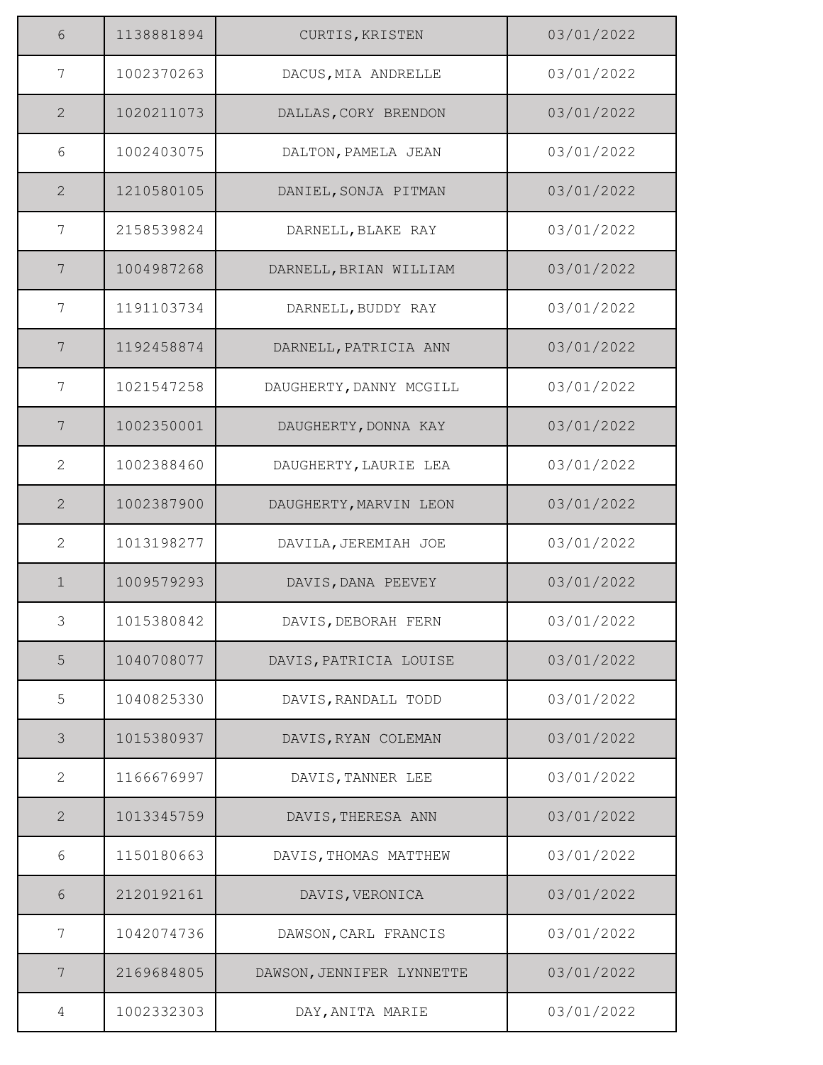| 6               | 1138881894 | CURTIS, KRISTEN           | 03/01/2022 |
|-----------------|------------|---------------------------|------------|
| 7               | 1002370263 | DACUS, MIA ANDRELLE       | 03/01/2022 |
| $\overline{2}$  | 1020211073 | DALLAS, CORY BRENDON      | 03/01/2022 |
| 6               | 1002403075 | DALTON, PAMELA JEAN       | 03/01/2022 |
| 2               | 1210580105 | DANIEL, SONJA PITMAN      | 03/01/2022 |
| 7               | 2158539824 | DARNELL, BLAKE RAY        | 03/01/2022 |
| $7\phantom{.0}$ | 1004987268 | DARNELL, BRIAN WILLIAM    | 03/01/2022 |
| 7               | 1191103734 | DARNELL, BUDDY RAY        | 03/01/2022 |
| 7               | 1192458874 | DARNELL, PATRICIA ANN     | 03/01/2022 |
| 7               | 1021547258 | DAUGHERTY, DANNY MCGILL   | 03/01/2022 |
| 7               | 1002350001 | DAUGHERTY, DONNA KAY      | 03/01/2022 |
| 2               | 1002388460 | DAUGHERTY, LAURIE LEA     | 03/01/2022 |
| 2               | 1002387900 | DAUGHERTY, MARVIN LEON    | 03/01/2022 |
| $\overline{2}$  | 1013198277 | DAVILA, JEREMIAH JOE      | 03/01/2022 |
| $\mathbf 1$     | 1009579293 | DAVIS, DANA PEEVEY        | 03/01/2022 |
| 3               | 1015380842 | DAVIS, DEBORAH FERN       | 03/01/2022 |
| 5               | 1040708077 | DAVIS, PATRICIA LOUISE    | 03/01/2022 |
| 5               | 1040825330 | DAVIS, RANDALL TODD       | 03/01/2022 |
| $\mathcal{S}$   | 1015380937 | DAVIS, RYAN COLEMAN       | 03/01/2022 |
| $\mathbf{2}$    | 1166676997 | DAVIS, TANNER LEE         | 03/01/2022 |
| $\mathbf{2}$    | 1013345759 | DAVIS, THERESA ANN        | 03/01/2022 |
| 6               | 1150180663 | DAVIS, THOMAS MATTHEW     | 03/01/2022 |
| $6\,$           | 2120192161 | DAVIS, VERONICA           | 03/01/2022 |
| 7               | 1042074736 | DAWSON, CARL FRANCIS      | 03/01/2022 |
| 7               | 2169684805 | DAWSON, JENNIFER LYNNETTE | 03/01/2022 |
| 4               | 1002332303 | DAY, ANITA MARIE          | 03/01/2022 |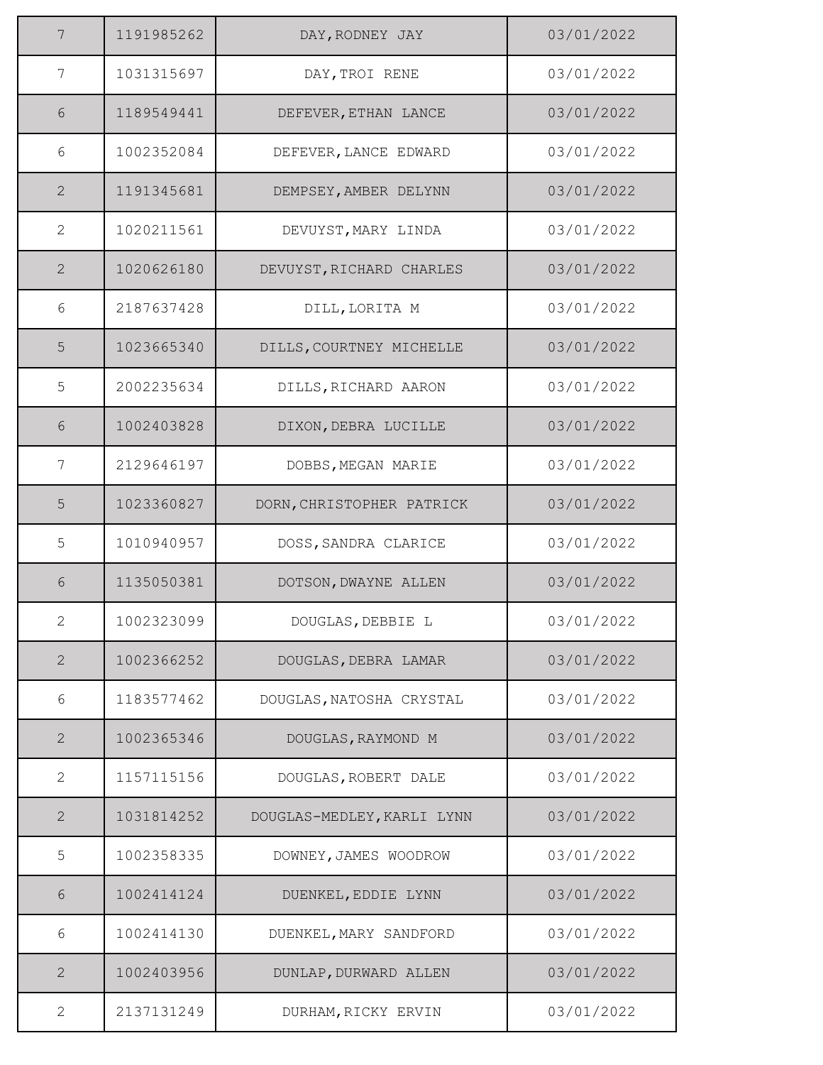| 7              | 1191985262 | DAY, RODNEY JAY            | 03/01/2022 |
|----------------|------------|----------------------------|------------|
| $\overline{7}$ | 1031315697 | DAY, TROI RENE             | 03/01/2022 |
| 6              | 1189549441 | DEFEVER, ETHAN LANCE       | 03/01/2022 |
| 6              | 1002352084 | DEFEVER, LANCE EDWARD      | 03/01/2022 |
| $\mathbf{2}$   | 1191345681 | DEMPSEY, AMBER DELYNN      | 03/01/2022 |
| 2              | 1020211561 | DEVUYST, MARY LINDA        | 03/01/2022 |
| $\overline{2}$ | 1020626180 | DEVUYST, RICHARD CHARLES   | 03/01/2022 |
| 6              | 2187637428 | DILL, LORITA M             | 03/01/2022 |
| 5              | 1023665340 | DILLS, COURTNEY MICHELLE   | 03/01/2022 |
| 5              | 2002235634 | DILLS, RICHARD AARON       | 03/01/2022 |
| $6\,$          | 1002403828 | DIXON, DEBRA LUCILLE       | 03/01/2022 |
| 7              | 2129646197 | DOBBS, MEGAN MARIE         | 03/01/2022 |
| 5              | 1023360827 | DORN, CHRISTOPHER PATRICK  | 03/01/2022 |
| 5              | 1010940957 | DOSS, SANDRA CLARICE       | 03/01/2022 |
| 6              | 1135050381 | DOTSON, DWAYNE ALLEN       | 03/01/2022 |
| 2              | 1002323099 | DOUGLAS, DEBBIE L          | 03/01/2022 |
| $\overline{2}$ | 1002366252 | DOUGLAS, DEBRA LAMAR       | 03/01/2022 |
| 6              | 1183577462 | DOUGLAS, NATOSHA CRYSTAL   | 03/01/2022 |
| $\mathbf{2}$   | 1002365346 | DOUGLAS, RAYMOND M         | 03/01/2022 |
| $\overline{2}$ | 1157115156 | DOUGLAS, ROBERT DALE       | 03/01/2022 |
| $\overline{2}$ | 1031814252 | DOUGLAS-MEDLEY, KARLI LYNN | 03/01/2022 |
| 5              | 1002358335 | DOWNEY, JAMES WOODROW      | 03/01/2022 |
| $6\,$          | 1002414124 | DUENKEL, EDDIE LYNN        | 03/01/2022 |
| 6              | 1002414130 | DUENKEL, MARY SANDFORD     | 03/01/2022 |
| $\mathbf{2}$   | 1002403956 | DUNLAP, DURWARD ALLEN      | 03/01/2022 |
| 2              | 2137131249 | DURHAM, RICKY ERVIN        | 03/01/2022 |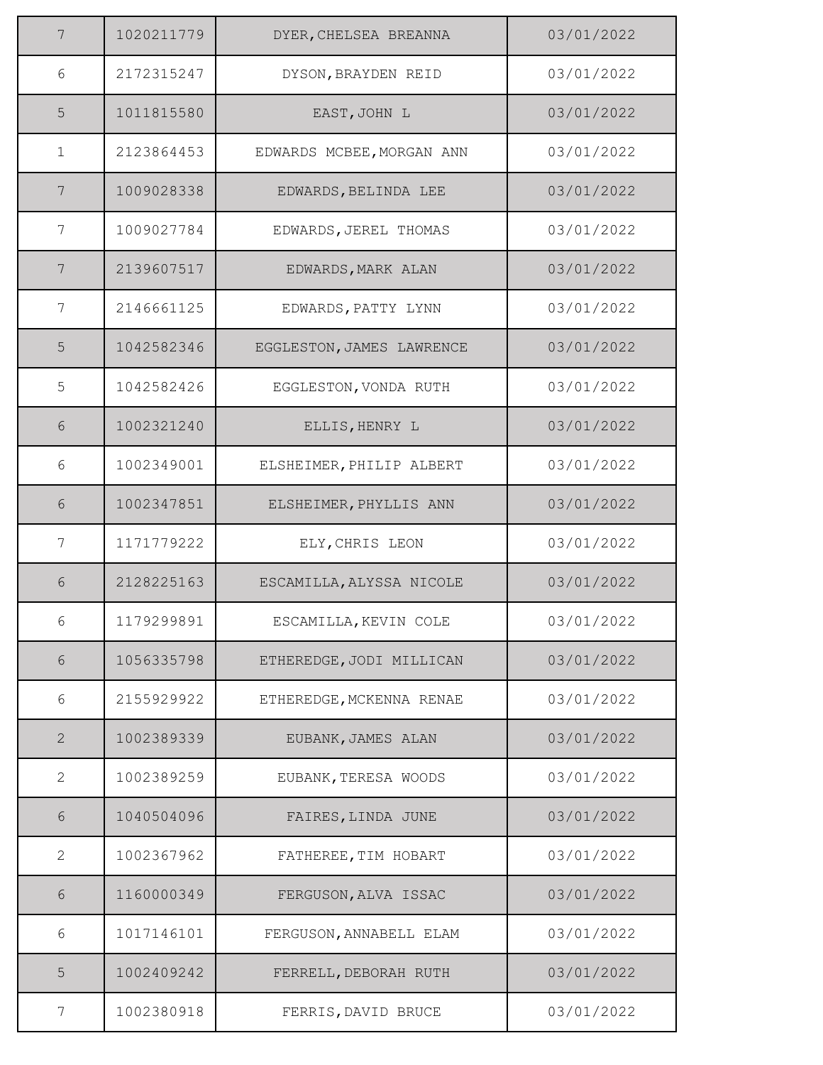| 7            | 1020211779 | DYER, CHELSEA BREANNA     | 03/01/2022 |
|--------------|------------|---------------------------|------------|
| 6            | 2172315247 | DYSON, BRAYDEN REID       | 03/01/2022 |
| 5            | 1011815580 | EAST, JOHN L              | 03/01/2022 |
| $\mathbf{1}$ | 2123864453 | EDWARDS MCBEE, MORGAN ANN | 03/01/2022 |
| 7            | 1009028338 | EDWARDS, BELINDA LEE      | 03/01/2022 |
| 7            | 1009027784 | EDWARDS, JEREL THOMAS     | 03/01/2022 |
| 7            | 2139607517 | EDWARDS, MARK ALAN        | 03/01/2022 |
| 7            | 2146661125 | EDWARDS, PATTY LYNN       | 03/01/2022 |
| 5            | 1042582346 | EGGLESTON, JAMES LAWRENCE | 03/01/2022 |
| 5            | 1042582426 | EGGLESTON, VONDA RUTH     | 03/01/2022 |
| 6            | 1002321240 | ELLIS, HENRY L            | 03/01/2022 |
| 6            | 1002349001 | ELSHEIMER, PHILIP ALBERT  | 03/01/2022 |
| 6            | 1002347851 | ELSHEIMER, PHYLLIS ANN    | 03/01/2022 |
| 7            | 1171779222 | ELY, CHRIS LEON           | 03/01/2022 |
| 6            | 2128225163 | ESCAMILLA, ALYSSA NICOLE  | 03/01/2022 |
| 6            | 1179299891 | ESCAMILLA, KEVIN COLE     | 03/01/2022 |
| $6\,$        | 1056335798 | ETHEREDGE, JODI MILLICAN  | 03/01/2022 |
| 6            | 2155929922 | ETHEREDGE, MCKENNA RENAE  | 03/01/2022 |
| 2            | 1002389339 | EUBANK, JAMES ALAN        | 03/01/2022 |
| $\mathbf{2}$ | 1002389259 | EUBANK, TERESA WOODS      | 03/01/2022 |
| 6            | 1040504096 | FAIRES, LINDA JUNE        | 03/01/2022 |
| $\mathbf{2}$ | 1002367962 | FATHEREE, TIM HOBART      | 03/01/2022 |
| 6            | 1160000349 | FERGUSON, ALVA ISSAC      | 03/01/2022 |
| 6            | 1017146101 | FERGUSON, ANNABELL ELAM   | 03/01/2022 |
| 5            | 1002409242 | FERRELL, DEBORAH RUTH     | 03/01/2022 |
| 7            | 1002380918 | FERRIS, DAVID BRUCE       | 03/01/2022 |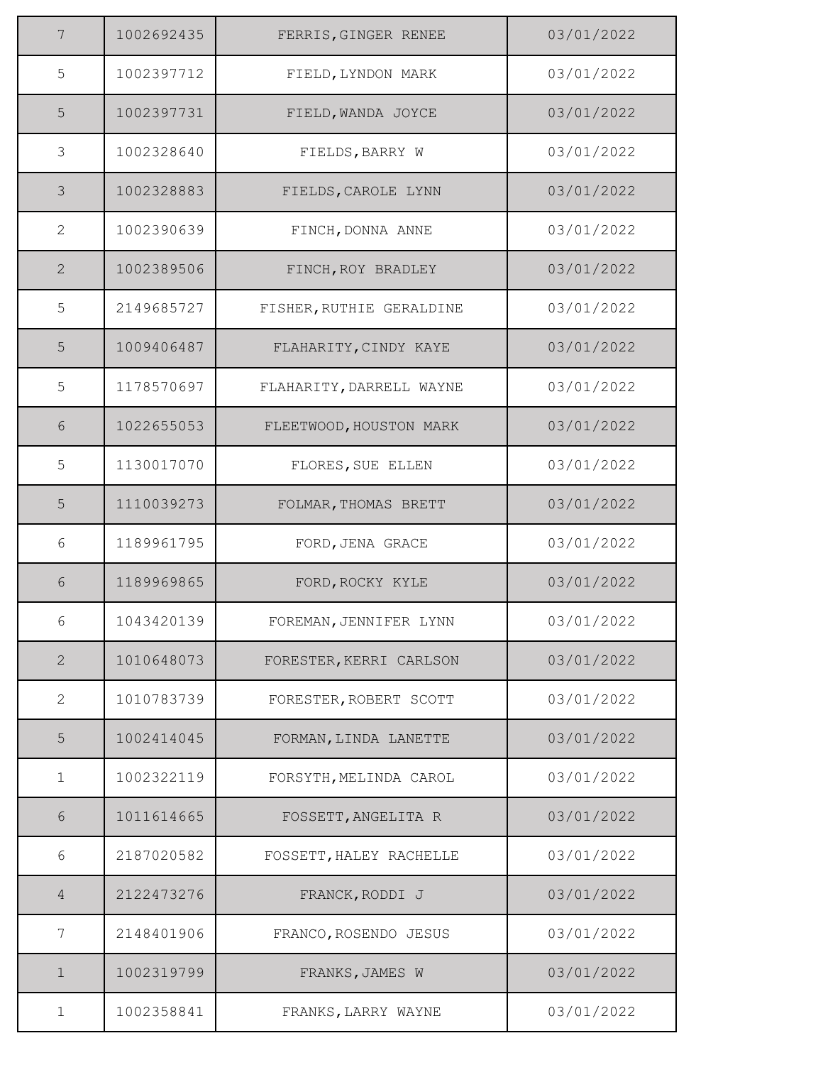| $\overline{7}$ | 1002692435 | FERRIS, GINGER RENEE     | 03/01/2022 |
|----------------|------------|--------------------------|------------|
| $\mathsf S$    | 1002397712 | FIELD, LYNDON MARK       | 03/01/2022 |
| 5              | 1002397731 | FIELD, WANDA JOYCE       | 03/01/2022 |
| $\mathfrak{Z}$ | 1002328640 | FIELDS, BARRY W          | 03/01/2022 |
| $\mathcal{S}$  | 1002328883 | FIELDS, CAROLE LYNN      | 03/01/2022 |
| $\mathbf{2}$   | 1002390639 | FINCH, DONNA ANNE        | 03/01/2022 |
| 2              | 1002389506 | FINCH, ROY BRADLEY       | 03/01/2022 |
| 5              | 2149685727 | FISHER, RUTHIE GERALDINE | 03/01/2022 |
| 5              | 1009406487 | FLAHARITY, CINDY KAYE    | 03/01/2022 |
| 5              | 1178570697 | FLAHARITY, DARRELL WAYNE | 03/01/2022 |
| $\sqrt{6}$     | 1022655053 | FLEETWOOD, HOUSTON MARK  | 03/01/2022 |
| 5              | 1130017070 | FLORES, SUE ELLEN        | 03/01/2022 |
| 5              | 1110039273 | FOLMAR, THOMAS BRETT     | 03/01/2022 |
| 6              | 1189961795 | FORD, JENA GRACE         | 03/01/2022 |
| 6              | 1189969865 | FORD, ROCKY KYLE         | 03/01/2022 |
| 6              | 1043420139 | FOREMAN, JENNIFER LYNN   | 03/01/2022 |
| $\mathbf{2}$   | 1010648073 | FORESTER, KERRI CARLSON  | 03/01/2022 |
| 2              | 1010783739 | FORESTER, ROBERT SCOTT   | 03/01/2022 |
| 5              | 1002414045 | FORMAN, LINDA LANETTE    | 03/01/2022 |
| $\mathbf{1}$   | 1002322119 | FORSYTH, MELINDA CAROL   | 03/01/2022 |
| 6              | 1011614665 | FOSSETT, ANGELITA R      | 03/01/2022 |
| 6              | 2187020582 | FOSSETT, HALEY RACHELLE  | 03/01/2022 |
| $\overline{4}$ | 2122473276 | FRANCK, RODDI J          | 03/01/2022 |
| 7              | 2148401906 | FRANCO, ROSENDO JESUS    | 03/01/2022 |
| $\mathbf 1$    | 1002319799 | FRANKS, JAMES W          | 03/01/2022 |
| $\mathbf 1$    | 1002358841 | FRANKS, LARRY WAYNE      | 03/01/2022 |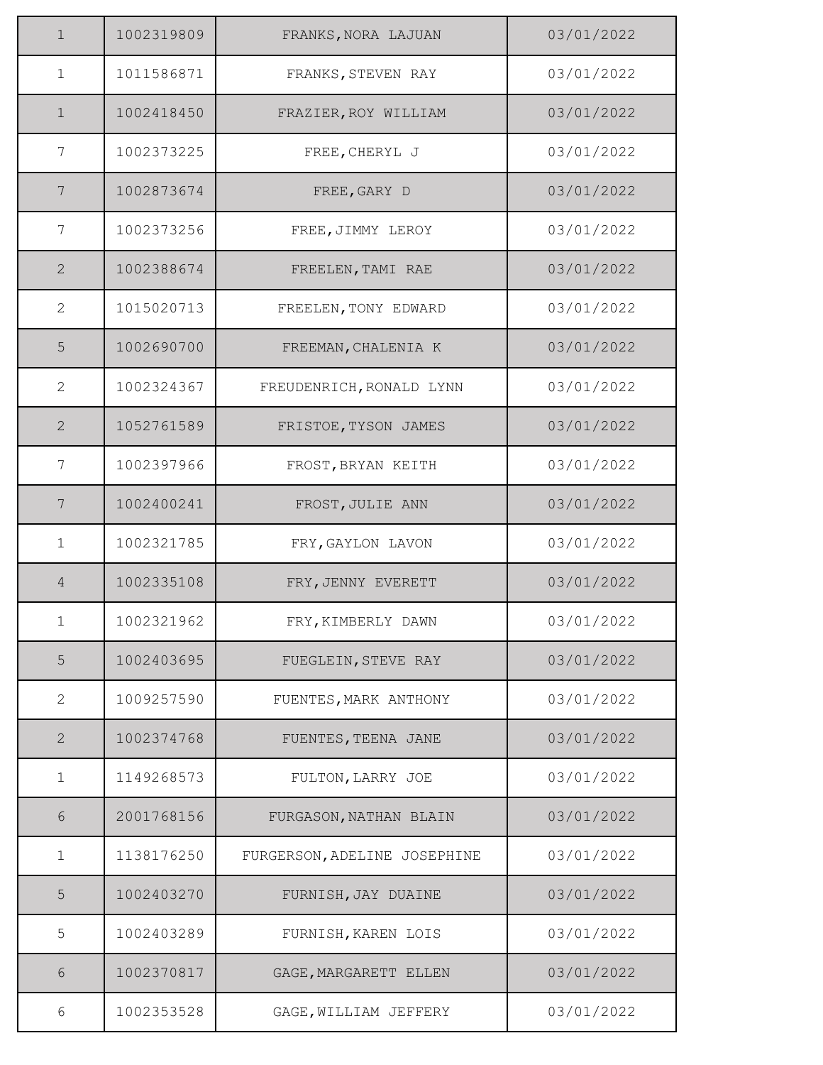| $\mathbf 1$     | 1002319809 | FRANKS, NORA LAJUAN          | 03/01/2022 |
|-----------------|------------|------------------------------|------------|
| $\mathbf{1}$    | 1011586871 | FRANKS, STEVEN RAY           | 03/01/2022 |
| $\mathbf{1}$    | 1002418450 | FRAZIER, ROY WILLIAM         | 03/01/2022 |
| 7               | 1002373225 | FREE, CHERYL J               | 03/01/2022 |
| 7               | 1002873674 | FREE, GARY D                 | 03/01/2022 |
| 7               | 1002373256 | FREE, JIMMY LEROY            | 03/01/2022 |
| $\mathbf{2}$    | 1002388674 | FREELEN, TAMI RAE            | 03/01/2022 |
| $\mathbf{2}$    | 1015020713 | FREELEN, TONY EDWARD         | 03/01/2022 |
| 5               | 1002690700 | FREEMAN, CHALENIA K          | 03/01/2022 |
| $\mathbf{2}$    | 1002324367 | FREUDENRICH, RONALD LYNN     | 03/01/2022 |
| 2               | 1052761589 | FRISTOE, TYSON JAMES         | 03/01/2022 |
| 7               | 1002397966 | FROST, BRYAN KEITH           | 03/01/2022 |
| $7\phantom{.0}$ | 1002400241 | FROST, JULIE ANN             | 03/01/2022 |
| $\mathbf{1}$    | 1002321785 | FRY, GAYLON LAVON            | 03/01/2022 |
| $\overline{4}$  | 1002335108 | FRY, JENNY EVERETT           | 03/01/2022 |
| 1               | 1002321962 | FRY, KIMBERLY DAWN           | 03/01/2022 |
| 5               | 1002403695 | FUEGLEIN, STEVE RAY          | 03/01/2022 |
| $\mathbf{2}$    | 1009257590 | FUENTES, MARK ANTHONY        | 03/01/2022 |
| 2               | 1002374768 | FUENTES, TEENA JANE          | 03/01/2022 |
| $\mathbf 1$     | 1149268573 | FULTON, LARRY JOE            | 03/01/2022 |
| $6\,$           | 2001768156 | FURGASON, NATHAN BLAIN       | 03/01/2022 |
| $\mathbf{1}$    | 1138176250 | FURGERSON, ADELINE JOSEPHINE | 03/01/2022 |
| 5               | 1002403270 | FURNISH, JAY DUAINE          | 03/01/2022 |
| 5               | 1002403289 | FURNISH, KAREN LOIS          | 03/01/2022 |
| 6               | 1002370817 | GAGE, MARGARETT ELLEN        | 03/01/2022 |
| 6               | 1002353528 | GAGE, WILLIAM JEFFERY        | 03/01/2022 |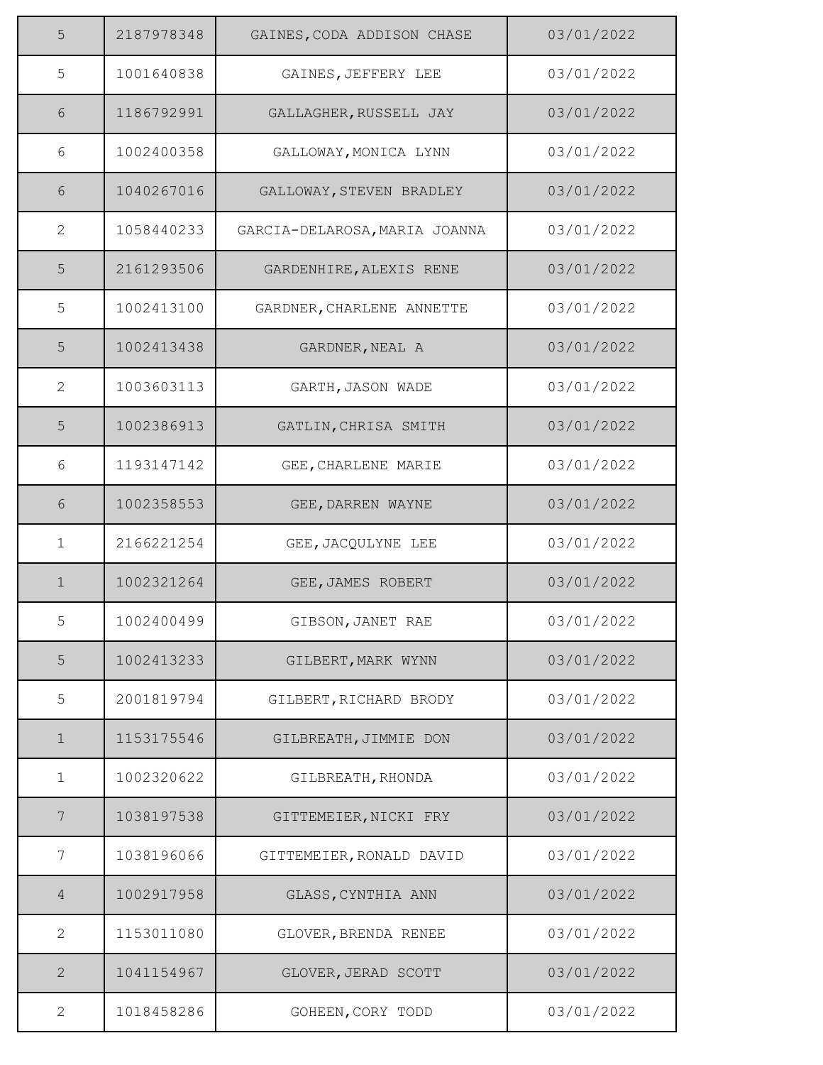| 5              | 2187978348 | GAINES, CODA ADDISON CHASE    | 03/01/2022 |
|----------------|------------|-------------------------------|------------|
| 5              | 1001640838 | GAINES, JEFFERY LEE           | 03/01/2022 |
| 6              | 1186792991 | GALLAGHER, RUSSELL JAY        | 03/01/2022 |
| 6              | 1002400358 | GALLOWAY, MONICA LYNN         | 03/01/2022 |
| 6              | 1040267016 | GALLOWAY, STEVEN BRADLEY      | 03/01/2022 |
| $\mathbf{2}$   | 1058440233 | GARCIA-DELAROSA, MARIA JOANNA | 03/01/2022 |
| 5              | 2161293506 | GARDENHIRE, ALEXIS RENE       | 03/01/2022 |
| 5              | 1002413100 | GARDNER, CHARLENE ANNETTE     | 03/01/2022 |
| 5              | 1002413438 | GARDNER, NEAL A               | 03/01/2022 |
| $\mathbf{2}$   | 1003603113 | GARTH, JASON WADE             | 03/01/2022 |
| 5              | 1002386913 | GATLIN, CHRISA SMITH          | 03/01/2022 |
| 6              | 1193147142 | GEE, CHARLENE MARIE           | 03/01/2022 |
| 6              | 1002358553 | GEE, DARREN WAYNE             | 03/01/2022 |
| $\mathbf 1$    | 2166221254 | GEE, JACQULYNE LEE            | 03/01/2022 |
| $\mathbf 1$    | 1002321264 | GEE, JAMES ROBERT             | 03/01/2022 |
| 5              | 1002400499 | GIBSON, JANET RAE             | 03/01/2022 |
| 5              | 1002413233 | GILBERT, MARK WYNN            | 03/01/2022 |
| 5              | 2001819794 | GILBERT, RICHARD BRODY        | 03/01/2022 |
| $\mathbf 1$    | 1153175546 | GILBREATH, JIMMIE DON         | 03/01/2022 |
| $\mathbf{1}$   | 1002320622 | GILBREATH, RHONDA             | 03/01/2022 |
| 7              | 1038197538 | GITTEMEIER, NICKI FRY         | 03/01/2022 |
| 7              | 1038196066 | GITTEMEIER, RONALD DAVID      | 03/01/2022 |
| $\overline{4}$ | 1002917958 | GLASS, CYNTHIA ANN            | 03/01/2022 |
| 2              | 1153011080 | GLOVER, BRENDA RENEE          | 03/01/2022 |
| 2              | 1041154967 | GLOVER, JERAD SCOTT           | 03/01/2022 |
| $\mathbf{2}$   | 1018458286 | GOHEEN, CORY TODD             | 03/01/2022 |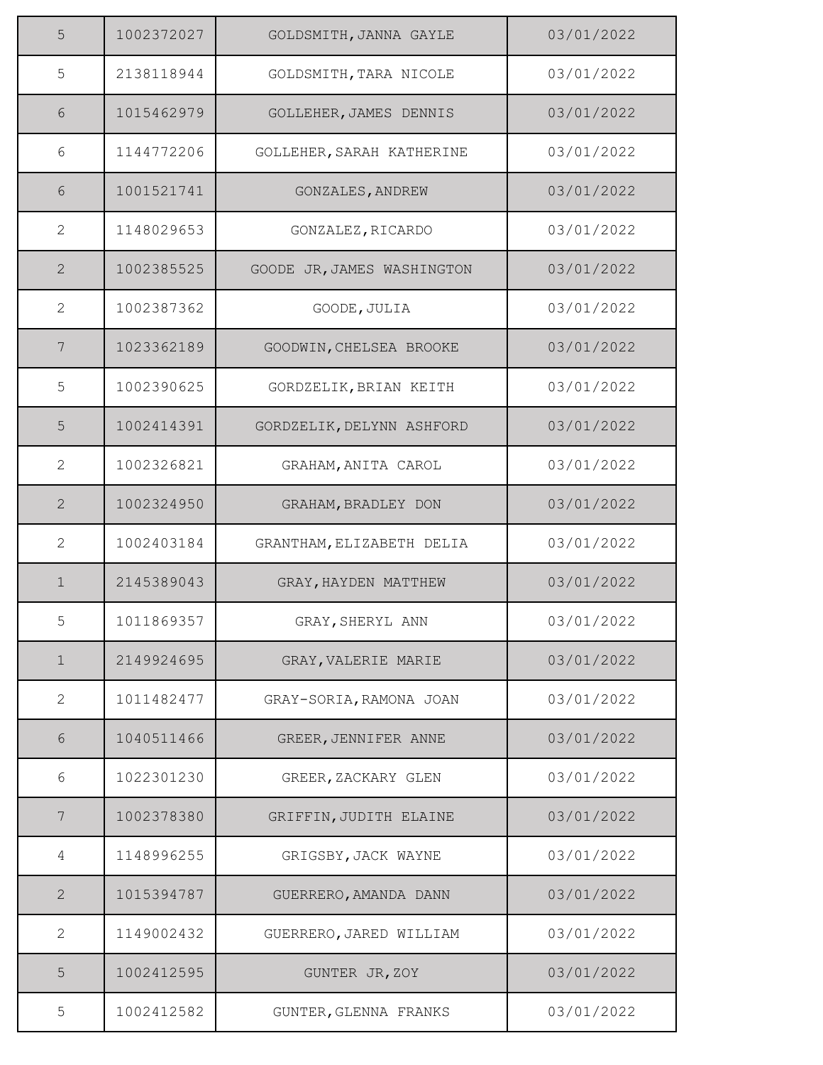| 5              | 1002372027 | GOLDSMITH, JANNA GAYLE     | 03/01/2022 |
|----------------|------------|----------------------------|------------|
| 5              | 2138118944 | GOLDSMITH, TARA NICOLE     | 03/01/2022 |
| 6              | 1015462979 | GOLLEHER, JAMES DENNIS     | 03/01/2022 |
| 6              | 1144772206 | GOLLEHER, SARAH KATHERINE  | 03/01/2022 |
| 6              | 1001521741 | GONZALES, ANDREW           | 03/01/2022 |
| $\mathbf{2}$   | 1148029653 | GONZALEZ, RICARDO          | 03/01/2022 |
| $\overline{2}$ | 1002385525 | GOODE JR, JAMES WASHINGTON | 03/01/2022 |
| $\mathbf{2}$   | 1002387362 | GOODE, JULIA               | 03/01/2022 |
| $\overline{7}$ | 1023362189 | GOODWIN, CHELSEA BROOKE    | 03/01/2022 |
| 5              | 1002390625 | GORDZELIK, BRIAN KEITH     | 03/01/2022 |
| 5              | 1002414391 | GORDZELIK, DELYNN ASHFORD  | 03/01/2022 |
| $\mathbf{2}$   | 1002326821 | GRAHAM, ANITA CAROL        | 03/01/2022 |
| $\overline{2}$ | 1002324950 | GRAHAM, BRADLEY DON        | 03/01/2022 |
| $\overline{2}$ | 1002403184 | GRANTHAM, ELIZABETH DELIA  | 03/01/2022 |
| $\mathbf 1$    | 2145389043 | GRAY, HAYDEN MATTHEW       | 03/01/2022 |
| 5              | 1011869357 | GRAY, SHERYL ANN           | 03/01/2022 |
| $\mathbf 1$    | 2149924695 | GRAY, VALERIE MARIE        | 03/01/2022 |
| $\mathbf{2}$   | 1011482477 | GRAY-SORIA, RAMONA JOAN    | 03/01/2022 |
| 6              | 1040511466 | GREER, JENNIFER ANNE       | 03/01/2022 |
| 6              | 1022301230 | GREER, ZACKARY GLEN        | 03/01/2022 |
| 7              | 1002378380 | GRIFFIN, JUDITH ELAINE     | 03/01/2022 |
| 4              | 1148996255 | GRIGSBY, JACK WAYNE        | 03/01/2022 |
| $\mathbf{2}$   | 1015394787 | GUERRERO, AMANDA DANN      | 03/01/2022 |
| 2              | 1149002432 | GUERRERO, JARED WILLIAM    | 03/01/2022 |
| 5              | 1002412595 | GUNTER JR, ZOY             | 03/01/2022 |
| 5              | 1002412582 | GUNTER, GLENNA FRANKS      | 03/01/2022 |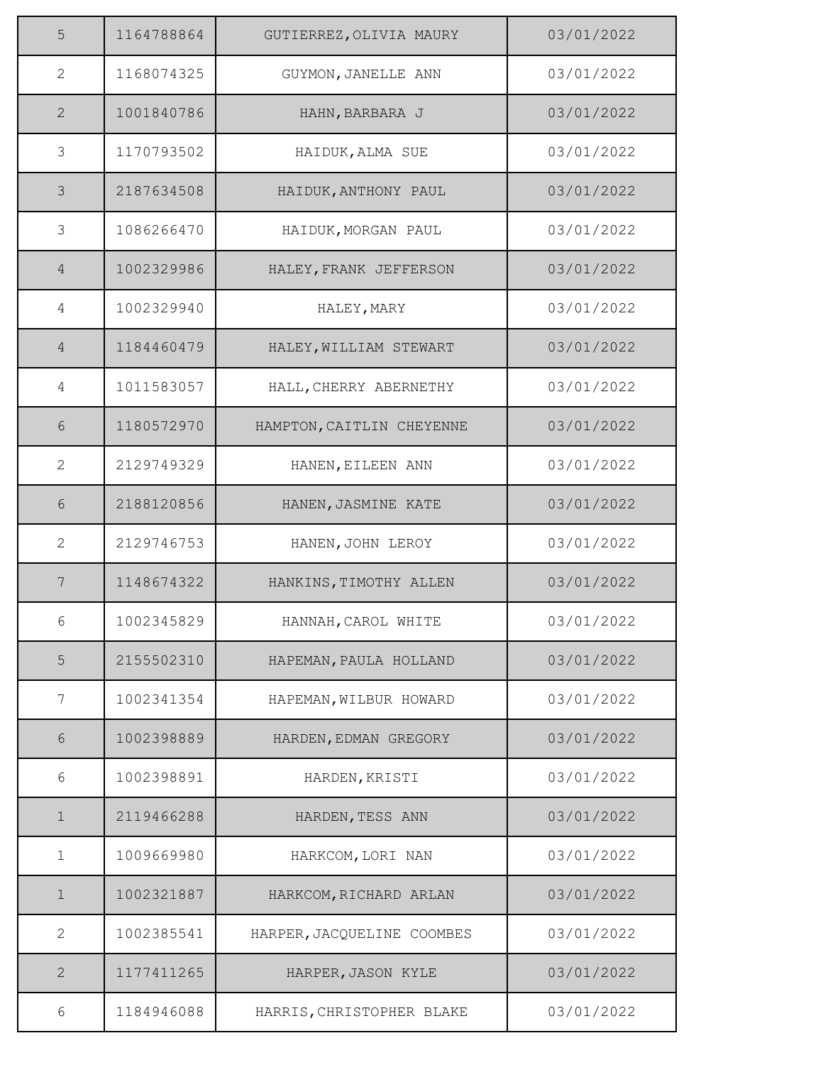| 5              | 1164788864 | GUTIERREZ, OLIVIA MAURY    | 03/01/2022 |
|----------------|------------|----------------------------|------------|
| $\mathbf{2}$   | 1168074325 | GUYMON, JANELLE ANN        | 03/01/2022 |
| $\overline{2}$ | 1001840786 | HAHN, BARBARA J            | 03/01/2022 |
| 3              | 1170793502 | HAIDUK, ALMA SUE           | 03/01/2022 |
| 3              | 2187634508 | HAIDUK, ANTHONY PAUL       | 03/01/2022 |
| $\mathfrak{Z}$ | 1086266470 | HAIDUK, MORGAN PAUL        | 03/01/2022 |
| $\overline{4}$ | 1002329986 | HALEY, FRANK JEFFERSON     | 03/01/2022 |
| 4              | 1002329940 | HALEY, MARY                | 03/01/2022 |
| $\overline{4}$ | 1184460479 | HALEY, WILLIAM STEWART     | 03/01/2022 |
| 4              | 1011583057 | HALL, CHERRY ABERNETHY     | 03/01/2022 |
| 6              | 1180572970 | HAMPTON, CAITLIN CHEYENNE  | 03/01/2022 |
| 2              | 2129749329 | HANEN, EILEEN ANN          | 03/01/2022 |
| 6              | 2188120856 | HANEN, JASMINE KATE        | 03/01/2022 |
| $\overline{2}$ | 2129746753 | HANEN, JOHN LEROY          | 03/01/2022 |
| $\overline{7}$ | 1148674322 | HANKINS, TIMOTHY ALLEN     | 03/01/2022 |
| 6              | 1002345829 | HANNAH, CAROL WHITE        | 03/01/2022 |
| 5              | 2155502310 | HAPEMAN, PAULA HOLLAND     | 03/01/2022 |
| 7              | 1002341354 | HAPEMAN, WILBUR HOWARD     | 03/01/2022 |
| 6              | 1002398889 | HARDEN, EDMAN GREGORY      | 03/01/2022 |
| 6              | 1002398891 | HARDEN, KRISTI             | 03/01/2022 |
| $\mathbf{1}$   | 2119466288 | HARDEN, TESS ANN           | 03/01/2022 |
| $\mathbf 1$    | 1009669980 | HARKCOM, LORI NAN          | 03/01/2022 |
| $\mathbf 1$    | 1002321887 | HARKCOM, RICHARD ARLAN     | 03/01/2022 |
| 2              | 1002385541 | HARPER, JACQUELINE COOMBES | 03/01/2022 |
| 2              | 1177411265 | HARPER, JASON KYLE         | 03/01/2022 |
| 6              | 1184946088 | HARRIS, CHRISTOPHER BLAKE  | 03/01/2022 |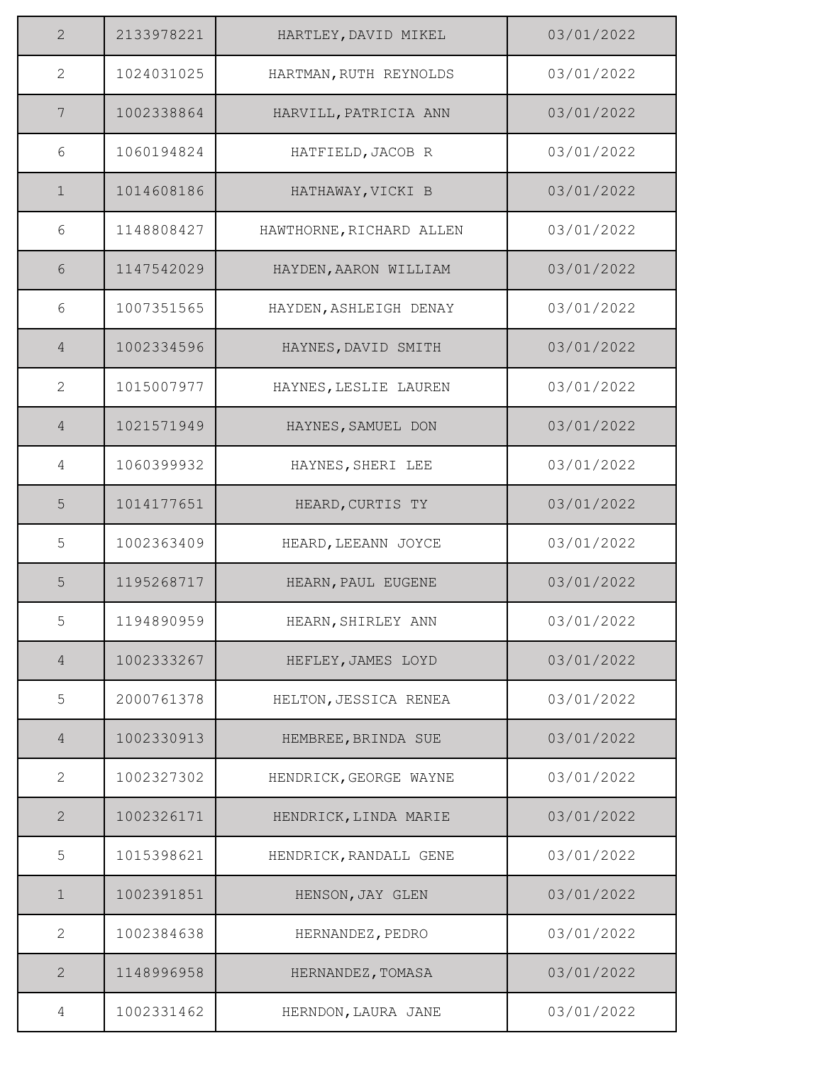| 2              | 2133978221 | HARTLEY, DAVID MIKEL     | 03/01/2022 |
|----------------|------------|--------------------------|------------|
| $\mathbf{2}$   | 1024031025 | HARTMAN, RUTH REYNOLDS   | 03/01/2022 |
| 7              | 1002338864 | HARVILL, PATRICIA ANN    | 03/01/2022 |
| 6              | 1060194824 | HATFIELD, JACOB R        | 03/01/2022 |
| $\mathbf 1$    | 1014608186 | HATHAWAY, VICKI B        | 03/01/2022 |
| 6              | 1148808427 | HAWTHORNE, RICHARD ALLEN | 03/01/2022 |
| 6              | 1147542029 | HAYDEN, AARON WILLIAM    | 03/01/2022 |
| 6              | 1007351565 | HAYDEN, ASHLEIGH DENAY   | 03/01/2022 |
| $\overline{4}$ | 1002334596 | HAYNES, DAVID SMITH      | 03/01/2022 |
| 2              | 1015007977 | HAYNES, LESLIE LAUREN    | 03/01/2022 |
| $\overline{4}$ | 1021571949 | HAYNES, SAMUEL DON       | 03/01/2022 |
| 4              | 1060399932 | HAYNES, SHERI LEE        | 03/01/2022 |
| 5              | 1014177651 | HEARD, CURTIS TY         | 03/01/2022 |
| 5              | 1002363409 | HEARD, LEEANN JOYCE      | 03/01/2022 |
| 5              | 1195268717 | HEARN, PAUL EUGENE       | 03/01/2022 |
| 5              | 1194890959 | HEARN, SHIRLEY ANN       | 03/01/2022 |
| $\overline{4}$ | 1002333267 | HEFLEY, JAMES LOYD       | 03/01/2022 |
| 5              | 2000761378 | HELTON, JESSICA RENEA    | 03/01/2022 |
| $\overline{4}$ | 1002330913 | HEMBREE, BRINDA SUE      | 03/01/2022 |
| 2              | 1002327302 | HENDRICK, GEORGE WAYNE   | 03/01/2022 |
| $\mathbf{2}$   | 1002326171 | HENDRICK, LINDA MARIE    | 03/01/2022 |
| 5              | 1015398621 | HENDRICK, RANDALL GENE   | 03/01/2022 |
| $\mathbf 1$    | 1002391851 | HENSON, JAY GLEN         | 03/01/2022 |
| $\mathbf{2}$   | 1002384638 | HERNANDEZ, PEDRO         | 03/01/2022 |
| 2              | 1148996958 | HERNANDEZ, TOMASA        | 03/01/2022 |
| 4              | 1002331462 | HERNDON, LAURA JANE      | 03/01/2022 |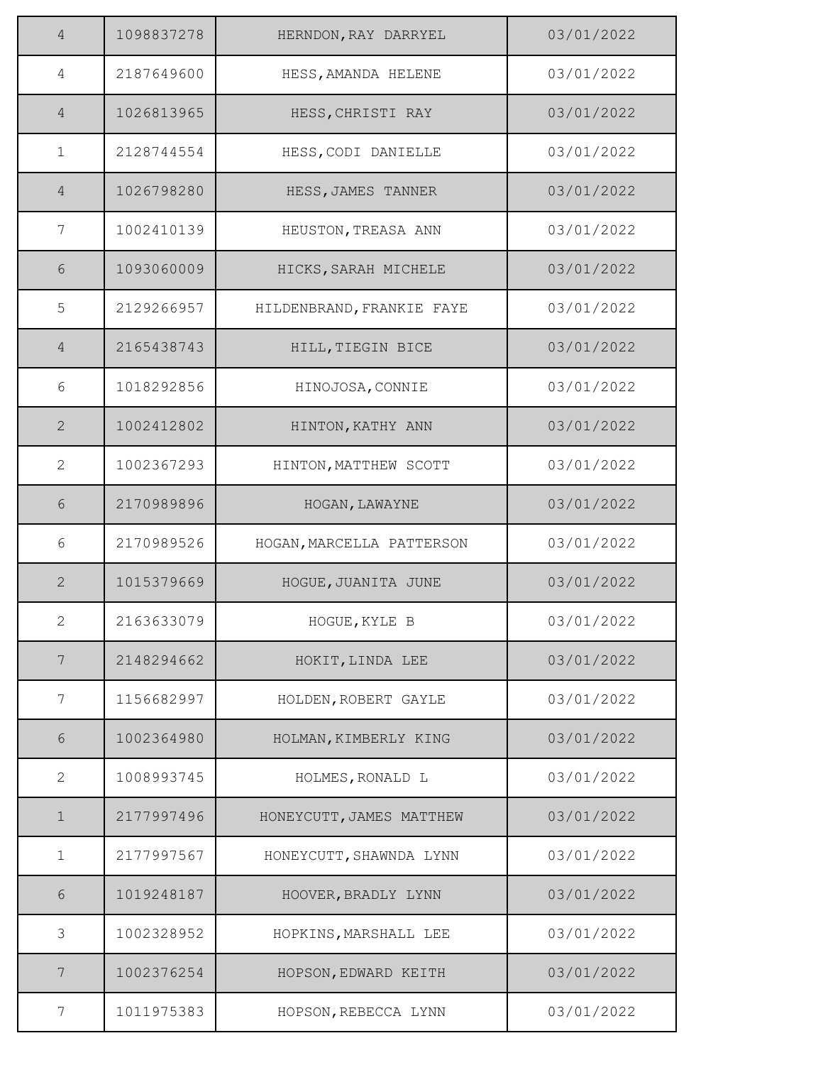| $\overline{4}$ | 1098837278 | HERNDON, RAY DARRYEL      | 03/01/2022 |
|----------------|------------|---------------------------|------------|
| $\overline{4}$ | 2187649600 | HESS, AMANDA HELENE       | 03/01/2022 |
| $\overline{4}$ | 1026813965 | HESS, CHRISTI RAY         | 03/01/2022 |
| $\mathbf{1}$   | 2128744554 | HESS, CODI DANIELLE       | 03/01/2022 |
| $\overline{4}$ | 1026798280 | HESS, JAMES TANNER        | 03/01/2022 |
| 7              | 1002410139 | HEUSTON, TREASA ANN       | 03/01/2022 |
| 6              | 1093060009 | HICKS, SARAH MICHELE      | 03/01/2022 |
| 5              | 2129266957 | HILDENBRAND, FRANKIE FAYE | 03/01/2022 |
| $\overline{4}$ | 2165438743 | HILL, TIEGIN BICE         | 03/01/2022 |
| 6              | 1018292856 | HINOJOSA, CONNIE          | 03/01/2022 |
| $\mathbf{2}$   | 1002412802 | HINTON, KATHY ANN         | 03/01/2022 |
| 2              | 1002367293 | HINTON, MATTHEW SCOTT     | 03/01/2022 |
| 6              | 2170989896 | HOGAN, LAWAYNE            | 03/01/2022 |
| 6              | 2170989526 | HOGAN, MARCELLA PATTERSON | 03/01/2022 |
| $\overline{2}$ | 1015379669 | HOGUE, JUANITA JUNE       | 03/01/2022 |
| 2              | 2163633079 | HOGUE, KYLE B             | 03/01/2022 |
| 7              | 2148294662 | HOKIT, LINDA LEE          | 03/01/2022 |
| 7              | 1156682997 | HOLDEN, ROBERT GAYLE      | 03/01/2022 |
| 6              | 1002364980 | HOLMAN, KIMBERLY KING     | 03/01/2022 |
| 2              | 1008993745 | HOLMES, RONALD L          | 03/01/2022 |
| $\mathbf 1$    | 2177997496 | HONEYCUTT, JAMES MATTHEW  | 03/01/2022 |
| $\mathbf 1$    | 2177997567 | HONEYCUTT, SHAWNDA LYNN   | 03/01/2022 |
| $6\,$          | 1019248187 | HOOVER, BRADLY LYNN       | 03/01/2022 |
| 3              | 1002328952 | HOPKINS, MARSHALL LEE     | 03/01/2022 |
| 7              | 1002376254 | HOPSON, EDWARD KEITH      | 03/01/2022 |
| 7              | 1011975383 | HOPSON, REBECCA LYNN      | 03/01/2022 |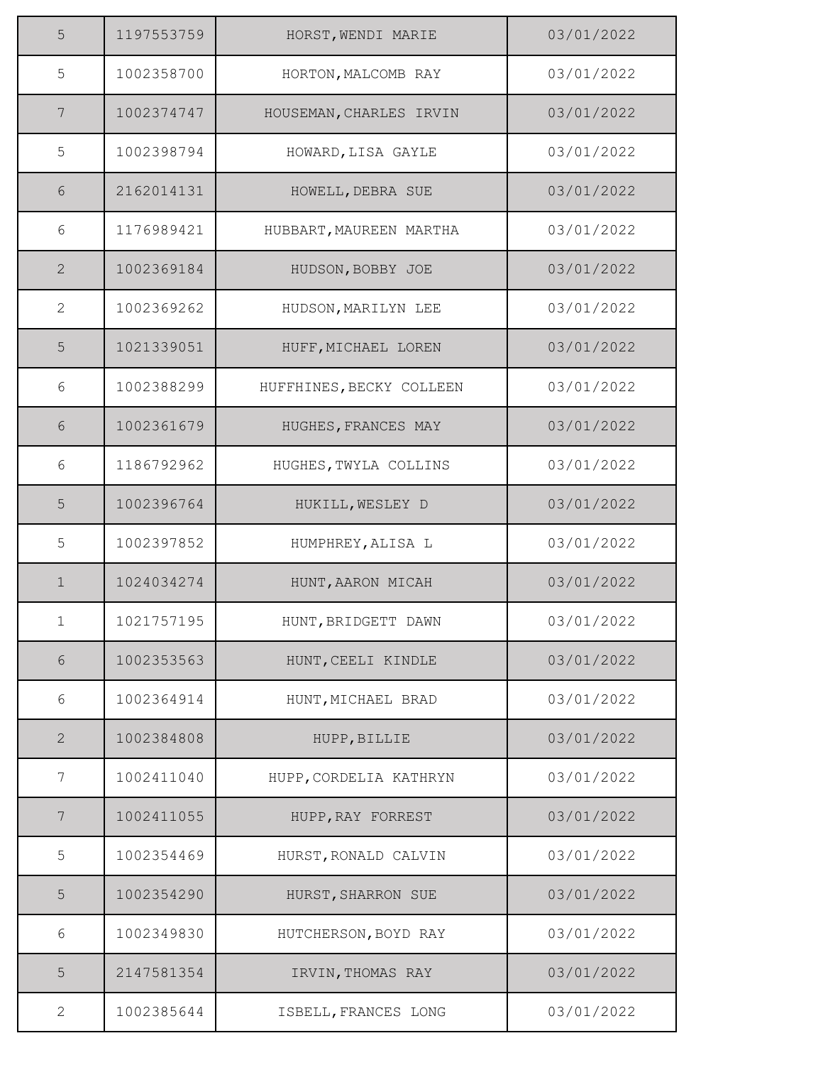| 5            | 1197553759 | HORST, WENDI MARIE       | 03/01/2022 |
|--------------|------------|--------------------------|------------|
| 5            | 1002358700 | HORTON, MALCOMB RAY      | 03/01/2022 |
| 7            | 1002374747 | HOUSEMAN, CHARLES IRVIN  | 03/01/2022 |
| 5            | 1002398794 | HOWARD, LISA GAYLE       | 03/01/2022 |
| 6            | 2162014131 | HOWELL, DEBRA SUE        | 03/01/2022 |
| 6            | 1176989421 | HUBBART, MAUREEN MARTHA  | 03/01/2022 |
| 2            | 1002369184 | HUDSON, BOBBY JOE        | 03/01/2022 |
| $\mathbf{2}$ | 1002369262 | HUDSON, MARILYN LEE      | 03/01/2022 |
| 5            | 1021339051 | HUFF, MICHAEL LOREN      | 03/01/2022 |
| 6            | 1002388299 | HUFFHINES, BECKY COLLEEN | 03/01/2022 |
| $6\,$        | 1002361679 | HUGHES, FRANCES MAY      | 03/01/2022 |
| 6            | 1186792962 | HUGHES, TWYLA COLLINS    | 03/01/2022 |
| 5            | 1002396764 | HUKILL, WESLEY D         | 03/01/2022 |
| 5            | 1002397852 | HUMPHREY, ALISA L        | 03/01/2022 |
| $\mathbf 1$  | 1024034274 | HUNT, AARON MICAH        | 03/01/2022 |
| $\mathbf{1}$ | 1021757195 | HUNT, BRIDGETT DAWN      | 03/01/2022 |
| $6\,$        | 1002353563 | HUNT, CEELI KINDLE       | 03/01/2022 |
| 6            | 1002364914 | HUNT, MICHAEL BRAD       | 03/01/2022 |
| $\mathbf{2}$ | 1002384808 | HUPP, BILLIE             | 03/01/2022 |
| 7            | 1002411040 | HUPP, CORDELIA KATHRYN   | 03/01/2022 |
| 7            | 1002411055 | HUPP, RAY FORREST        | 03/01/2022 |
| 5            | 1002354469 | HURST, RONALD CALVIN     | 03/01/2022 |
| 5            | 1002354290 | HURST, SHARRON SUE       | 03/01/2022 |
| 6            | 1002349830 | HUTCHERSON, BOYD RAY     | 03/01/2022 |
| 5            | 2147581354 | IRVIN, THOMAS RAY        | 03/01/2022 |
| 2            | 1002385644 | ISBELL, FRANCES LONG     | 03/01/2022 |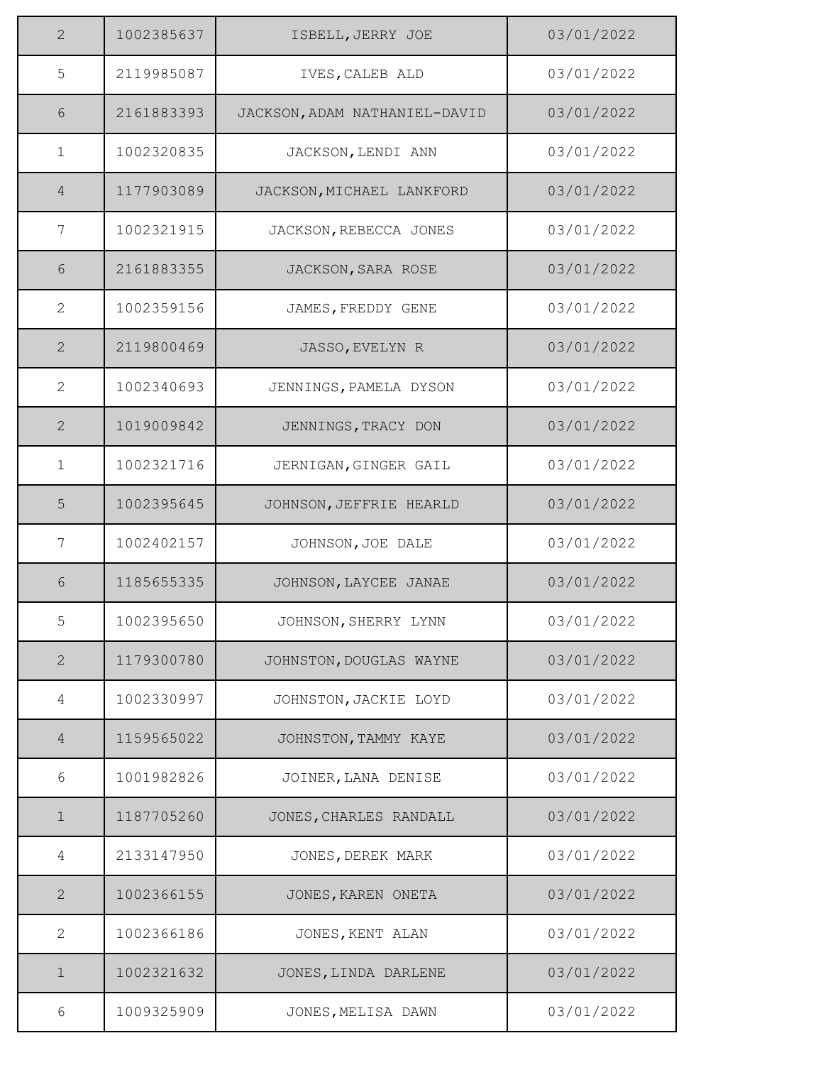| 2              | 1002385637 | ISBELL, JERRY JOE             | 03/01/2022 |
|----------------|------------|-------------------------------|------------|
| 5              | 2119985087 | IVES, CALEB ALD               | 03/01/2022 |
| 6              | 2161883393 | JACKSON, ADAM NATHANIEL-DAVID | 03/01/2022 |
| $\mathbf{1}$   | 1002320835 | JACKSON, LENDI ANN            | 03/01/2022 |
| $\overline{4}$ | 1177903089 | JACKSON, MICHAEL LANKFORD     | 03/01/2022 |
| 7              | 1002321915 | JACKSON, REBECCA JONES        | 03/01/2022 |
| 6              | 2161883355 | JACKSON, SARA ROSE            | 03/01/2022 |
| $\overline{2}$ | 1002359156 | JAMES, FREDDY GENE            | 03/01/2022 |
| $\overline{2}$ | 2119800469 | JASSO, EVELYN R               | 03/01/2022 |
| $\mathbf{2}$   | 1002340693 | JENNINGS, PAMELA DYSON        | 03/01/2022 |
| $\overline{2}$ | 1019009842 | JENNINGS, TRACY DON           | 03/01/2022 |
| $\mathbf{1}$   | 1002321716 | JERNIGAN, GINGER GAIL         | 03/01/2022 |
| 5              | 1002395645 | JOHNSON, JEFFRIE HEARLD       | 03/01/2022 |
| 7              | 1002402157 | JOHNSON, JOE DALE             | 03/01/2022 |
| 6              | 1185655335 | JOHNSON, LAYCEE JANAE         | 03/01/2022 |
| 5              | 1002395650 | JOHNSON, SHERRY LYNN          | 03/01/2022 |
| $\mathbf{2}$   | 1179300780 | JOHNSTON, DOUGLAS WAYNE       | 03/01/2022 |
| 4              | 1002330997 | JOHNSTON, JACKIE LOYD         | 03/01/2022 |
| $\overline{4}$ | 1159565022 | JOHNSTON, TAMMY KAYE          | 03/01/2022 |
| 6              | 1001982826 | JOINER, LANA DENISE           | 03/01/2022 |
| $\mathbf 1$    | 1187705260 | JONES, CHARLES RANDALL        | 03/01/2022 |
| 4              | 2133147950 | JONES, DEREK MARK             | 03/01/2022 |
| $\mathbf{2}$   | 1002366155 | JONES, KAREN ONETA            | 03/01/2022 |
| $\mathbf{2}$   | 1002366186 | JONES, KENT ALAN              | 03/01/2022 |
| $\mathbf 1$    | 1002321632 | JONES, LINDA DARLENE          | 03/01/2022 |
| 6              | 1009325909 | JONES, MELISA DAWN            | 03/01/2022 |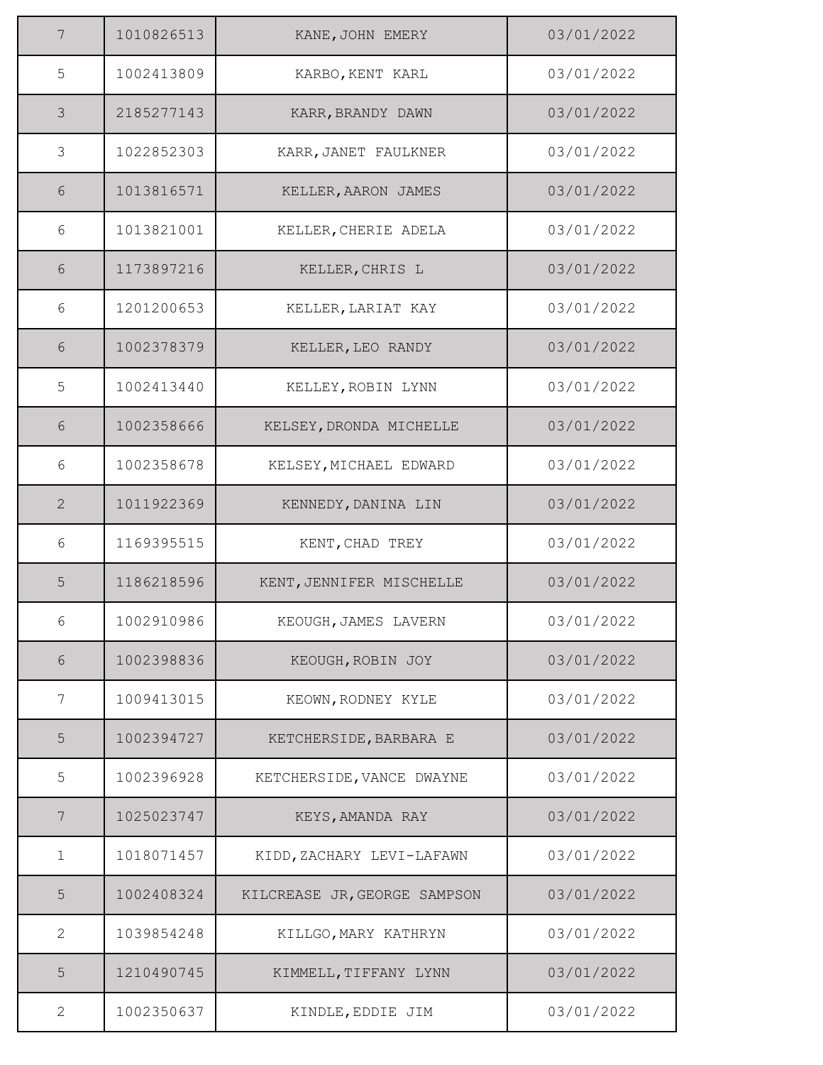| $\overline{7}$ | 1010826513 | KANE, JOHN EMERY             | 03/01/2022 |
|----------------|------------|------------------------------|------------|
| $\mathsf S$    | 1002413809 | KARBO, KENT KARL             | 03/01/2022 |
| 3              | 2185277143 | KARR, BRANDY DAWN            | 03/01/2022 |
| $\mathfrak{Z}$ | 1022852303 | KARR, JANET FAULKNER         | 03/01/2022 |
| 6              | 1013816571 | KELLER, AARON JAMES          | 03/01/2022 |
| 6              | 1013821001 | KELLER, CHERIE ADELA         | 03/01/2022 |
| 6              | 1173897216 | KELLER, CHRIS L              | 03/01/2022 |
| 6              | 1201200653 | KELLER, LARIAT KAY           | 03/01/2022 |
| 6              | 1002378379 | KELLER, LEO RANDY            | 03/01/2022 |
| 5              | 1002413440 | KELLEY, ROBIN LYNN           | 03/01/2022 |
| $\sqrt{6}$     | 1002358666 | KELSEY, DRONDA MICHELLE      | 03/01/2022 |
| 6              | 1002358678 | KELSEY, MICHAEL EDWARD       | 03/01/2022 |
| $\mathbf{2}$   | 1011922369 | KENNEDY, DANINA LIN          | 03/01/2022 |
| 6              | 1169395515 | KENT, CHAD TREY              | 03/01/2022 |
| 5              | 1186218596 | KENT, JENNIFER MISCHELLE     | 03/01/2022 |
| 6              | 1002910986 | KEOUGH, JAMES LAVERN         | 03/01/2022 |
| $6\,$          | 1002398836 | KEOUGH, ROBIN JOY            | 03/01/2022 |
| 7              | 1009413015 | KEOWN, RODNEY KYLE           | 03/01/2022 |
| 5              | 1002394727 | KETCHERSIDE, BARBARA E       | 03/01/2022 |
| 5              | 1002396928 | KETCHERSIDE, VANCE DWAYNE    | 03/01/2022 |
| 7              | 1025023747 | KEYS, AMANDA RAY             | 03/01/2022 |
| $\mathbf 1$    | 1018071457 | KIDD, ZACHARY LEVI-LAFAWN    | 03/01/2022 |
| 5              | 1002408324 | KILCREASE JR, GEORGE SAMPSON | 03/01/2022 |
| $\mathbf{2}$   | 1039854248 | KILLGO, MARY KATHRYN         | 03/01/2022 |
| 5              | 1210490745 | KIMMELL, TIFFANY LYNN        | 03/01/2022 |
| $\mathbf{2}$   | 1002350637 | KINDLE, EDDIE JIM            | 03/01/2022 |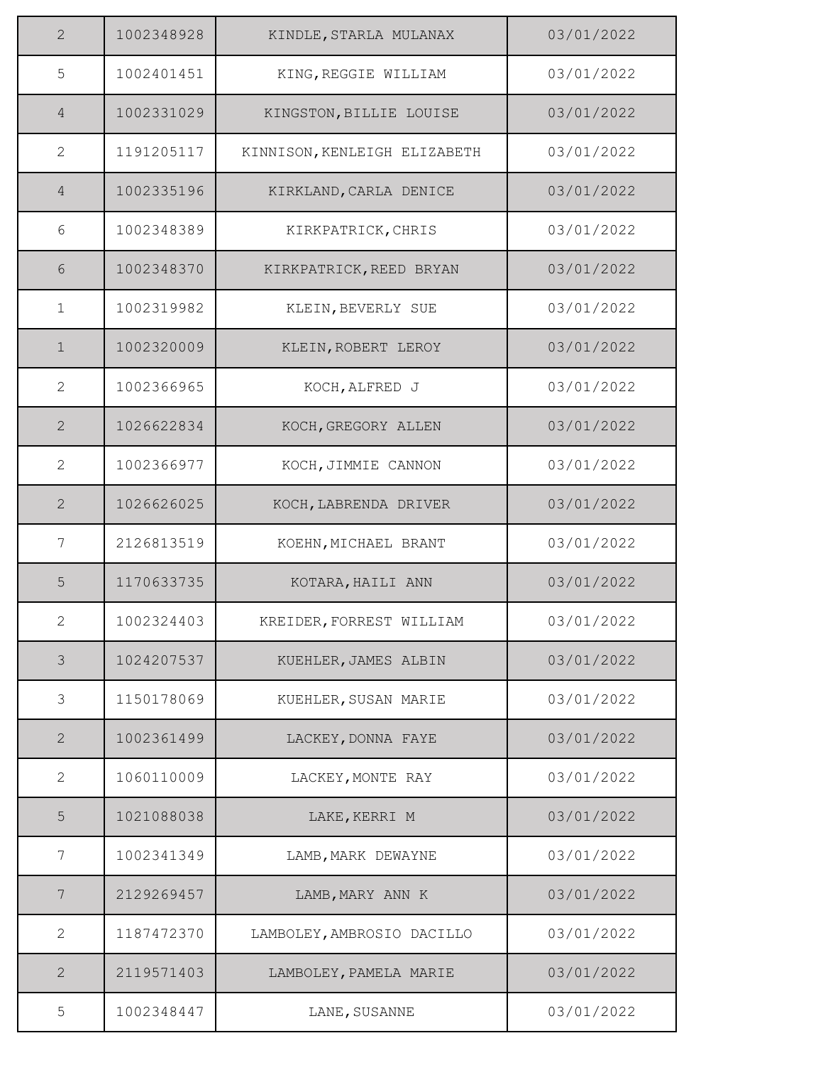| 2              | 1002348928 | KINDLE, STARLA MULANAX       | 03/01/2022 |
|----------------|------------|------------------------------|------------|
| 5              | 1002401451 | KING, REGGIE WILLIAM         | 03/01/2022 |
| $\overline{4}$ | 1002331029 | KINGSTON, BILLIE LOUISE      | 03/01/2022 |
| $\mathbf{2}$   | 1191205117 | KINNISON, KENLEIGH ELIZABETH | 03/01/2022 |
| $\overline{4}$ | 1002335196 | KIRKLAND, CARLA DENICE       | 03/01/2022 |
| 6              | 1002348389 | KIRKPATRICK, CHRIS           | 03/01/2022 |
| 6              | 1002348370 | KIRKPATRICK, REED BRYAN      | 03/01/2022 |
| $\mathbf{1}$   | 1002319982 | KLEIN, BEVERLY SUE           | 03/01/2022 |
| $\mathbf 1$    | 1002320009 | KLEIN, ROBERT LEROY          | 03/01/2022 |
| $\mathbf{2}$   | 1002366965 | KOCH, ALFRED J               | 03/01/2022 |
| $\overline{2}$ | 1026622834 | KOCH, GREGORY ALLEN          | 03/01/2022 |
| 2              | 1002366977 | KOCH, JIMMIE CANNON          | 03/01/2022 |
| $\mathbf{2}$   | 1026626025 | KOCH, LABRENDA DRIVER        | 03/01/2022 |
| 7              | 2126813519 | KOEHN, MICHAEL BRANT         | 03/01/2022 |
| 5              | 1170633735 | KOTARA, HAILI ANN            | 03/01/2022 |
| 2              | 1002324403 | KREIDER, FORREST WILLIAM     | 03/01/2022 |
| $\mathcal{S}$  | 1024207537 | KUEHLER, JAMES ALBIN         | 03/01/2022 |
| 3              | 1150178069 | KUEHLER, SUSAN MARIE         | 03/01/2022 |
| 2              | 1002361499 | LACKEY, DONNA FAYE           | 03/01/2022 |
| $\mathbf{2}$   | 1060110009 | LACKEY, MONTE RAY            | 03/01/2022 |
| 5              | 1021088038 | LAKE, KERRI M                | 03/01/2022 |
| 7              | 1002341349 | LAMB, MARK DEWAYNE           | 03/01/2022 |
| 7              | 2129269457 | LAMB, MARY ANN K             | 03/01/2022 |
| $\mathbf{2}$   | 1187472370 | LAMBOLEY, AMBROSIO DACILLO   | 03/01/2022 |
| $\mathbf{2}$   | 2119571403 | LAMBOLEY, PAMELA MARIE       | 03/01/2022 |
| 5              | 1002348447 | LANE, SUSANNE                | 03/01/2022 |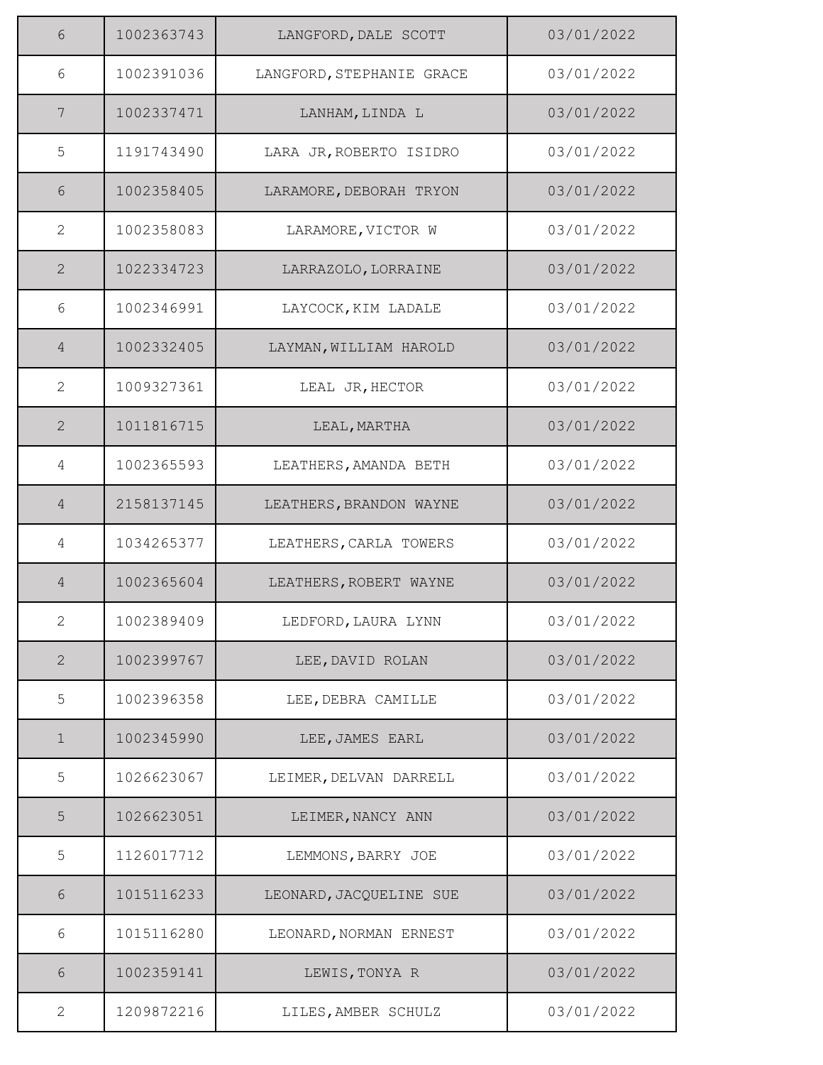| 6              | 1002363743 | LANGFORD, DALE SCOTT      | 03/01/2022 |
|----------------|------------|---------------------------|------------|
| 6              | 1002391036 | LANGFORD, STEPHANIE GRACE | 03/01/2022 |
| $\overline{7}$ | 1002337471 | LANHAM, LINDA L           | 03/01/2022 |
| 5              | 1191743490 | LARA JR, ROBERTO ISIDRO   | 03/01/2022 |
| 6              | 1002358405 | LARAMORE, DEBORAH TRYON   | 03/01/2022 |
| $\mathbf{2}$   | 1002358083 | LARAMORE, VICTOR W        | 03/01/2022 |
| $\mathbf{2}$   | 1022334723 | LARRAZOLO, LORRAINE       | 03/01/2022 |
| 6              | 1002346991 | LAYCOCK, KIM LADALE       | 03/01/2022 |
| $\overline{4}$ | 1002332405 | LAYMAN, WILLIAM HAROLD    | 03/01/2022 |
| $\mathbf{2}$   | 1009327361 | LEAL JR, HECTOR           | 03/01/2022 |
| $\mathbf{2}$   | 1011816715 | LEAL, MARTHA              | 03/01/2022 |
| 4              | 1002365593 | LEATHERS, AMANDA BETH     | 03/01/2022 |
| $\overline{4}$ | 2158137145 | LEATHERS, BRANDON WAYNE   | 03/01/2022 |
| 4              | 1034265377 | LEATHERS, CARLA TOWERS    | 03/01/2022 |
| $\overline{4}$ | 1002365604 | LEATHERS, ROBERT WAYNE    | 03/01/2022 |
| 2              | 1002389409 | LEDFORD, LAURA LYNN       | 03/01/2022 |
| $\mathbf{2}$   | 1002399767 | LEE, DAVID ROLAN          | 03/01/2022 |
| 5              | 1002396358 | LEE, DEBRA CAMILLE        | 03/01/2022 |
| $\mathbf 1$    | 1002345990 | LEE, JAMES EARL           | 03/01/2022 |
| 5              | 1026623067 | LEIMER, DELVAN DARRELL    | 03/01/2022 |
| 5              | 1026623051 | LEIMER, NANCY ANN         | 03/01/2022 |
| 5              | 1126017712 | LEMMONS, BARRY JOE        | 03/01/2022 |
| 6              | 1015116233 | LEONARD, JACQUELINE SUE   | 03/01/2022 |
| 6              | 1015116280 | LEONARD, NORMAN ERNEST    | 03/01/2022 |
| 6              | 1002359141 | LEWIS, TONYA R            | 03/01/2022 |
| 2              | 1209872216 | LILES, AMBER SCHULZ       | 03/01/2022 |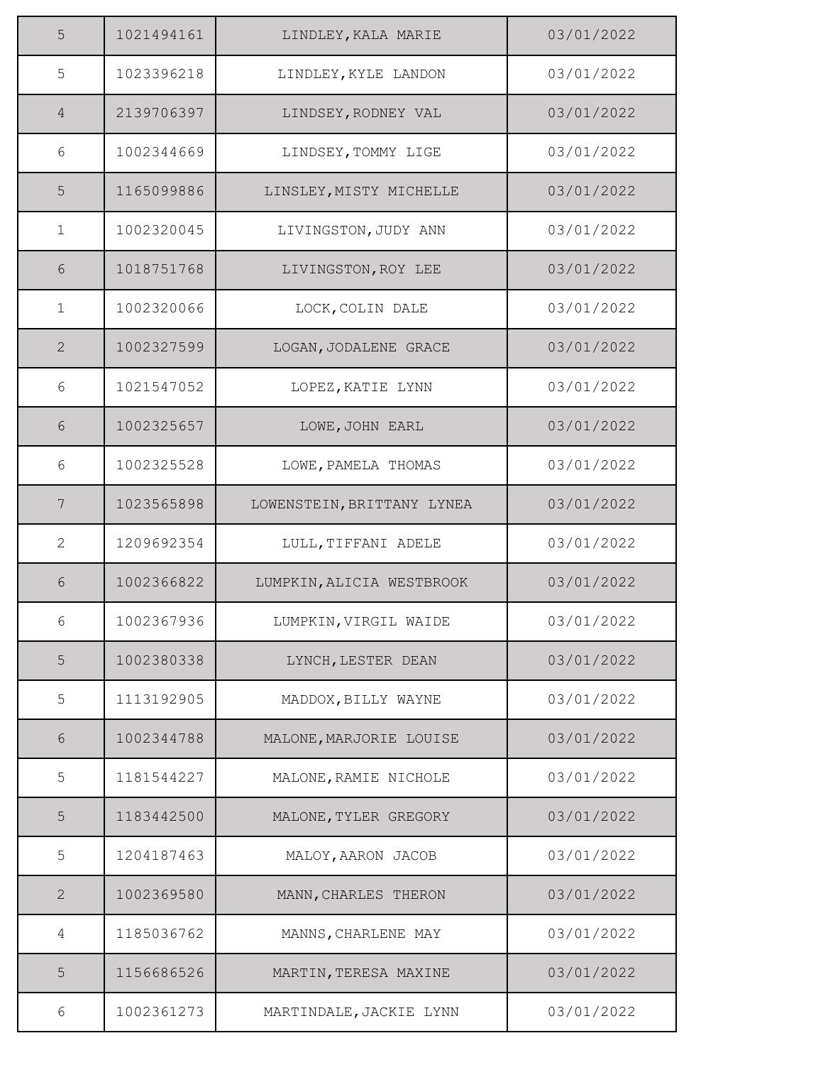| 5              | 1021494161 | LINDLEY, KALA MARIE        | 03/01/2022 |
|----------------|------------|----------------------------|------------|
| 5              | 1023396218 | LINDLEY, KYLE LANDON       | 03/01/2022 |
| $\overline{4}$ | 2139706397 | LINDSEY, RODNEY VAL        | 03/01/2022 |
| 6              | 1002344669 | LINDSEY, TOMMY LIGE        | 03/01/2022 |
| 5              | 1165099886 | LINSLEY, MISTY MICHELLE    | 03/01/2022 |
| $\mathbf{1}$   | 1002320045 | LIVINGSTON, JUDY ANN       | 03/01/2022 |
| 6              | 1018751768 | LIVINGSTON, ROY LEE        | 03/01/2022 |
| $\mathbf{1}$   | 1002320066 | LOCK, COLIN DALE           | 03/01/2022 |
| $\mathbf{2}$   | 1002327599 | LOGAN, JODALENE GRACE      | 03/01/2022 |
| 6              | 1021547052 | LOPEZ, KATIE LYNN          | 03/01/2022 |
| 6              | 1002325657 | LOWE, JOHN EARL            | 03/01/2022 |
| 6              | 1002325528 | LOWE, PAMELA THOMAS        | 03/01/2022 |
| $\overline{7}$ | 1023565898 | LOWENSTEIN, BRITTANY LYNEA | 03/01/2022 |
| $\overline{2}$ | 1209692354 | LULL, TIFFANI ADELE        | 03/01/2022 |
| 6              | 1002366822 | LUMPKIN, ALICIA WESTBROOK  | 03/01/2022 |
| 6              | 1002367936 | LUMPKIN, VIRGIL WAIDE      | 03/01/2022 |
| 5              | 1002380338 | LYNCH, LESTER DEAN         | 03/01/2022 |
| 5              | 1113192905 | MADDOX, BILLY WAYNE        | 03/01/2022 |
| 6              | 1002344788 | MALONE, MARJORIE LOUISE    | 03/01/2022 |
| 5              | 1181544227 | MALONE, RAMIE NICHOLE      | 03/01/2022 |
| 5              | 1183442500 | MALONE, TYLER GREGORY      | 03/01/2022 |
| 5              | 1204187463 | MALOY, AARON JACOB         | 03/01/2022 |
| $\mathbf{2}$   | 1002369580 | MANN, CHARLES THERON       | 03/01/2022 |
| 4              | 1185036762 | MANNS, CHARLENE MAY        | 03/01/2022 |
| 5              | 1156686526 | MARTIN, TERESA MAXINE      | 03/01/2022 |
| 6              | 1002361273 | MARTINDALE, JACKIE LYNN    | 03/01/2022 |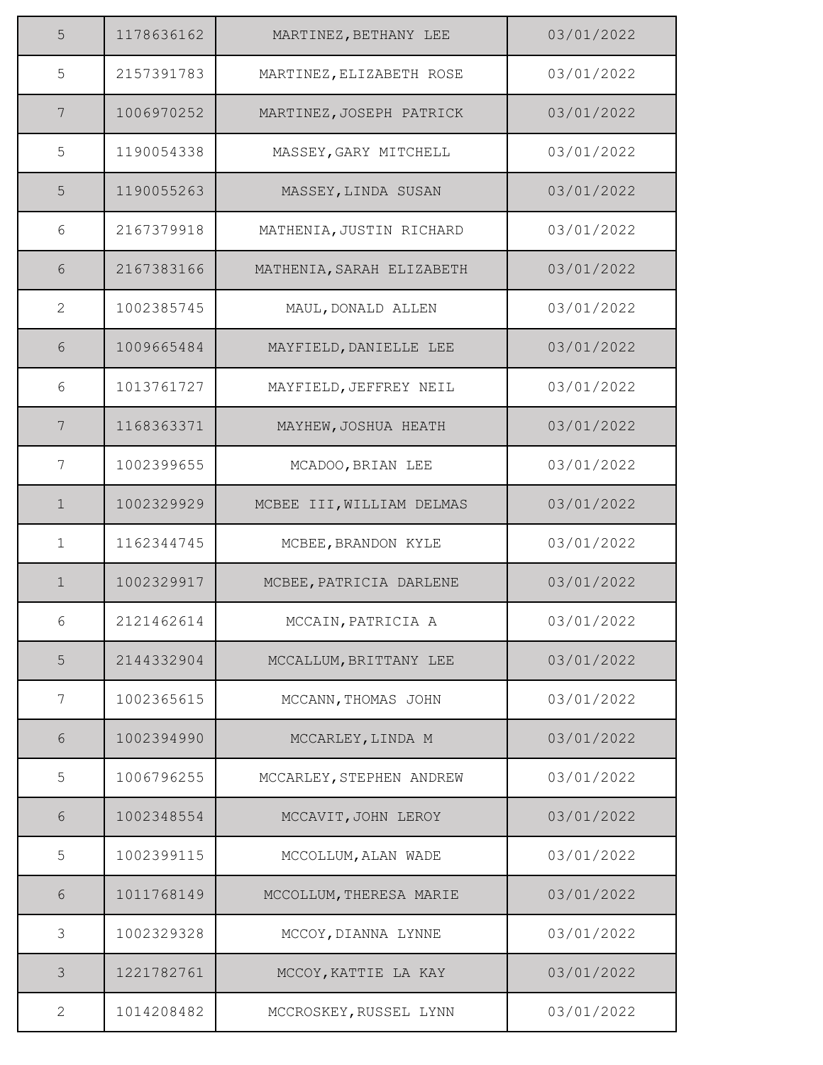| 5            | 1178636162 | MARTINEZ, BETHANY LEE     | 03/01/2022 |
|--------------|------------|---------------------------|------------|
| 5            | 2157391783 | MARTINEZ, ELIZABETH ROSE  | 03/01/2022 |
| 7            | 1006970252 | MARTINEZ, JOSEPH PATRICK  | 03/01/2022 |
| 5            | 1190054338 | MASSEY, GARY MITCHELL     | 03/01/2022 |
| 5            | 1190055263 | MASSEY, LINDA SUSAN       | 03/01/2022 |
| 6            | 2167379918 | MATHENIA, JUSTIN RICHARD  | 03/01/2022 |
| 6            | 2167383166 | MATHENIA, SARAH ELIZABETH | 03/01/2022 |
| 2            | 1002385745 | MAUL, DONALD ALLEN        | 03/01/2022 |
| 6            | 1009665484 | MAYFIELD, DANIELLE LEE    | 03/01/2022 |
| 6            | 1013761727 | MAYFIELD, JEFFREY NEIL    | 03/01/2022 |
| 7            | 1168363371 | MAYHEW, JOSHUA HEATH      | 03/01/2022 |
| 7            | 1002399655 | MCADOO, BRIAN LEE         | 03/01/2022 |
| $\mathbf 1$  | 1002329929 | MCBEE III, WILLIAM DELMAS | 03/01/2022 |
| $\mathbf{1}$ | 1162344745 | MCBEE, BRANDON KYLE       | 03/01/2022 |
| $\mathbf{1}$ | 1002329917 | MCBEE, PATRICIA DARLENE   | 03/01/2022 |
| 6            | 2121462614 | MCCAIN, PATRICIA A        | 03/01/2022 |
| 5            | 2144332904 | MCCALLUM, BRITTANY LEE    | 03/01/2022 |
| 7            | 1002365615 | MCCANN, THOMAS JOHN       | 03/01/2022 |
| 6            | 1002394990 | MCCARLEY, LINDA M         | 03/01/2022 |
| 5            | 1006796255 | MCCARLEY, STEPHEN ANDREW  | 03/01/2022 |
| 6            | 1002348554 | MCCAVIT, JOHN LEROY       | 03/01/2022 |
| 5            | 1002399115 | MCCOLLUM, ALAN WADE       | 03/01/2022 |
| $6\,$        | 1011768149 | MCCOLLUM, THERESA MARIE   | 03/01/2022 |
| 3            | 1002329328 | MCCOY, DIANNA LYNNE       | 03/01/2022 |
| 3            | 1221782761 | MCCOY, KATTIE LA KAY      | 03/01/2022 |
| 2            | 1014208482 | MCCROSKEY, RUSSEL LYNN    | 03/01/2022 |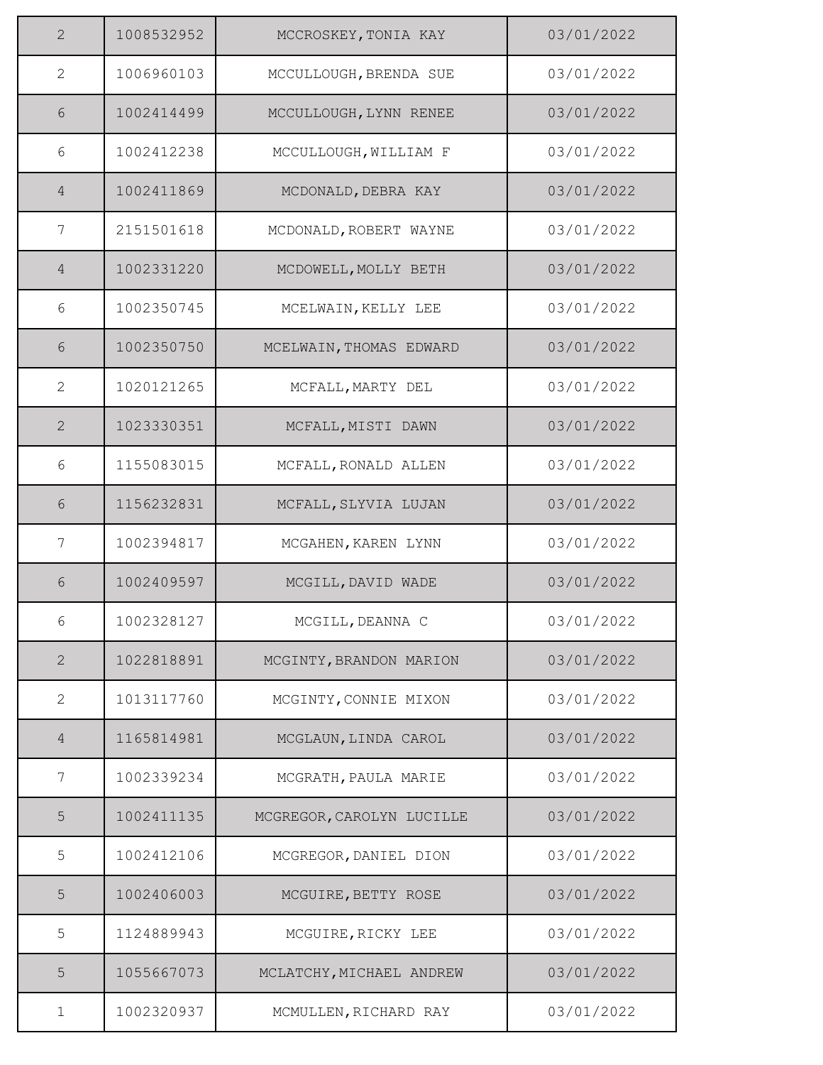| $\overline{2}$ | 1008532952 | MCCROSKEY, TONIA KAY      | 03/01/2022 |
|----------------|------------|---------------------------|------------|
| $\mathbf{2}$   | 1006960103 | MCCULLOUGH, BRENDA SUE    | 03/01/2022 |
| 6              | 1002414499 | MCCULLOUGH, LYNN RENEE    | 03/01/2022 |
| 6              | 1002412238 | MCCULLOUGH, WILLIAM F     | 03/01/2022 |
| $\overline{4}$ | 1002411869 | MCDONALD, DEBRA KAY       | 03/01/2022 |
| 7              | 2151501618 | MCDONALD, ROBERT WAYNE    | 03/01/2022 |
| $\overline{4}$ | 1002331220 | MCDOWELL, MOLLY BETH      | 03/01/2022 |
| 6              | 1002350745 | MCELWAIN, KELLY LEE       | 03/01/2022 |
| 6              | 1002350750 | MCELWAIN, THOMAS EDWARD   | 03/01/2022 |
| 2              | 1020121265 | MCFALL, MARTY DEL         | 03/01/2022 |
| $\mathbf{2}$   | 1023330351 | MCFALL, MISTI DAWN        | 03/01/2022 |
| 6              | 1155083015 | MCFALL, RONALD ALLEN      | 03/01/2022 |
| 6              | 1156232831 | MCFALL, SLYVIA LUJAN      | 03/01/2022 |
| 7              | 1002394817 | MCGAHEN, KAREN LYNN       | 03/01/2022 |
| 6              | 1002409597 | MCGILL, DAVID WADE        | 03/01/2022 |
| 6              | 1002328127 | MCGILL, DEANNA C          | 03/01/2022 |
| $\mathbf{2}$   | 1022818891 | MCGINTY, BRANDON MARION   | 03/01/2022 |
| $\mathbf{2}$   | 1013117760 | MCGINTY, CONNIE MIXON     | 03/01/2022 |
| $\overline{4}$ | 1165814981 | MCGLAUN, LINDA CAROL      | 03/01/2022 |
| 7              | 1002339234 | MCGRATH, PAULA MARIE      | 03/01/2022 |
| 5              | 1002411135 | MCGREGOR, CAROLYN LUCILLE | 03/01/2022 |
| 5              | 1002412106 | MCGREGOR, DANIEL DION     | 03/01/2022 |
| 5              | 1002406003 | MCGUIRE, BETTY ROSE       | 03/01/2022 |
| 5              | 1124889943 | MCGUIRE, RICKY LEE        | 03/01/2022 |
| 5              | 1055667073 | MCLATCHY, MICHAEL ANDREW  | 03/01/2022 |
| 1              | 1002320937 | MCMULLEN, RICHARD RAY     | 03/01/2022 |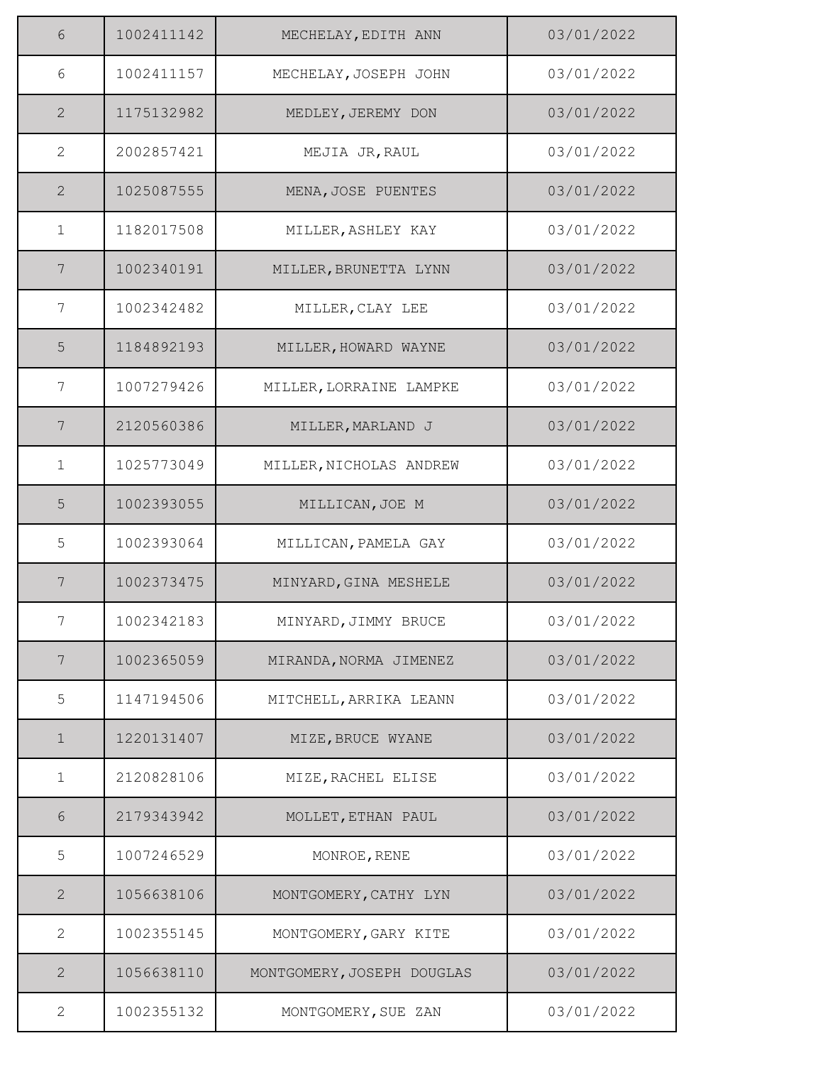| 6               | 1002411142 | MECHELAY, EDITH ANN        | 03/01/2022 |
|-----------------|------------|----------------------------|------------|
| 6               | 1002411157 | MECHELAY, JOSEPH JOHN      | 03/01/2022 |
| $\overline{2}$  | 1175132982 | MEDLEY, JEREMY DON         | 03/01/2022 |
| $\mathbf{2}$    | 2002857421 | MEJIA JR, RAUL             | 03/01/2022 |
| $\mathbf{2}$    | 1025087555 | MENA, JOSE PUENTES         | 03/01/2022 |
| $\mathbf{1}$    | 1182017508 | MILLER, ASHLEY KAY         | 03/01/2022 |
| $7\phantom{.0}$ | 1002340191 | MILLER, BRUNETTA LYNN      | 03/01/2022 |
| 7               | 1002342482 | MILLER, CLAY LEE           | 03/01/2022 |
| 5               | 1184892193 | MILLER, HOWARD WAYNE       | 03/01/2022 |
| 7               | 1007279426 | MILLER, LORRAINE LAMPKE    | 03/01/2022 |
| 7               | 2120560386 | MILLER, MARLAND J          | 03/01/2022 |
| $\mathbf{1}$    | 1025773049 | MILLER, NICHOLAS ANDREW    | 03/01/2022 |
| 5               | 1002393055 | MILLICAN, JOE M            | 03/01/2022 |
| 5               | 1002393064 | MILLICAN, PAMELA GAY       | 03/01/2022 |
| 7               | 1002373475 | MINYARD, GINA MESHELE      | 03/01/2022 |
| 7               | 1002342183 | MINYARD, JIMMY BRUCE       | 03/01/2022 |
| 7               | 1002365059 | MIRANDA, NORMA JIMENEZ     | 03/01/2022 |
| 5               | 1147194506 | MITCHELL, ARRIKA LEANN     | 03/01/2022 |
| $\mathbf 1$     | 1220131407 | MIZE, BRUCE WYANE          | 03/01/2022 |
| $\mathbf{1}$    | 2120828106 | MIZE, RACHEL ELISE         | 03/01/2022 |
| 6               | 2179343942 | MOLLET, ETHAN PAUL         | 03/01/2022 |
| 5               | 1007246529 | MONROE, RENE               | 03/01/2022 |
| $\mathbf{2}$    | 1056638106 | MONTGOMERY, CATHY LYN      | 03/01/2022 |
| $\mathbf{2}$    | 1002355145 | MONTGOMERY, GARY KITE      | 03/01/2022 |
| 2               | 1056638110 | MONTGOMERY, JOSEPH DOUGLAS | 03/01/2022 |
| $\mathbf{2}$    | 1002355132 | MONTGOMERY, SUE ZAN        | 03/01/2022 |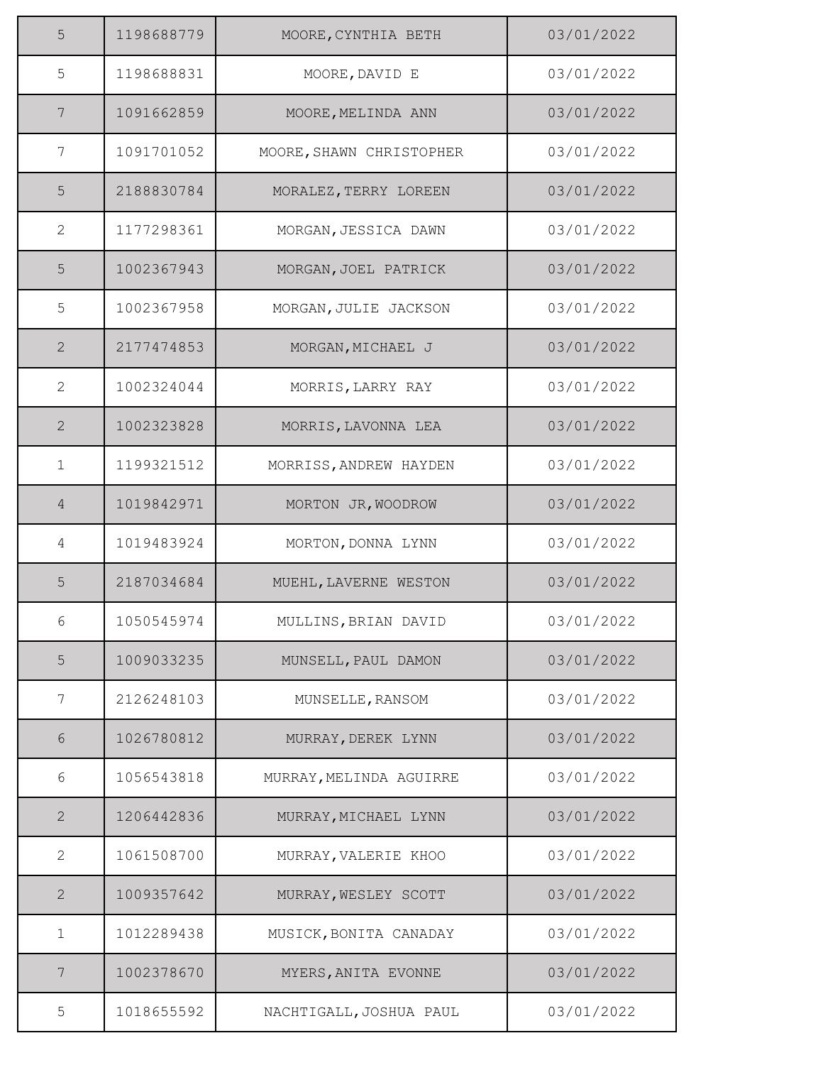| 5              | 1198688779 | MOORE, CYNTHIA BETH      | 03/01/2022 |
|----------------|------------|--------------------------|------------|
| 5              | 1198688831 | MOORE, DAVID E           | 03/01/2022 |
| 7              | 1091662859 | MOORE, MELINDA ANN       | 03/01/2022 |
| 7              | 1091701052 | MOORE, SHAWN CHRISTOPHER | 03/01/2022 |
| 5              | 2188830784 | MORALEZ, TERRY LOREEN    | 03/01/2022 |
| $\mathbf{2}$   | 1177298361 | MORGAN, JESSICA DAWN     | 03/01/2022 |
| 5              | 1002367943 | MORGAN, JOEL PATRICK     | 03/01/2022 |
| 5              | 1002367958 | MORGAN, JULIE JACKSON    | 03/01/2022 |
| $\overline{2}$ | 2177474853 | MORGAN, MICHAEL J        | 03/01/2022 |
| $\mathbf{2}$   | 1002324044 | MORRIS, LARRY RAY        | 03/01/2022 |
| $\mathbf{2}$   | 1002323828 | MORRIS, LAVONNA LEA      | 03/01/2022 |
| $\mathbf{1}$   | 1199321512 | MORRISS, ANDREW HAYDEN   | 03/01/2022 |
| $\overline{4}$ | 1019842971 | MORTON JR, WOODROW       | 03/01/2022 |
| 4              | 1019483924 | MORTON, DONNA LYNN       | 03/01/2022 |
| 5              | 2187034684 | MUEHL, LAVERNE WESTON    | 03/01/2022 |
| 6              | 1050545974 | MULLINS, BRIAN DAVID     | 03/01/2022 |
| 5              | 1009033235 | MUNSELL, PAUL DAMON      | 03/01/2022 |
| 7              | 2126248103 | MUNSELLE, RANSOM         | 03/01/2022 |
| 6              | 1026780812 | MURRAY, DEREK LYNN       | 03/01/2022 |
| 6              | 1056543818 | MURRAY, MELINDA AGUIRRE  | 03/01/2022 |
| $\overline{2}$ | 1206442836 | MURRAY, MICHAEL LYNN     | 03/01/2022 |
| $\mathbf{2}$   | 1061508700 | MURRAY, VALERIE KHOO     | 03/01/2022 |
| 2              | 1009357642 | MURRAY, WESLEY SCOTT     | 03/01/2022 |
| $\mathbf 1$    | 1012289438 | MUSICK, BONITA CANADAY   | 03/01/2022 |
| 7              | 1002378670 | MYERS, ANITA EVONNE      | 03/01/2022 |
| 5              | 1018655592 | NACHTIGALL, JOSHUA PAUL  | 03/01/2022 |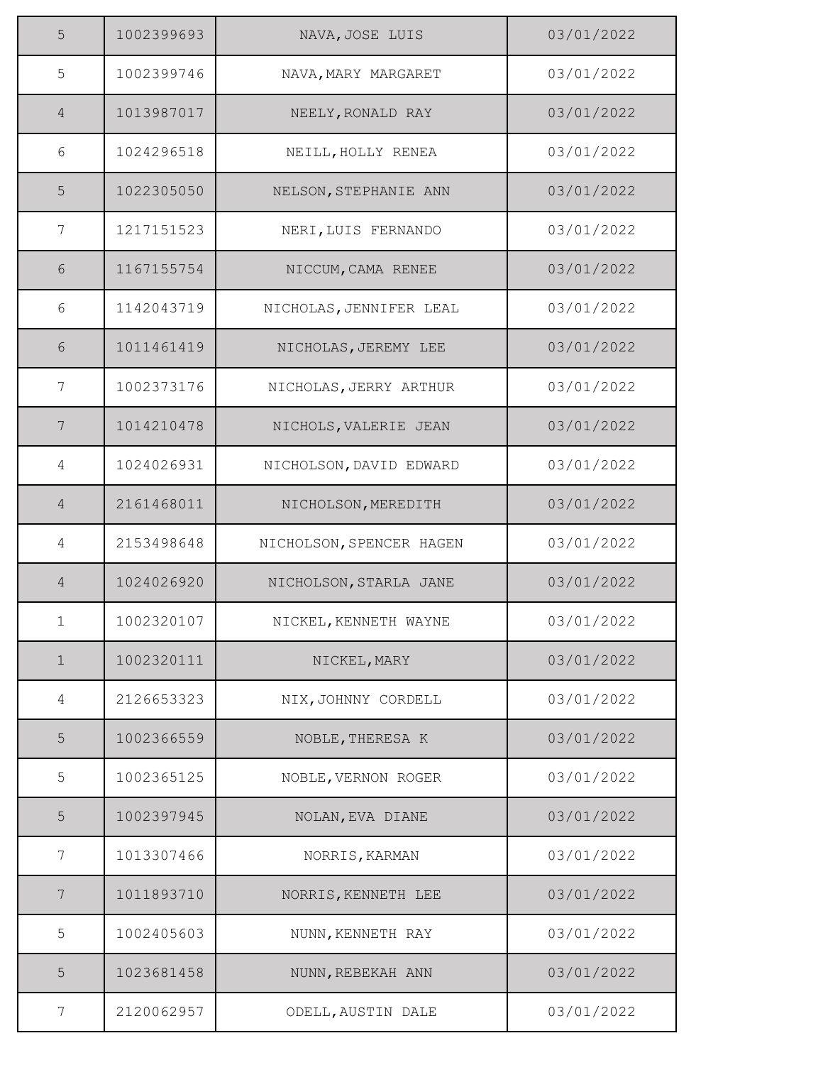| 5              | 1002399693 | NAVA, JOSE LUIS          | 03/01/2022 |
|----------------|------------|--------------------------|------------|
| 5              | 1002399746 | NAVA, MARY MARGARET      | 03/01/2022 |
| $\overline{4}$ | 1013987017 | NEELY, RONALD RAY        | 03/01/2022 |
| 6              | 1024296518 | NEILL, HOLLY RENEA       | 03/01/2022 |
| 5              | 1022305050 | NELSON, STEPHANIE ANN    | 03/01/2022 |
| 7              | 1217151523 | NERI, LUIS FERNANDO      | 03/01/2022 |
| 6              | 1167155754 | NICCUM, CAMA RENEE       | 03/01/2022 |
| 6              | 1142043719 | NICHOLAS, JENNIFER LEAL  | 03/01/2022 |
| 6              | 1011461419 | NICHOLAS, JEREMY LEE     | 03/01/2022 |
| 7              | 1002373176 | NICHOLAS, JERRY ARTHUR   | 03/01/2022 |
| 7              | 1014210478 | NICHOLS, VALERIE JEAN    | 03/01/2022 |
| 4              | 1024026931 | NICHOLSON, DAVID EDWARD  | 03/01/2022 |
| $\overline{4}$ | 2161468011 | NICHOLSON, MEREDITH      | 03/01/2022 |
| 4              | 2153498648 | NICHOLSON, SPENCER HAGEN | 03/01/2022 |
| $\overline{4}$ | 1024026920 | NICHOLSON, STARLA JANE   | 03/01/2022 |
| $\mathbf{1}$   | 1002320107 | NICKEL, KENNETH WAYNE    | 03/01/2022 |
| $\mathbf 1$    | 1002320111 | NICKEL, MARY             | 03/01/2022 |
| 4              | 2126653323 | NIX, JOHNNY CORDELL      | 03/01/2022 |
| 5              | 1002366559 | NOBLE, THERESA K         | 03/01/2022 |
| 5              | 1002365125 | NOBLE, VERNON ROGER      | 03/01/2022 |
| 5              | 1002397945 | NOLAN, EVA DIANE         | 03/01/2022 |
| 7              | 1013307466 | NORRIS, KARMAN           | 03/01/2022 |
| 7              | 1011893710 | NORRIS, KENNETH LEE      | 03/01/2022 |
| 5              | 1002405603 | NUNN, KENNETH RAY        | 03/01/2022 |
| 5              | 1023681458 | NUNN, REBEKAH ANN        | 03/01/2022 |
| 7              | 2120062957 | ODELL, AUSTIN DALE       | 03/01/2022 |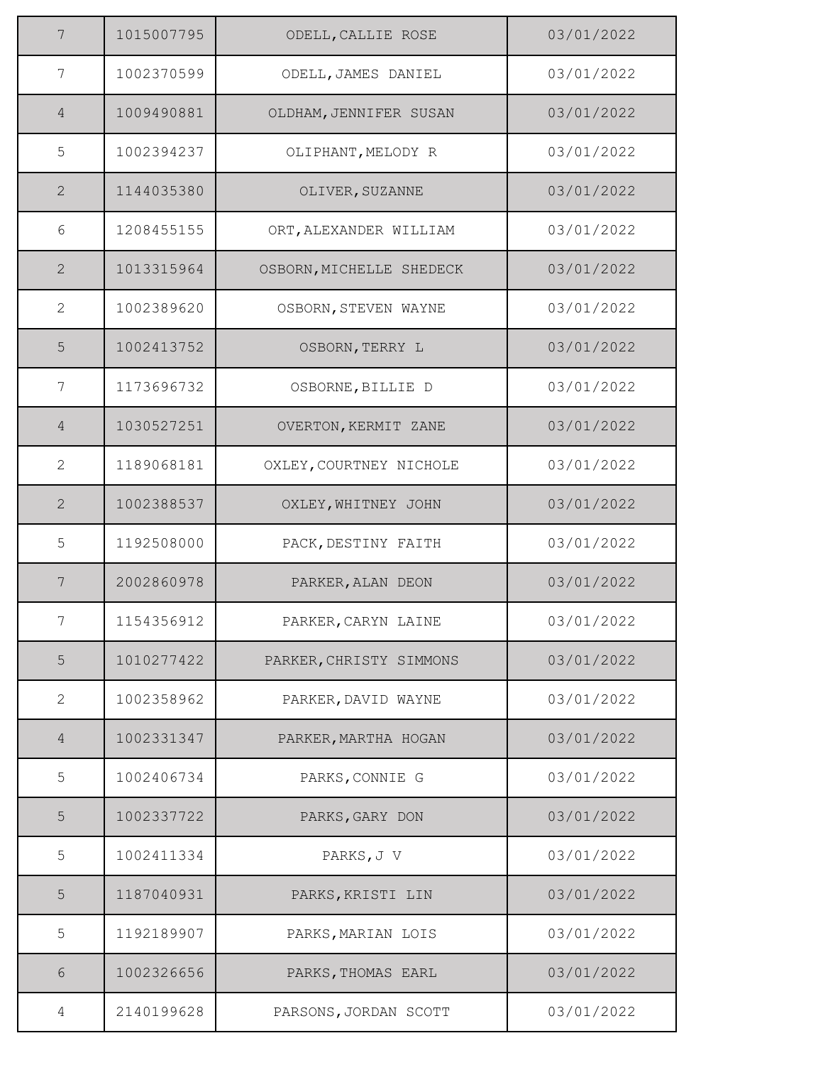| $\overline{7}$ | 1015007795 | ODELL, CALLIE ROSE       | 03/01/2022 |
|----------------|------------|--------------------------|------------|
| 7              | 1002370599 | ODELL, JAMES DANIEL      | 03/01/2022 |
| $\overline{4}$ | 1009490881 | OLDHAM, JENNIFER SUSAN   | 03/01/2022 |
| 5              | 1002394237 | OLIPHANT, MELODY R       | 03/01/2022 |
| 2              | 1144035380 | OLIVER, SUZANNE          | 03/01/2022 |
| 6              | 1208455155 | ORT, ALEXANDER WILLIAM   | 03/01/2022 |
| $\overline{2}$ | 1013315964 | OSBORN, MICHELLE SHEDECK | 03/01/2022 |
| 2              | 1002389620 | OSBORN, STEVEN WAYNE     | 03/01/2022 |
| 5              | 1002413752 | OSBORN, TERRY L          | 03/01/2022 |
| 7              | 1173696732 | OSBORNE, BILLIE D        | 03/01/2022 |
| $\overline{4}$ | 1030527251 | OVERTON, KERMIT ZANE     | 03/01/2022 |
| 2              | 1189068181 | OXLEY, COURTNEY NICHOLE  | 03/01/2022 |
| 2              | 1002388537 | OXLEY, WHITNEY JOHN      | 03/01/2022 |
| 5              | 1192508000 | PACK, DESTINY FAITH      | 03/01/2022 |
| 7              | 2002860978 | PARKER, ALAN DEON        | 03/01/2022 |
| 7              | 1154356912 | PARKER, CARYN LAINE      | 03/01/2022 |
| 5              | 1010277422 | PARKER, CHRISTY SIMMONS  | 03/01/2022 |
| $\mathbf{2}$   | 1002358962 | PARKER, DAVID WAYNE      | 03/01/2022 |
| $\overline{4}$ | 1002331347 | PARKER, MARTHA HOGAN     | 03/01/2022 |
| 5              | 1002406734 | PARKS, CONNIE G          | 03/01/2022 |
| 5              | 1002337722 | PARKS, GARY DON          | 03/01/2022 |
| 5              | 1002411334 | PARKS, J V               | 03/01/2022 |
| 5              | 1187040931 | PARKS, KRISTI LIN        | 03/01/2022 |
| 5              | 1192189907 | PARKS, MARIAN LOIS       | 03/01/2022 |
| 6              | 1002326656 | PARKS, THOMAS EARL       | 03/01/2022 |
| 4              | 2140199628 | PARSONS, JORDAN SCOTT    | 03/01/2022 |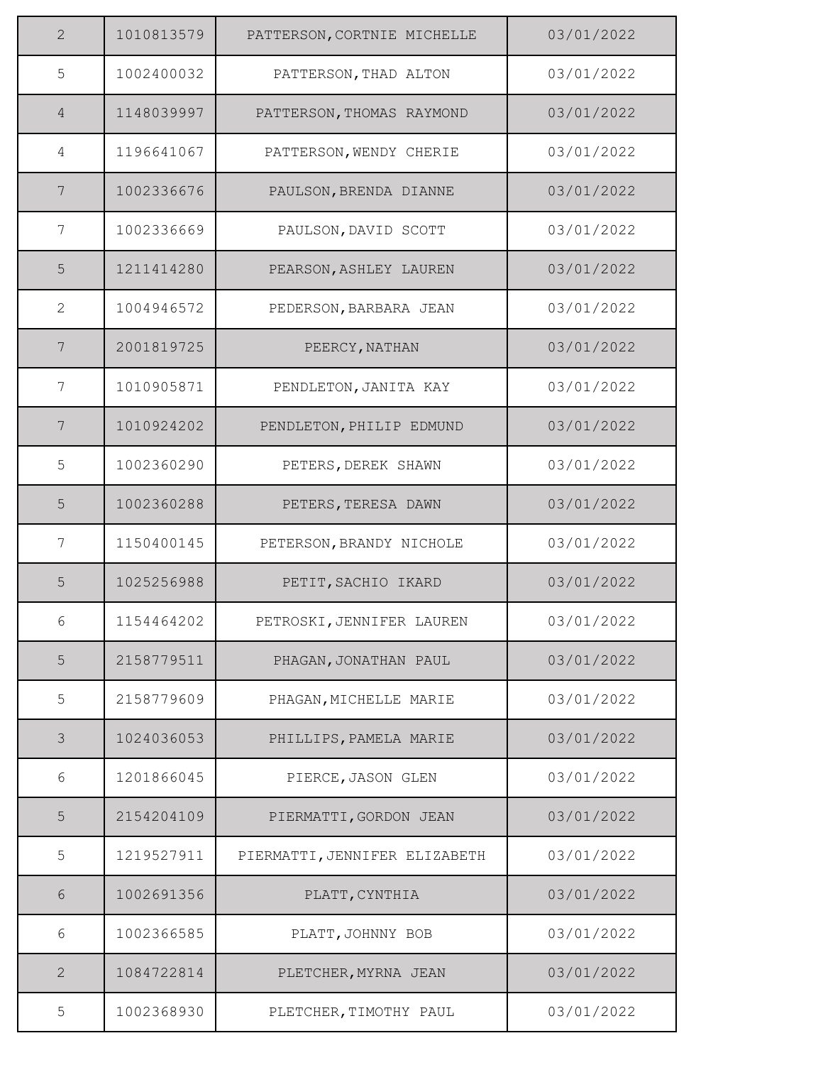| $\overline{2}$ | 1010813579 | PATTERSON, CORTNIE MICHELLE   | 03/01/2022 |
|----------------|------------|-------------------------------|------------|
| 5              | 1002400032 | PATTERSON, THAD ALTON         | 03/01/2022 |
| $\overline{4}$ | 1148039997 | PATTERSON, THOMAS RAYMOND     | 03/01/2022 |
| 4              | 1196641067 | PATTERSON, WENDY CHERIE       | 03/01/2022 |
| 7              | 1002336676 | PAULSON, BRENDA DIANNE        | 03/01/2022 |
| 7              | 1002336669 | PAULSON, DAVID SCOTT          | 03/01/2022 |
| 5              | 1211414280 | PEARSON, ASHLEY LAUREN        | 03/01/2022 |
| 2              | 1004946572 | PEDERSON, BARBARA JEAN        | 03/01/2022 |
| $\overline{7}$ | 2001819725 | PEERCY, NATHAN                | 03/01/2022 |
| 7              | 1010905871 | PENDLETON, JANITA KAY         | 03/01/2022 |
| 7              | 1010924202 | PENDLETON, PHILIP EDMUND      | 03/01/2022 |
| 5              | 1002360290 | PETERS, DEREK SHAWN           | 03/01/2022 |
| 5              | 1002360288 | PETERS, TERESA DAWN           | 03/01/2022 |
| 7              | 1150400145 | PETERSON, BRANDY NICHOLE      | 03/01/2022 |
| 5              | 1025256988 | PETIT, SACHIO IKARD           | 03/01/2022 |
| 6              | 1154464202 | PETROSKI, JENNIFER LAUREN     | 03/01/2022 |
| 5              | 2158779511 | PHAGAN, JONATHAN PAUL         | 03/01/2022 |
| 5              | 2158779609 | PHAGAN, MICHELLE MARIE        | 03/01/2022 |
| 3              | 1024036053 | PHILLIPS, PAMELA MARIE        | 03/01/2022 |
| 6              | 1201866045 | PIERCE, JASON GLEN            | 03/01/2022 |
| 5              | 2154204109 | PIERMATTI, GORDON JEAN        | 03/01/2022 |
| 5              | 1219527911 | PIERMATTI, JENNIFER ELIZABETH | 03/01/2022 |
| 6              | 1002691356 | PLATT, CYNTHIA                | 03/01/2022 |
| 6              | 1002366585 | PLATT, JOHNNY BOB             | 03/01/2022 |
| 2              | 1084722814 | PLETCHER, MYRNA JEAN          | 03/01/2022 |
| 5              | 1002368930 | PLETCHER, TIMOTHY PAUL        | 03/01/2022 |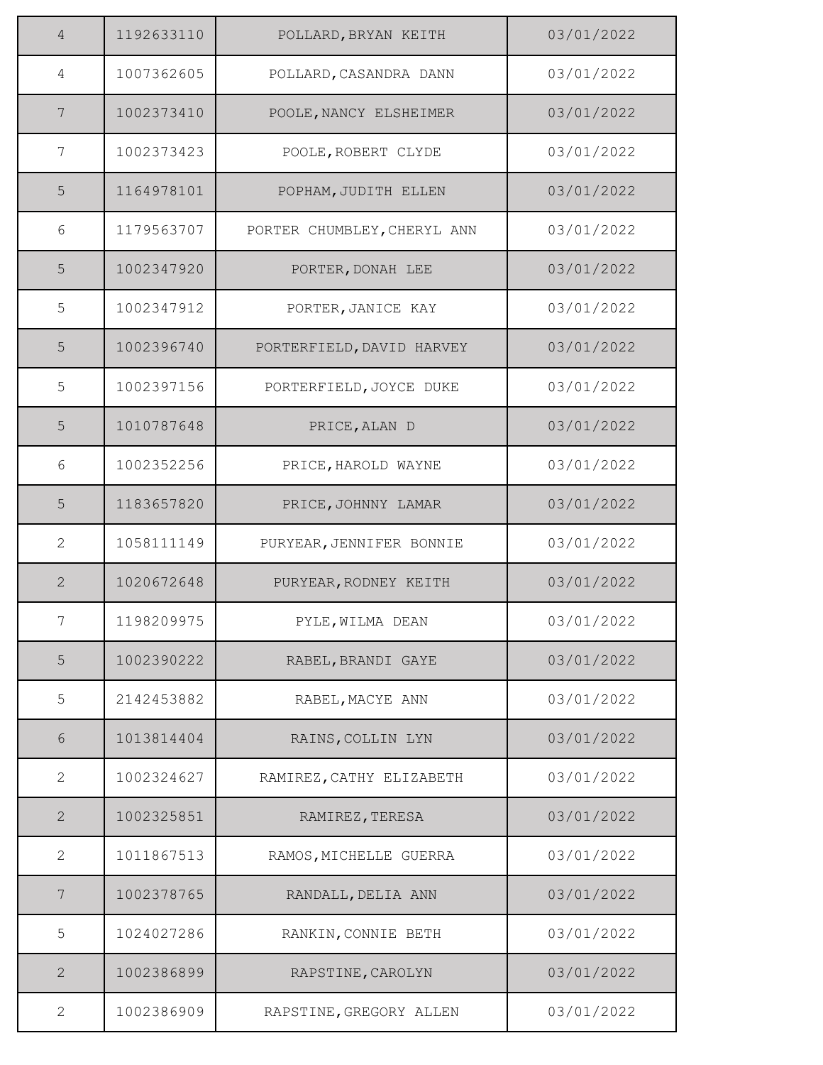| $\overline{4}$ | 1192633110 | POLLARD, BRYAN KEITH        | 03/01/2022 |
|----------------|------------|-----------------------------|------------|
| 4              | 1007362605 | POLLARD, CASANDRA DANN      | 03/01/2022 |
| 7              | 1002373410 | POOLE, NANCY ELSHEIMER      | 03/01/2022 |
| 7              | 1002373423 | POOLE, ROBERT CLYDE         | 03/01/2022 |
| 5              | 1164978101 | POPHAM, JUDITH ELLEN        | 03/01/2022 |
| 6              | 1179563707 | PORTER CHUMBLEY, CHERYL ANN | 03/01/2022 |
| 5              | 1002347920 | PORTER, DONAH LEE           | 03/01/2022 |
| 5              | 1002347912 | PORTER, JANICE KAY          | 03/01/2022 |
| 5              | 1002396740 | PORTERFIELD, DAVID HARVEY   | 03/01/2022 |
| 5              | 1002397156 | PORTERFIELD, JOYCE DUKE     | 03/01/2022 |
| 5              | 1010787648 | PRICE, ALAN D               | 03/01/2022 |
| 6              | 1002352256 | PRICE, HAROLD WAYNE         | 03/01/2022 |
| 5              | 1183657820 | PRICE, JOHNNY LAMAR         | 03/01/2022 |
| $\overline{2}$ | 1058111149 | PURYEAR, JENNIFER BONNIE    | 03/01/2022 |
| $\overline{2}$ | 1020672648 | PURYEAR, RODNEY KEITH       | 03/01/2022 |
| 7              | 1198209975 | PYLE, WILMA DEAN            | 03/01/2022 |
| 5              | 1002390222 | RABEL, BRANDI GAYE          | 03/01/2022 |
| 5              | 2142453882 | RABEL, MACYE ANN            | 03/01/2022 |
| 6              | 1013814404 | RAINS, COLLIN LYN           | 03/01/2022 |
| $\mathbf{2}$   | 1002324627 | RAMIREZ, CATHY ELIZABETH    | 03/01/2022 |
| $\mathbf{2}$   | 1002325851 | RAMIREZ, TERESA             | 03/01/2022 |
| $\mathbf{2}$   | 1011867513 | RAMOS, MICHELLE GUERRA      | 03/01/2022 |
| 7              | 1002378765 | RANDALL, DELIA ANN          | 03/01/2022 |
| 5              | 1024027286 | RANKIN, CONNIE BETH         | 03/01/2022 |
| 2              | 1002386899 | RAPSTINE, CAROLYN           | 03/01/2022 |
| 2              | 1002386909 | RAPSTINE, GREGORY ALLEN     | 03/01/2022 |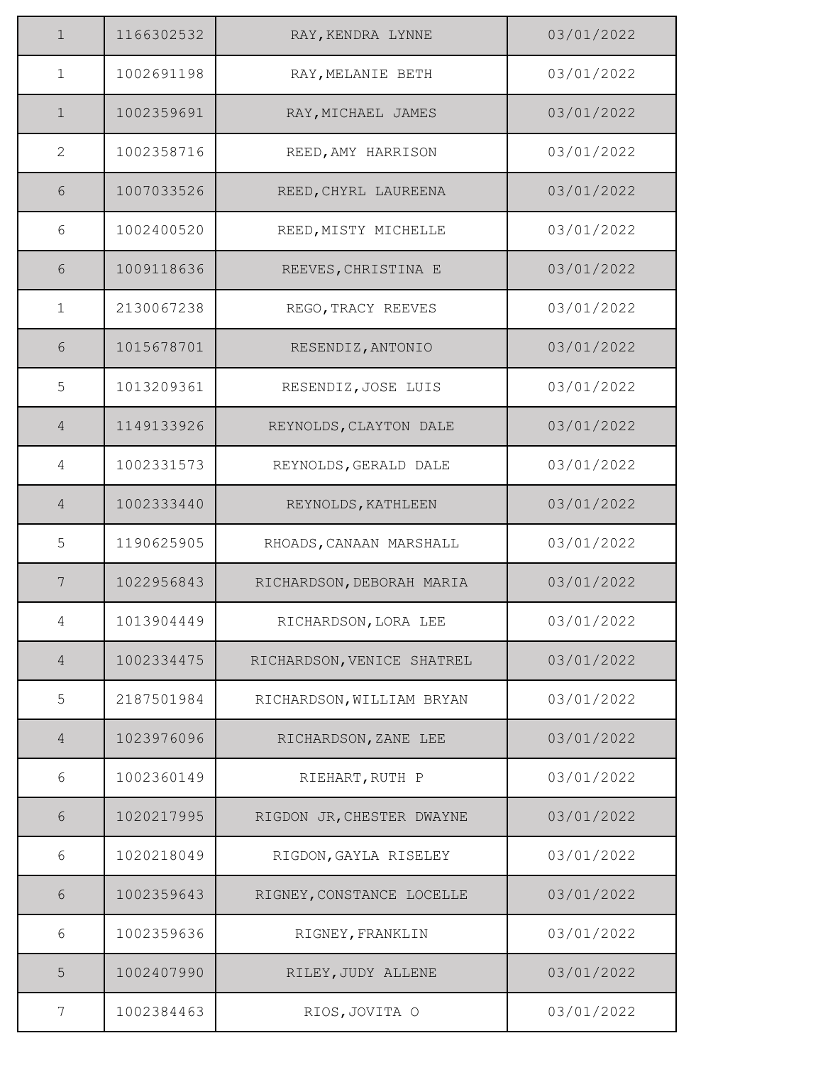| $\mathbf 1$    | 1166302532 | RAY, KENDRA LYNNE          | 03/01/2022 |
|----------------|------------|----------------------------|------------|
| $\mathbf 1$    | 1002691198 | RAY, MELANIE BETH          | 03/01/2022 |
| $\mathbf 1$    | 1002359691 | RAY, MICHAEL JAMES         | 03/01/2022 |
| $\mathbf{2}$   | 1002358716 | REED, AMY HARRISON         | 03/01/2022 |
| 6              | 1007033526 | REED, CHYRL LAUREENA       | 03/01/2022 |
| 6              | 1002400520 | REED, MISTY MICHELLE       | 03/01/2022 |
| 6              | 1009118636 | REEVES, CHRISTINA E        | 03/01/2022 |
| $\mathbf 1$    | 2130067238 | REGO, TRACY REEVES         | 03/01/2022 |
| 6              | 1015678701 | RESENDIZ, ANTONIO          | 03/01/2022 |
| 5              | 1013209361 | RESENDIZ, JOSE LUIS        | 03/01/2022 |
| $\overline{4}$ | 1149133926 | REYNOLDS, CLAYTON DALE     | 03/01/2022 |
| 4              | 1002331573 | REYNOLDS, GERALD DALE      | 03/01/2022 |
| $\overline{4}$ | 1002333440 | REYNOLDS, KATHLEEN         | 03/01/2022 |
| 5              | 1190625905 | RHOADS, CANAAN MARSHALL    | 03/01/2022 |
| 7              | 1022956843 | RICHARDSON, DEBORAH MARIA  | 03/01/2022 |
| 4              | 1013904449 | RICHARDSON, LORA LEE       | 03/01/2022 |
| 4              | 1002334475 | RICHARDSON, VENICE SHATREL | 03/01/2022 |
| 5              | 2187501984 | RICHARDSON, WILLIAM BRYAN  | 03/01/2022 |
| $\overline{4}$ | 1023976096 | RICHARDSON, ZANE LEE       | 03/01/2022 |
| 6              | 1002360149 | RIEHART, RUTH P            | 03/01/2022 |
| 6              | 1020217995 | RIGDON JR, CHESTER DWAYNE  | 03/01/2022 |
| 6              | 1020218049 | RIGDON, GAYLA RISELEY      | 03/01/2022 |
| 6              | 1002359643 | RIGNEY, CONSTANCE LOCELLE  | 03/01/2022 |
| 6              | 1002359636 | RIGNEY, FRANKLIN           | 03/01/2022 |
| 5              | 1002407990 | RILEY, JUDY ALLENE         | 03/01/2022 |
| 7              | 1002384463 | RIOS, JOVITA O             | 03/01/2022 |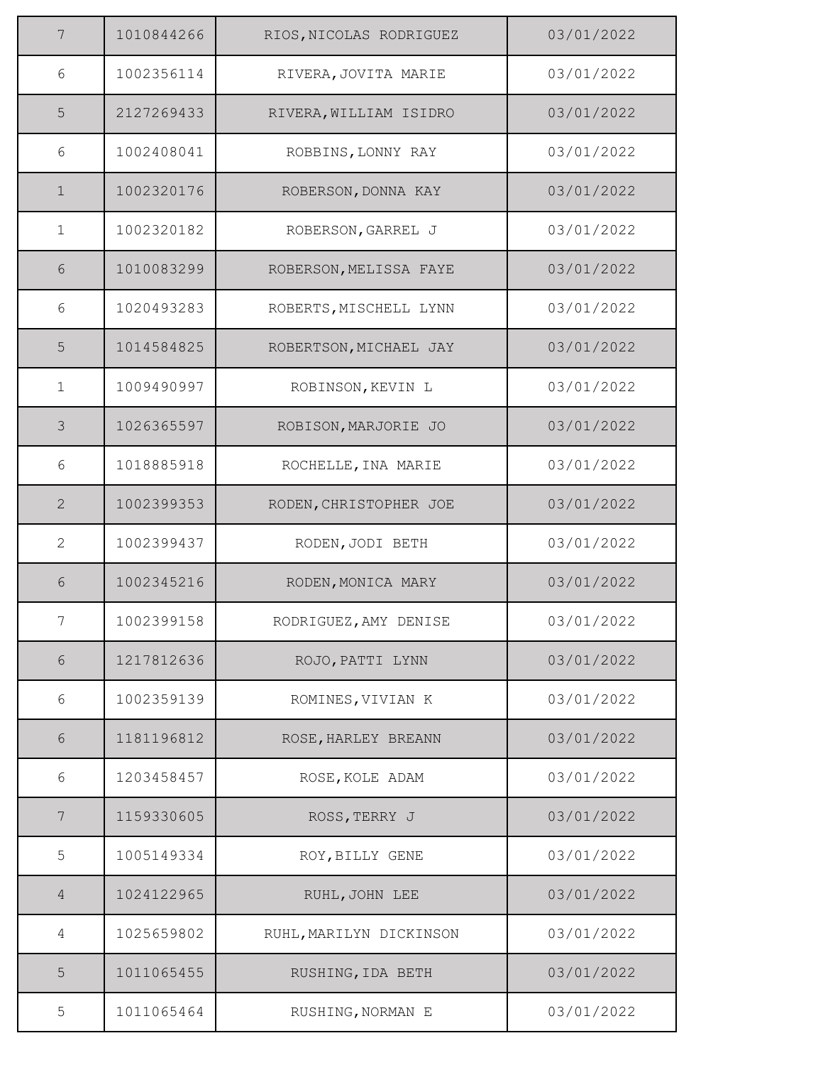| 7              | 1010844266 | RIOS, NICOLAS RODRIGUEZ | 03/01/2022 |
|----------------|------------|-------------------------|------------|
| 6              | 1002356114 | RIVERA, JOVITA MARIE    | 03/01/2022 |
| 5              | 2127269433 | RIVERA, WILLIAM ISIDRO  | 03/01/2022 |
| 6              | 1002408041 | ROBBINS, LONNY RAY      | 03/01/2022 |
| $\mathbf 1$    | 1002320176 | ROBERSON, DONNA KAY     | 03/01/2022 |
| $\mathbf{1}$   | 1002320182 | ROBERSON, GARREL J      | 03/01/2022 |
| 6              | 1010083299 | ROBERSON, MELISSA FAYE  | 03/01/2022 |
| 6              | 1020493283 | ROBERTS, MISCHELL LYNN  | 03/01/2022 |
| 5              | 1014584825 | ROBERTSON, MICHAEL JAY  | 03/01/2022 |
| $\mathbf 1$    | 1009490997 | ROBINSON, KEVIN L       | 03/01/2022 |
| $\mathcal{S}$  | 1026365597 | ROBISON, MARJORIE JO    | 03/01/2022 |
| 6              | 1018885918 | ROCHELLE, INA MARIE     | 03/01/2022 |
| 2              | 1002399353 | RODEN, CHRISTOPHER JOE  | 03/01/2022 |
| $\overline{2}$ | 1002399437 | RODEN, JODI BETH        | 03/01/2022 |
| 6              | 1002345216 | RODEN, MONICA MARY      | 03/01/2022 |
| 7              | 1002399158 | RODRIGUEZ, AMY DENISE   | 03/01/2022 |
| $6\,$          | 1217812636 | ROJO, PATTI LYNN        | 03/01/2022 |
| 6              | 1002359139 | ROMINES, VIVIAN K       | 03/01/2022 |
| 6              | 1181196812 | ROSE, HARLEY BREANN     | 03/01/2022 |
| 6              | 1203458457 | ROSE, KOLE ADAM         | 03/01/2022 |
| 7              | 1159330605 | ROSS, TERRY J           | 03/01/2022 |
| 5              | 1005149334 | ROY, BILLY GENE         | 03/01/2022 |
| $\overline{4}$ | 1024122965 | RUHL, JOHN LEE          | 03/01/2022 |
| 4              | 1025659802 | RUHL, MARILYN DICKINSON | 03/01/2022 |
| 5              | 1011065455 | RUSHING, IDA BETH       | 03/01/2022 |
| 5              | 1011065464 | RUSHING, NORMAN E       | 03/01/2022 |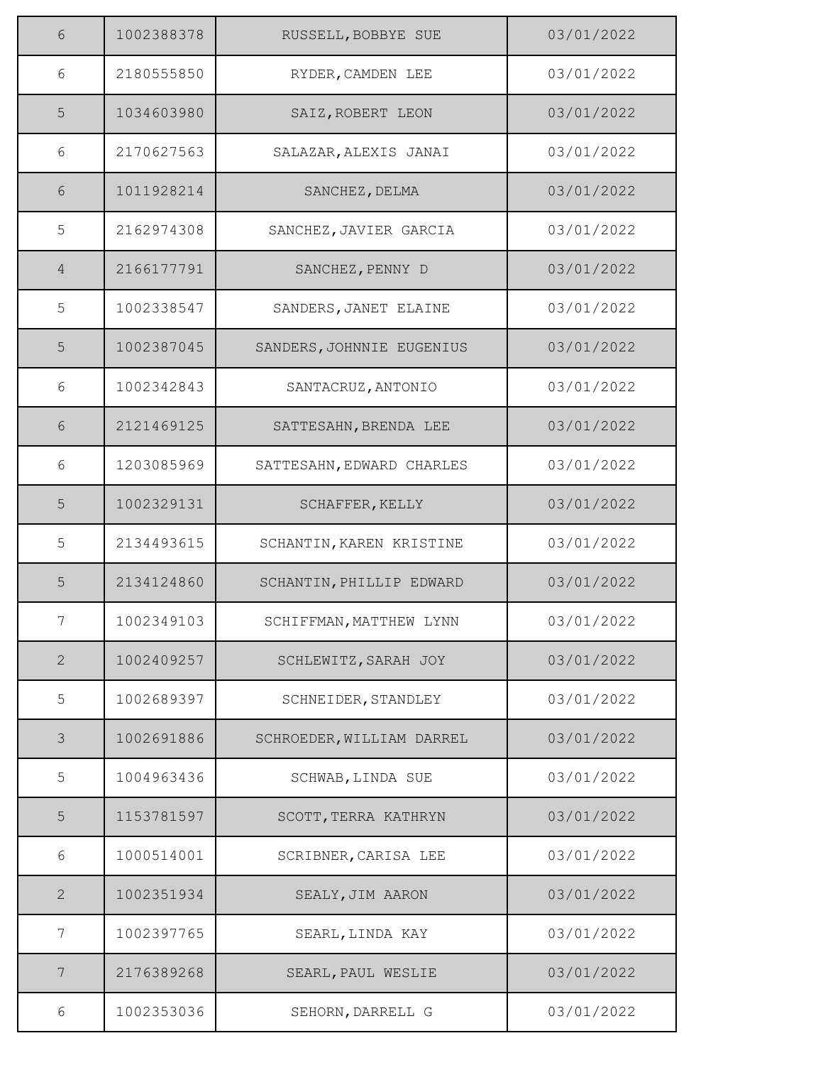| 6              | 1002388378 | RUSSELL, BOBBYE SUE       | 03/01/2022 |
|----------------|------------|---------------------------|------------|
| 6              | 2180555850 | RYDER, CAMDEN LEE         | 03/01/2022 |
| 5              | 1034603980 | SAIZ, ROBERT LEON         | 03/01/2022 |
| 6              | 2170627563 | SALAZAR, ALEXIS JANAI     | 03/01/2022 |
| 6              | 1011928214 | SANCHEZ, DELMA            | 03/01/2022 |
| 5              | 2162974308 | SANCHEZ, JAVIER GARCIA    | 03/01/2022 |
| $\overline{4}$ | 2166177791 | SANCHEZ, PENNY D          | 03/01/2022 |
| 5              | 1002338547 | SANDERS, JANET ELAINE     | 03/01/2022 |
| 5              | 1002387045 | SANDERS, JOHNNIE EUGENIUS | 03/01/2022 |
| 6              | 1002342843 | SANTACRUZ, ANTONIO        | 03/01/2022 |
| $6\,$          | 2121469125 | SATTESAHN, BRENDA LEE     | 03/01/2022 |
| 6              | 1203085969 | SATTESAHN, EDWARD CHARLES | 03/01/2022 |
| 5              | 1002329131 | SCHAFFER, KELLY           | 03/01/2022 |
| 5              | 2134493615 | SCHANTIN, KAREN KRISTINE  | 03/01/2022 |
| 5              | 2134124860 | SCHANTIN, PHILLIP EDWARD  | 03/01/2022 |
| 7              | 1002349103 | SCHIFFMAN, MATTHEW LYNN   | 03/01/2022 |
| 2              | 1002409257 | SCHLEWITZ, SARAH JOY      | 03/01/2022 |
| 5              | 1002689397 | SCHNEIDER, STANDLEY       | 03/01/2022 |
| $\mathcal{S}$  | 1002691886 | SCHROEDER, WILLIAM DARREL | 03/01/2022 |
| 5              | 1004963436 | SCHWAB, LINDA SUE         | 03/01/2022 |
| 5              | 1153781597 | SCOTT, TERRA KATHRYN      | 03/01/2022 |
| 6              | 1000514001 | SCRIBNER, CARISA LEE      | 03/01/2022 |
| 2              | 1002351934 | SEALY, JIM AARON          | 03/01/2022 |
| 7              | 1002397765 | SEARL, LINDA KAY          | 03/01/2022 |
| 7              | 2176389268 | SEARL, PAUL WESLIE        | 03/01/2022 |
| 6              | 1002353036 | SEHORN, DARRELL G         | 03/01/2022 |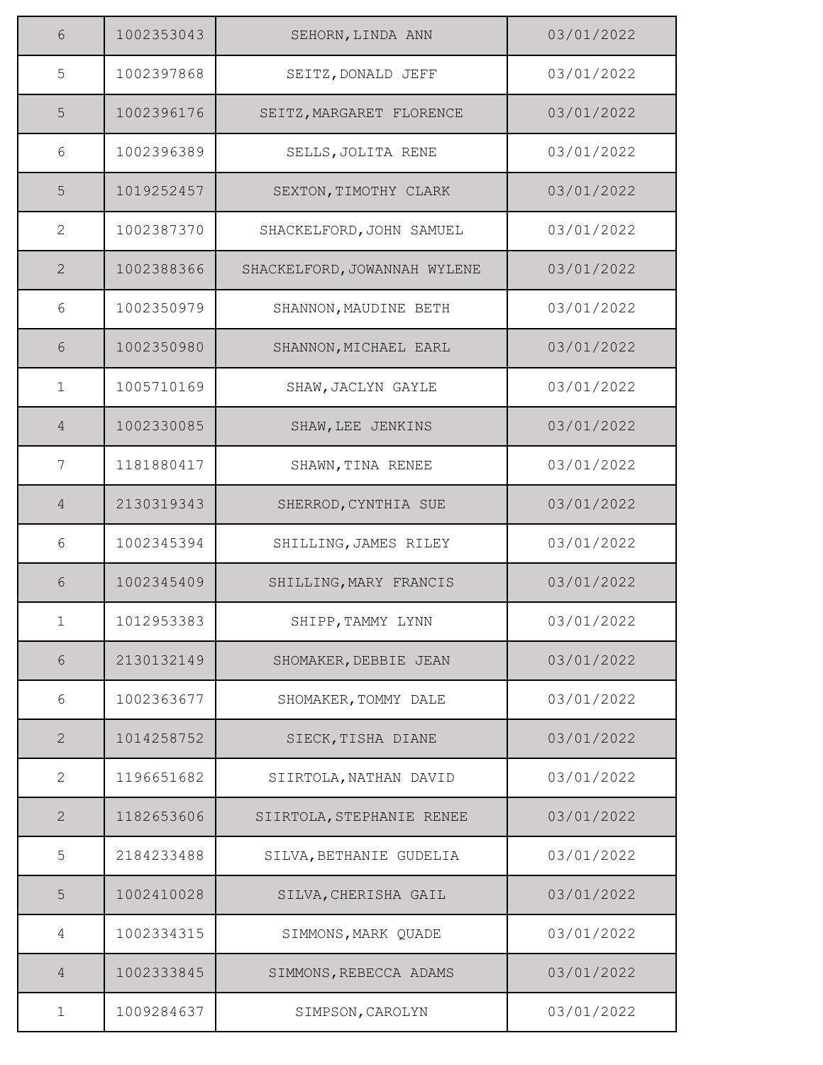| 6              | 1002353043 | SEHORN, LINDA ANN            | 03/01/2022 |
|----------------|------------|------------------------------|------------|
| 5              | 1002397868 | SEITZ, DONALD JEFF           | 03/01/2022 |
| 5              | 1002396176 | SEITZ, MARGARET FLORENCE     | 03/01/2022 |
| 6              | 1002396389 | SELLS, JOLITA RENE           | 03/01/2022 |
| 5              | 1019252457 | SEXTON, TIMOTHY CLARK        | 03/01/2022 |
| $\mathbf{2}$   | 1002387370 | SHACKELFORD, JOHN SAMUEL     | 03/01/2022 |
| $\mathbf{2}$   | 1002388366 | SHACKELFORD, JOWANNAH WYLENE | 03/01/2022 |
| 6              | 1002350979 | SHANNON, MAUDINE BETH        | 03/01/2022 |
| 6              | 1002350980 | SHANNON, MICHAEL EARL        | 03/01/2022 |
| $\mathbf{1}$   | 1005710169 | SHAW, JACLYN GAYLE           | 03/01/2022 |
| $\overline{4}$ | 1002330085 | SHAW, LEE JENKINS            | 03/01/2022 |
| 7              | 1181880417 | SHAWN, TINA RENEE            | 03/01/2022 |
| $\overline{4}$ | 2130319343 | SHERROD, CYNTHIA SUE         | 03/01/2022 |
| 6              | 1002345394 | SHILLING, JAMES RILEY        | 03/01/2022 |
| 6              | 1002345409 | SHILLING, MARY FRANCIS       | 03/01/2022 |
| $\mathbf{1}$   | 1012953383 | SHIPP, TAMMY LYNN            | 03/01/2022 |
| 6              | 2130132149 | SHOMAKER, DEBBIE JEAN        | 03/01/2022 |
| 6              | 1002363677 | SHOMAKER, TOMMY DALE         | 03/01/2022 |
| $\mathbf{2}$   | 1014258752 | SIECK, TISHA DIANE           | 03/01/2022 |
| $\mathbf{2}$   | 1196651682 | SIIRTOLA, NATHAN DAVID       | 03/01/2022 |
| $\overline{2}$ | 1182653606 | SIIRTOLA, STEPHANIE RENEE    | 03/01/2022 |
| 5              | 2184233488 | SILVA, BETHANIE GUDELIA      | 03/01/2022 |
| 5              | 1002410028 | SILVA, CHERISHA GAIL         | 03/01/2022 |
| 4              | 1002334315 | SIMMONS, MARK QUADE          | 03/01/2022 |
| $\overline{4}$ | 1002333845 | SIMMONS, REBECCA ADAMS       | 03/01/2022 |
| $\mathbf 1$    | 1009284637 | SIMPSON, CAROLYN             | 03/01/2022 |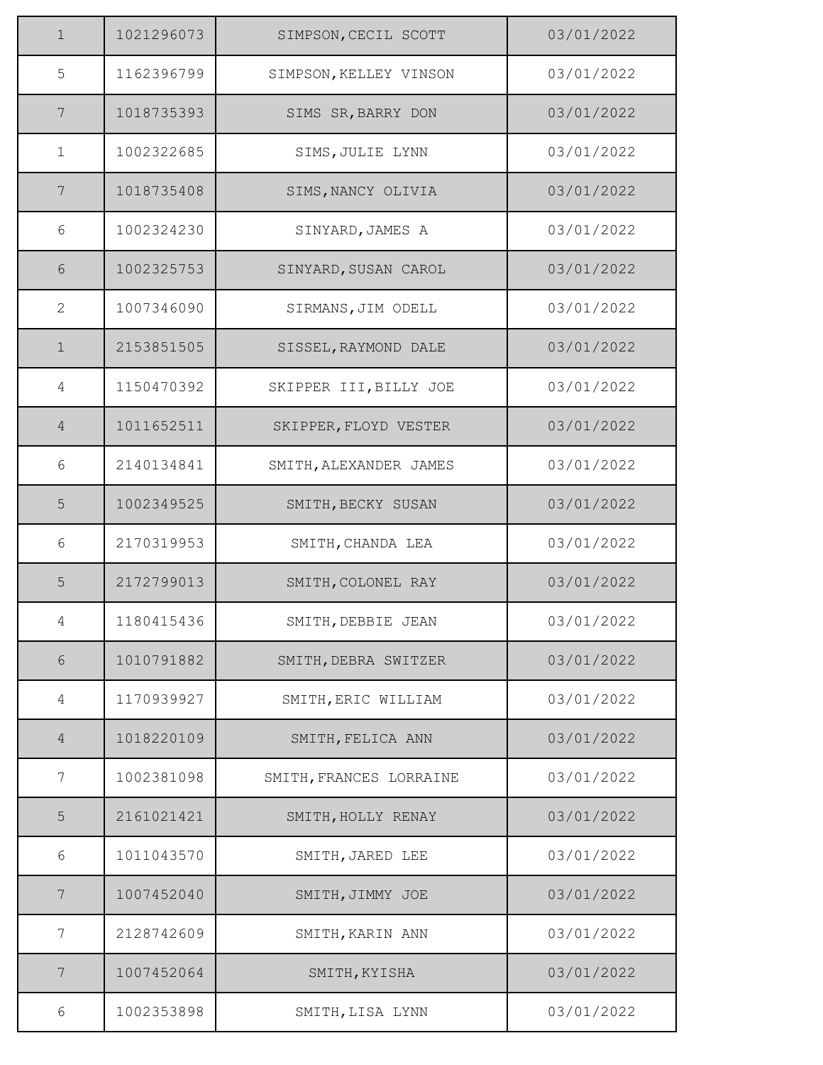| $\mathbf 1$    | 1021296073 | SIMPSON, CECIL SCOTT    | 03/01/2022 |
|----------------|------------|-------------------------|------------|
| 5              | 1162396799 | SIMPSON, KELLEY VINSON  | 03/01/2022 |
| 7              | 1018735393 | SIMS SR, BARRY DON      | 03/01/2022 |
| $\mathbf{1}$   | 1002322685 | SIMS, JULIE LYNN        | 03/01/2022 |
| 7              | 1018735408 | SIMS, NANCY OLIVIA      | 03/01/2022 |
| 6              | 1002324230 | SINYARD, JAMES A        | 03/01/2022 |
| 6              | 1002325753 | SINYARD, SUSAN CAROL    | 03/01/2022 |
| 2              | 1007346090 | SIRMANS, JIM ODELL      | 03/01/2022 |
| $\mathbf 1$    | 2153851505 | SISSEL, RAYMOND DALE    | 03/01/2022 |
| 4              | 1150470392 | SKIPPER III, BILLY JOE  | 03/01/2022 |
| $\overline{4}$ | 1011652511 | SKIPPER, FLOYD VESTER   | 03/01/2022 |
| 6              | 2140134841 | SMITH, ALEXANDER JAMES  | 03/01/2022 |
| 5              | 1002349525 | SMITH, BECKY SUSAN      | 03/01/2022 |
| 6              | 2170319953 | SMITH, CHANDA LEA       | 03/01/2022 |
| 5              | 2172799013 | SMITH, COLONEL RAY      | 03/01/2022 |
| 4              | 1180415436 | SMITH, DEBBIE JEAN      | 03/01/2022 |
| $6\,$          | 1010791882 | SMITH, DEBRA SWITZER    | 03/01/2022 |
| 4              | 1170939927 | SMITH, ERIC WILLIAM     | 03/01/2022 |
| $\overline{4}$ | 1018220109 | SMITH, FELICA ANN       | 03/01/2022 |
| 7              | 1002381098 | SMITH, FRANCES LORRAINE | 03/01/2022 |
| 5              | 2161021421 | SMITH, HOLLY RENAY      | 03/01/2022 |
| 6              | 1011043570 | SMITH, JARED LEE        | 03/01/2022 |
| 7              | 1007452040 | SMITH, JIMMY JOE        | 03/01/2022 |
| 7              | 2128742609 | SMITH, KARIN ANN        | 03/01/2022 |
| 7              | 1007452064 | SMITH, KYISHA           | 03/01/2022 |
| 6              | 1002353898 | SMITH, LISA LYNN        | 03/01/2022 |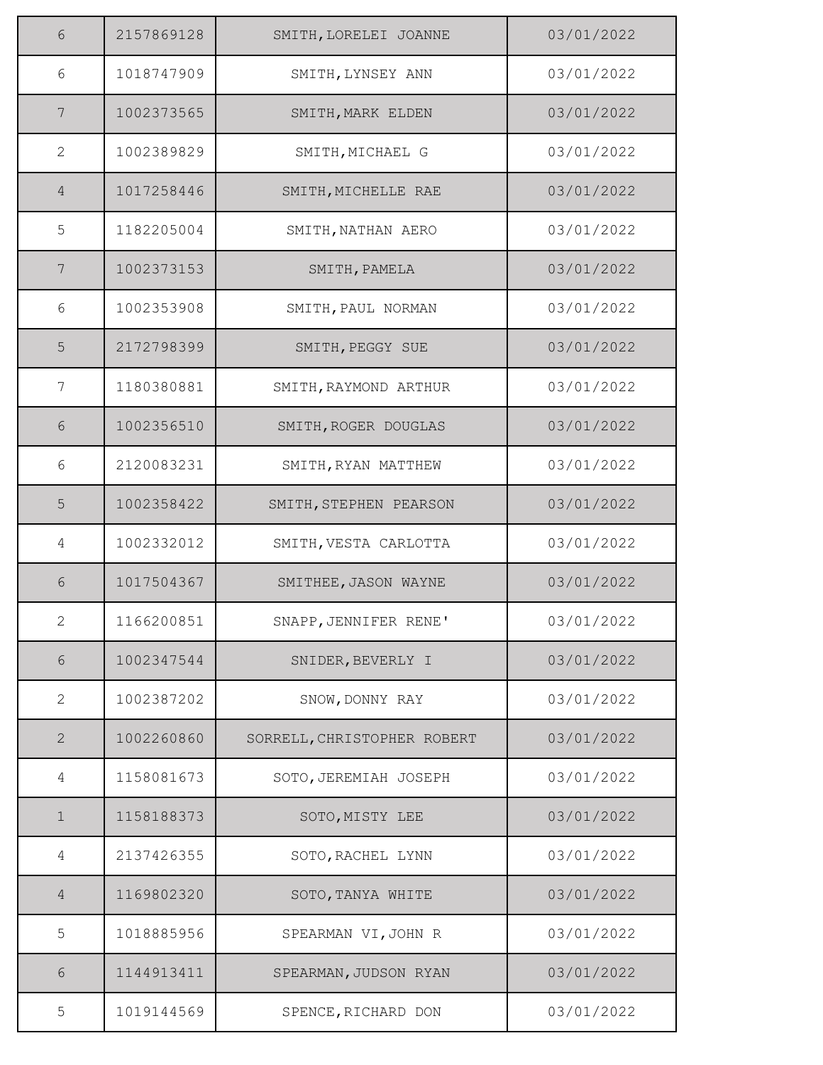| 6               | 2157869128 | SMITH, LORELEI JOANNE       | 03/01/2022 |
|-----------------|------------|-----------------------------|------------|
| 6               | 1018747909 | SMITH, LYNSEY ANN           | 03/01/2022 |
| 7               | 1002373565 | SMITH, MARK ELDEN           | 03/01/2022 |
| 2               | 1002389829 | SMITH, MICHAEL G            | 03/01/2022 |
| $\overline{4}$  | 1017258446 | SMITH, MICHELLE RAE         | 03/01/2022 |
| 5               | 1182205004 | SMITH, NATHAN AERO          | 03/01/2022 |
| $7\phantom{.0}$ | 1002373153 | SMITH, PAMELA               | 03/01/2022 |
| 6               | 1002353908 | SMITH, PAUL NORMAN          | 03/01/2022 |
| 5               | 2172798399 | SMITH, PEGGY SUE            | 03/01/2022 |
| 7               | 1180380881 | SMITH, RAYMOND ARTHUR       | 03/01/2022 |
| $6\,$           | 1002356510 | SMITH, ROGER DOUGLAS        | 03/01/2022 |
| 6               | 2120083231 | SMITH, RYAN MATTHEW         | 03/01/2022 |
| 5               | 1002358422 | SMITH, STEPHEN PEARSON      | 03/01/2022 |
| 4               | 1002332012 | SMITH, VESTA CARLOTTA       | 03/01/2022 |
| 6               | 1017504367 | SMITHEE, JASON WAYNE        | 03/01/2022 |
| $\mathbf{2}$    | 1166200851 | SNAPP, JENNIFER RENE'       | 03/01/2022 |
| $6\,$           | 1002347544 | SNIDER, BEVERLY I           | 03/01/2022 |
| $\mathbf{2}$    | 1002387202 | SNOW, DONNY RAY             | 03/01/2022 |
| $\mathbf{2}$    | 1002260860 | SORRELL, CHRISTOPHER ROBERT | 03/01/2022 |
| 4               | 1158081673 | SOTO, JEREMIAH JOSEPH       | 03/01/2022 |
| $\mathbf 1$     | 1158188373 | SOTO, MISTY LEE             | 03/01/2022 |
| 4               | 2137426355 | SOTO, RACHEL LYNN           | 03/01/2022 |
| $\overline{4}$  | 1169802320 | SOTO, TANYA WHITE           | 03/01/2022 |
| 5               | 1018885956 | SPEARMAN VI, JOHN R         | 03/01/2022 |
| 6               | 1144913411 | SPEARMAN, JUDSON RYAN       | 03/01/2022 |
| 5               | 1019144569 | SPENCE, RICHARD DON         | 03/01/2022 |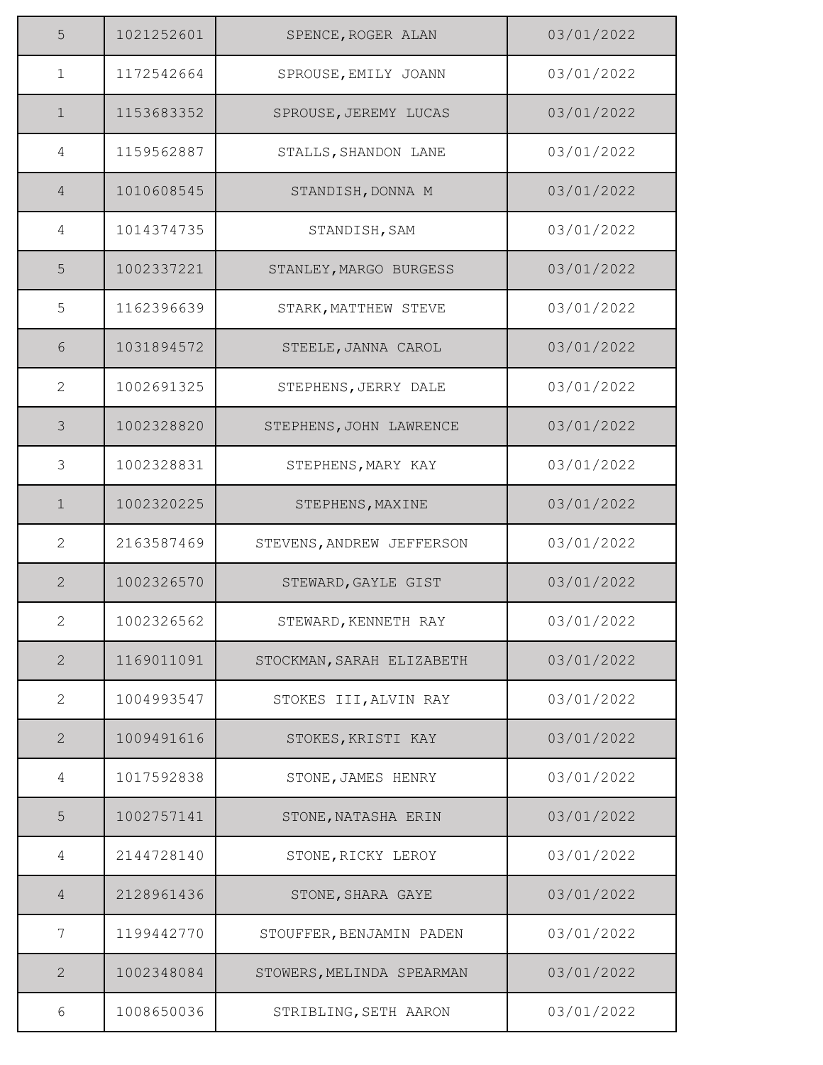| 5              | 1021252601 | SPENCE, ROGER ALAN        | 03/01/2022 |
|----------------|------------|---------------------------|------------|
| $\mathbf 1$    | 1172542664 | SPROUSE, EMILY JOANN      | 03/01/2022 |
| $\mathbf 1$    | 1153683352 | SPROUSE, JEREMY LUCAS     | 03/01/2022 |
| 4              | 1159562887 | STALLS, SHANDON LANE      | 03/01/2022 |
| $\overline{4}$ | 1010608545 | STANDISH, DONNA M         | 03/01/2022 |
| 4              | 1014374735 | STANDISH, SAM             | 03/01/2022 |
| 5              | 1002337221 | STANLEY, MARGO BURGESS    | 03/01/2022 |
| 5              | 1162396639 | STARK, MATTHEW STEVE      | 03/01/2022 |
| 6              | 1031894572 | STEELE, JANNA CAROL       | 03/01/2022 |
| $\mathbf{2}$   | 1002691325 | STEPHENS, JERRY DALE      | 03/01/2022 |
| 3              | 1002328820 | STEPHENS, JOHN LAWRENCE   | 03/01/2022 |
| $\mathfrak{Z}$ | 1002328831 | STEPHENS, MARY KAY        | 03/01/2022 |
| $\mathbf 1$    | 1002320225 | STEPHENS, MAXINE          | 03/01/2022 |
| $\overline{2}$ | 2163587469 | STEVENS, ANDREW JEFFERSON | 03/01/2022 |
| $\overline{2}$ | 1002326570 | STEWARD, GAYLE GIST       | 03/01/2022 |
| 2              | 1002326562 | STEWARD, KENNETH RAY      | 03/01/2022 |
| $\mathbf{2}$   | 1169011091 | STOCKMAN, SARAH ELIZABETH | 03/01/2022 |
| $\mathbf{2}$   | 1004993547 | STOKES III, ALVIN RAY     | 03/01/2022 |
| $\mathbf{2}$   | 1009491616 | STOKES, KRISTI KAY        | 03/01/2022 |
| 4              | 1017592838 | STONE, JAMES HENRY        | 03/01/2022 |
| 5              | 1002757141 | STONE, NATASHA ERIN       | 03/01/2022 |
| 4              | 2144728140 | STONE, RICKY LEROY        | 03/01/2022 |
| $\overline{4}$ | 2128961436 | STONE, SHARA GAYE         | 03/01/2022 |
| 7              | 1199442770 | STOUFFER, BENJAMIN PADEN  | 03/01/2022 |
| 2              | 1002348084 | STOWERS, MELINDA SPEARMAN | 03/01/2022 |
| 6              | 1008650036 | STRIBLING, SETH AARON     | 03/01/2022 |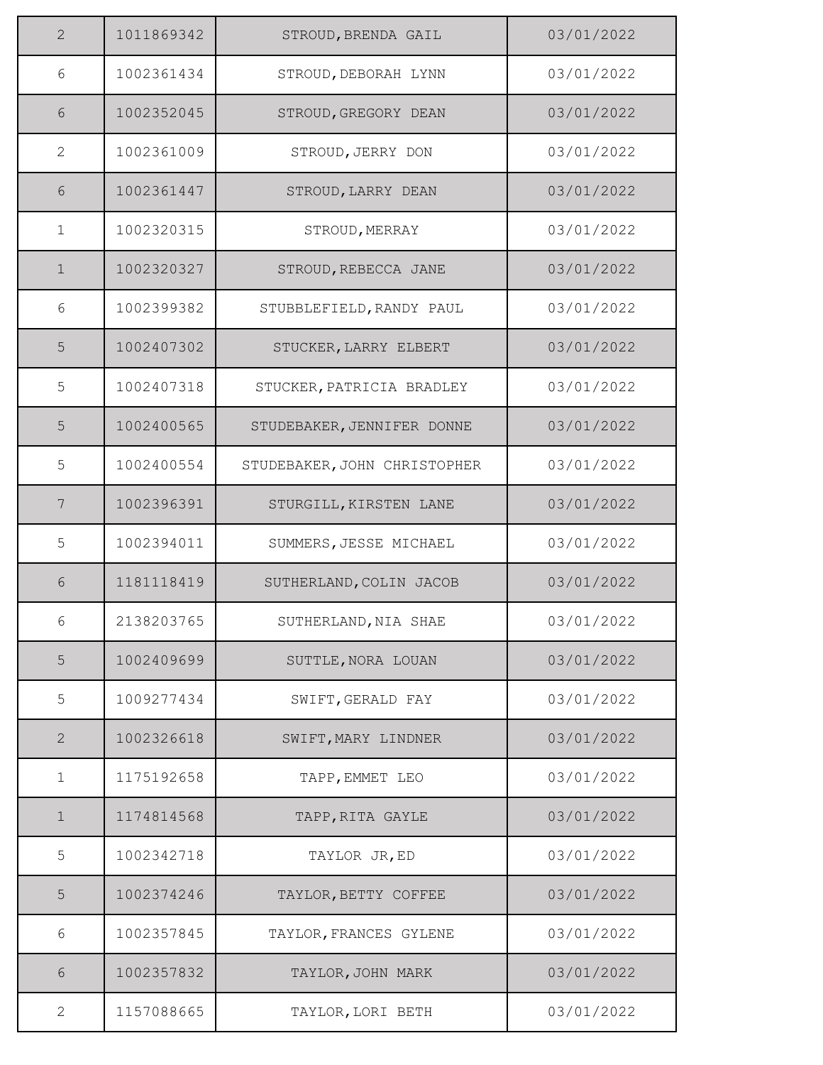| 2            | 1011869342 | STROUD, BRENDA GAIL          | 03/01/2022 |
|--------------|------------|------------------------------|------------|
| 6            | 1002361434 | STROUD, DEBORAH LYNN         | 03/01/2022 |
| 6            | 1002352045 | STROUD, GREGORY DEAN         | 03/01/2022 |
| $\mathbf{2}$ | 1002361009 | STROUD, JERRY DON            | 03/01/2022 |
| 6            | 1002361447 | STROUD, LARRY DEAN           | 03/01/2022 |
| $\mathbf{1}$ | 1002320315 | STROUD, MERRAY               | 03/01/2022 |
| $\mathbf 1$  | 1002320327 | STROUD, REBECCA JANE         | 03/01/2022 |
| 6            | 1002399382 | STUBBLEFIELD, RANDY PAUL     | 03/01/2022 |
| 5            | 1002407302 | STUCKER, LARRY ELBERT        | 03/01/2022 |
| 5            | 1002407318 | STUCKER, PATRICIA BRADLEY    | 03/01/2022 |
| 5            | 1002400565 | STUDEBAKER, JENNIFER DONNE   | 03/01/2022 |
| 5            | 1002400554 | STUDEBAKER, JOHN CHRISTOPHER | 03/01/2022 |
| 7            | 1002396391 | STURGILL, KIRSTEN LANE       | 03/01/2022 |
| 5            | 1002394011 | SUMMERS, JESSE MICHAEL       | 03/01/2022 |
| 6            | 1181118419 | SUTHERLAND, COLIN JACOB      | 03/01/2022 |
| 6            | 2138203765 | SUTHERLAND, NIA SHAE         | 03/01/2022 |
| 5            | 1002409699 | SUTTLE, NORA LOUAN           | 03/01/2022 |
| 5            | 1009277434 | SWIFT, GERALD FAY            | 03/01/2022 |
| $\mathbf{2}$ | 1002326618 | SWIFT, MARY LINDNER          | 03/01/2022 |
| $\mathbf{1}$ | 1175192658 | TAPP, EMMET LEO              | 03/01/2022 |
| $\mathbf{1}$ | 1174814568 | TAPP, RITA GAYLE             | 03/01/2022 |
| 5            | 1002342718 | TAYLOR JR, ED                | 03/01/2022 |
| 5            | 1002374246 | TAYLOR, BETTY COFFEE         | 03/01/2022 |
| 6            | 1002357845 | TAYLOR, FRANCES GYLENE       | 03/01/2022 |
| 6            | 1002357832 | TAYLOR, JOHN MARK            | 03/01/2022 |
| $\mathbf{2}$ | 1157088665 | TAYLOR, LORI BETH            | 03/01/2022 |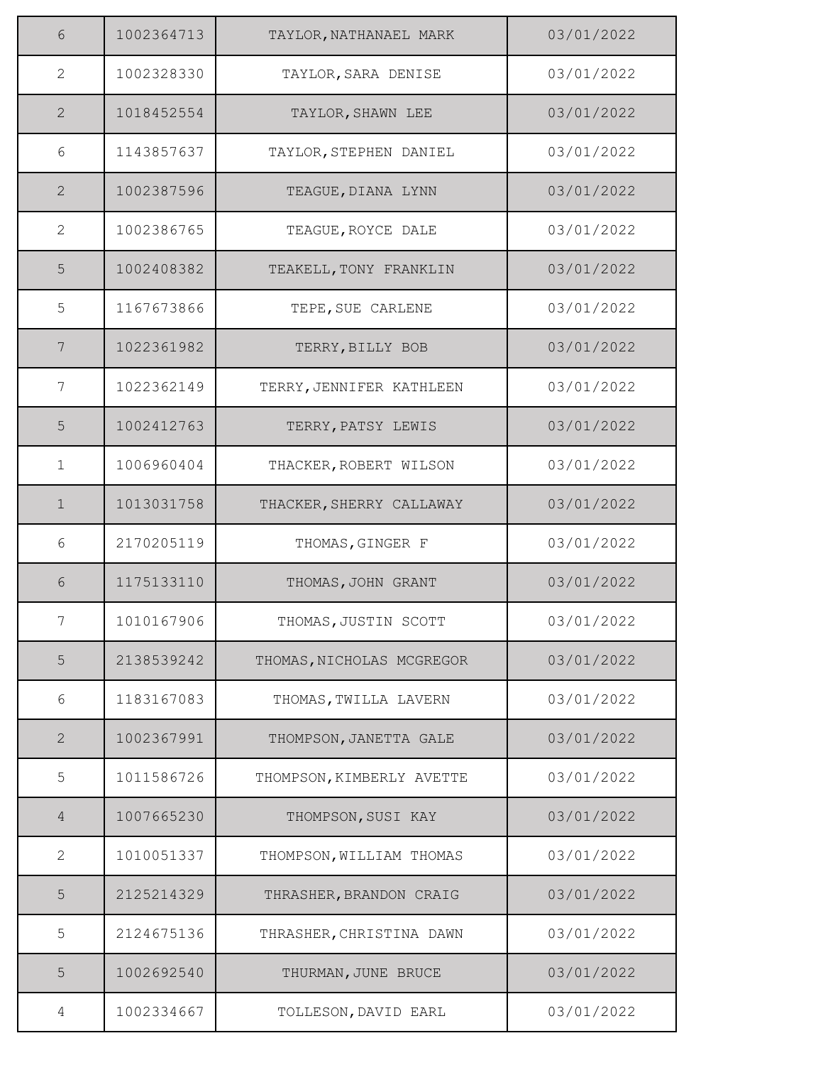| 6              | 1002364713 | TAYLOR, NATHANAEL MARK    | 03/01/2022 |
|----------------|------------|---------------------------|------------|
| $\mathbf{2}$   | 1002328330 | TAYLOR, SARA DENISE       | 03/01/2022 |
| $\mathbf{2}$   | 1018452554 | TAYLOR, SHAWN LEE         | 03/01/2022 |
| 6              | 1143857637 | TAYLOR, STEPHEN DANIEL    | 03/01/2022 |
| $\mathbf{2}$   | 1002387596 | TEAGUE, DIANA LYNN        | 03/01/2022 |
| $\mathbf{2}$   | 1002386765 | TEAGUE, ROYCE DALE        | 03/01/2022 |
| 5              | 1002408382 | TEAKELL, TONY FRANKLIN    | 03/01/2022 |
| 5              | 1167673866 | TEPE, SUE CARLENE         | 03/01/2022 |
| $\overline{7}$ | 1022361982 | TERRY, BILLY BOB          | 03/01/2022 |
| 7              | 1022362149 | TERRY, JENNIFER KATHLEEN  | 03/01/2022 |
| 5              | 1002412763 | TERRY, PATSY LEWIS        | 03/01/2022 |
| $\mathbf{1}$   | 1006960404 | THACKER, ROBERT WILSON    | 03/01/2022 |
| $\mathbf 1$    | 1013031758 | THACKER, SHERRY CALLAWAY  | 03/01/2022 |
| 6              | 2170205119 | THOMAS, GINGER F          | 03/01/2022 |
| 6              | 1175133110 | THOMAS, JOHN GRANT        | 03/01/2022 |
| 7              | 1010167906 | THOMAS, JUSTIN SCOTT      | 03/01/2022 |
| 5              | 2138539242 | THOMAS, NICHOLAS MCGREGOR | 03/01/2022 |
| 6              | 1183167083 | THOMAS, TWILLA LAVERN     | 03/01/2022 |
| $\mathbf{2}$   | 1002367991 | THOMPSON, JANETTA GALE    | 03/01/2022 |
| 5              | 1011586726 | THOMPSON, KIMBERLY AVETTE | 03/01/2022 |
| 4              | 1007665230 | THOMPSON, SUSI KAY        | 03/01/2022 |
| $\mathbf{2}$   | 1010051337 | THOMPSON, WILLIAM THOMAS  | 03/01/2022 |
| 5              | 2125214329 | THRASHER, BRANDON CRAIG   | 03/01/2022 |
| 5              | 2124675136 | THRASHER, CHRISTINA DAWN  | 03/01/2022 |
| 5              | 1002692540 | THURMAN, JUNE BRUCE       | 03/01/2022 |
| 4              | 1002334667 | TOLLESON, DAVID EARL      | 03/01/2022 |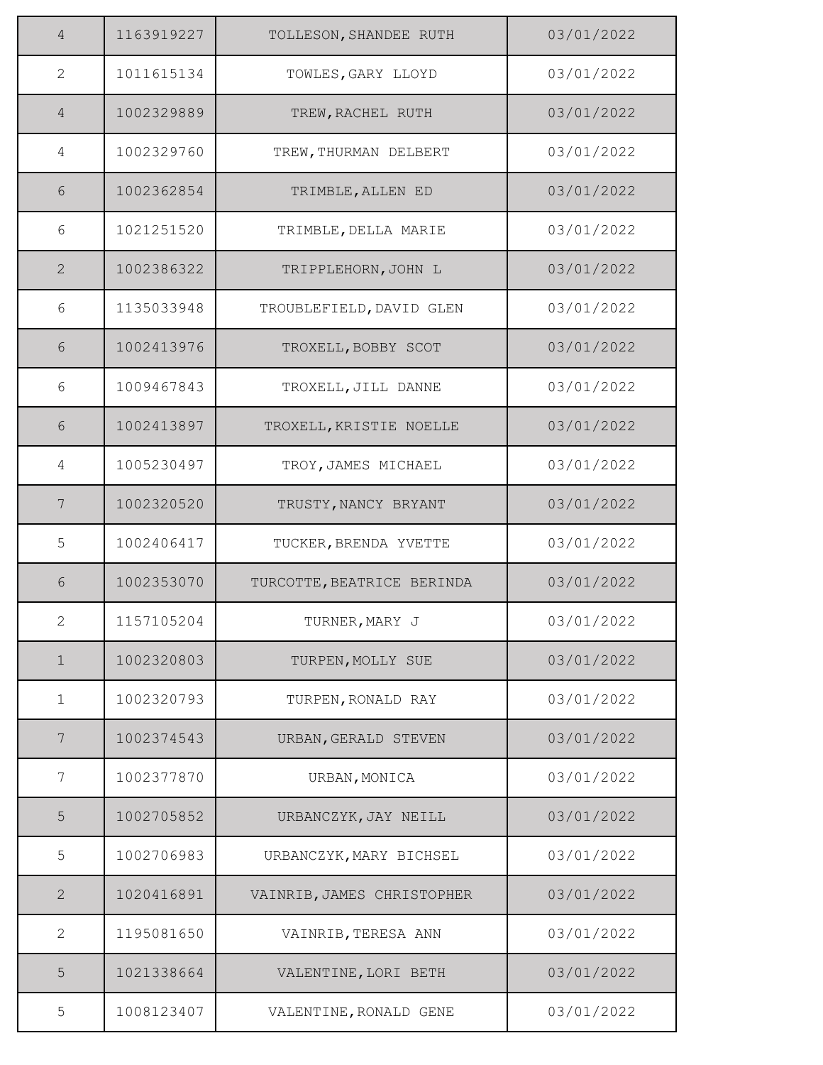| $\overline{4}$ | 1163919227 | TOLLESON, SHANDEE RUTH     | 03/01/2022 |
|----------------|------------|----------------------------|------------|
| $\overline{2}$ | 1011615134 | TOWLES, GARY LLOYD         | 03/01/2022 |
| 4              | 1002329889 | TREW, RACHEL RUTH          | 03/01/2022 |
| 4              | 1002329760 | TREW, THURMAN DELBERT      | 03/01/2022 |
| 6              | 1002362854 | TRIMBLE, ALLEN ED          | 03/01/2022 |
| 6              | 1021251520 | TRIMBLE, DELLA MARIE       | 03/01/2022 |
| 2              | 1002386322 | TRIPPLEHORN, JOHN L        | 03/01/2022 |
| 6              | 1135033948 | TROUBLEFIELD, DAVID GLEN   | 03/01/2022 |
| 6              | 1002413976 | TROXELL, BOBBY SCOT        | 03/01/2022 |
| 6              | 1009467843 | TROXELL, JILL DANNE        | 03/01/2022 |
| 6              | 1002413897 | TROXELL, KRISTIE NOELLE    | 03/01/2022 |
| 4              | 1005230497 | TROY, JAMES MICHAEL        | 03/01/2022 |
| 7              | 1002320520 | TRUSTY, NANCY BRYANT       | 03/01/2022 |
| 5              | 1002406417 | TUCKER, BRENDA YVETTE      | 03/01/2022 |
| 6              | 1002353070 | TURCOTTE, BEATRICE BERINDA | 03/01/2022 |
| 2              | 1157105204 | TURNER, MARY J             | 03/01/2022 |
| $\mathbf 1$    | 1002320803 | TURPEN, MOLLY SUE          | 03/01/2022 |
| $\mathbf{1}$   | 1002320793 | TURPEN, RONALD RAY         | 03/01/2022 |
| 7              | 1002374543 | URBAN, GERALD STEVEN       | 03/01/2022 |
| 7              | 1002377870 | URBAN, MONICA              | 03/01/2022 |
| 5              | 1002705852 | URBANCZYK, JAY NEILL       | 03/01/2022 |
| 5              | 1002706983 | URBANCZYK, MARY BICHSEL    | 03/01/2022 |
| $\mathbf{2}$   | 1020416891 | VAINRIB, JAMES CHRISTOPHER | 03/01/2022 |
| $\mathbf{2}$   | 1195081650 | VAINRIB, TERESA ANN        | 03/01/2022 |
| 5              | 1021338664 | VALENTINE, LORI BETH       | 03/01/2022 |
| 5              | 1008123407 | VALENTINE, RONALD GENE     | 03/01/2022 |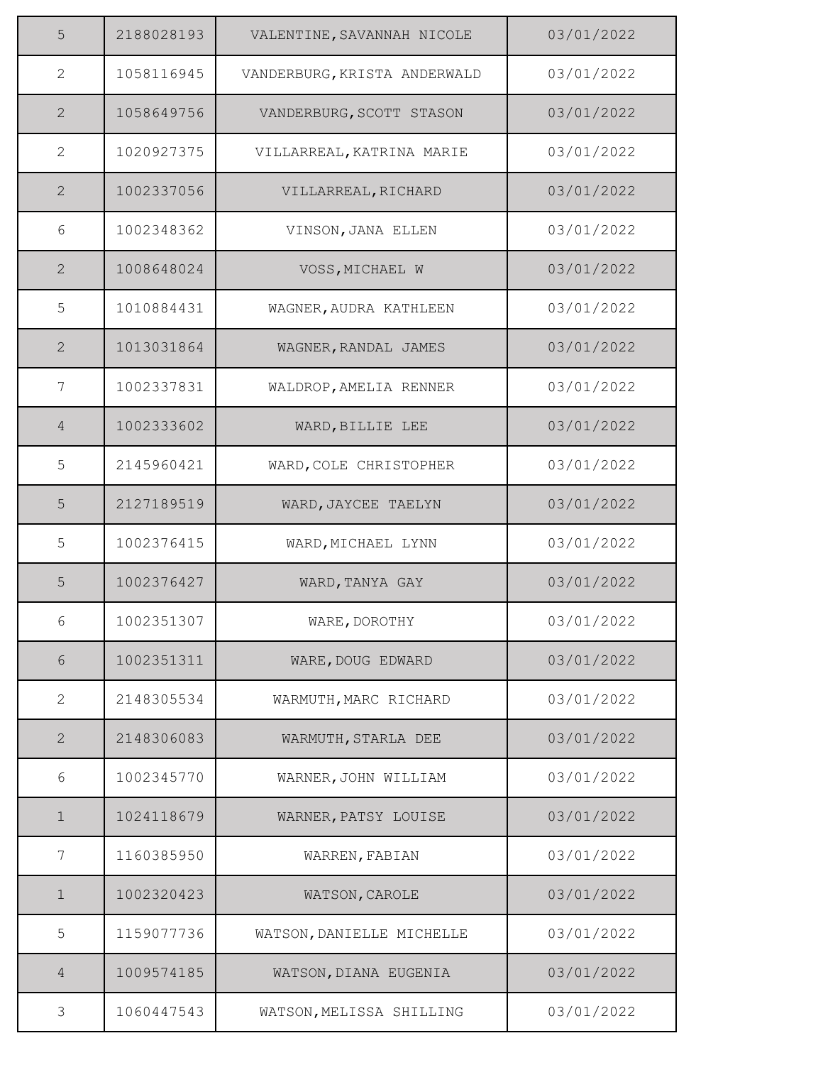| 5              | 2188028193 | VALENTINE, SAVANNAH NICOLE   | 03/01/2022 |
|----------------|------------|------------------------------|------------|
| $\mathbf{2}$   | 1058116945 | VANDERBURG, KRISTA ANDERWALD | 03/01/2022 |
| 2              | 1058649756 | VANDERBURG, SCOTT STASON     | 03/01/2022 |
| $\mathbf{2}$   | 1020927375 | VILLARREAL, KATRINA MARIE    | 03/01/2022 |
| 2              | 1002337056 | VILLARREAL, RICHARD          | 03/01/2022 |
| 6              | 1002348362 | VINSON, JANA ELLEN           | 03/01/2022 |
| 2              | 1008648024 | VOSS, MICHAEL W              | 03/01/2022 |
| 5              | 1010884431 | WAGNER, AUDRA KATHLEEN       | 03/01/2022 |
| $\overline{2}$ | 1013031864 | WAGNER, RANDAL JAMES         | 03/01/2022 |
| 7              | 1002337831 | WALDROP, AMELIA RENNER       | 03/01/2022 |
| $\overline{4}$ | 1002333602 | WARD, BILLIE LEE             | 03/01/2022 |
| 5              | 2145960421 | WARD, COLE CHRISTOPHER       | 03/01/2022 |
| 5              | 2127189519 | WARD, JAYCEE TAELYN          | 03/01/2022 |
| 5              | 1002376415 | WARD, MICHAEL LYNN           | 03/01/2022 |
| 5              | 1002376427 | WARD, TANYA GAY              | 03/01/2022 |
| 6              | 1002351307 | WARE, DOROTHY                | 03/01/2022 |
| $6\,$          | 1002351311 | WARE, DOUG EDWARD            | 03/01/2022 |
| $\mathbf{2}$   | 2148305534 | WARMUTH, MARC RICHARD        | 03/01/2022 |
| 2              | 2148306083 | WARMUTH, STARLA DEE          | 03/01/2022 |
| 6              | 1002345770 | WARNER, JOHN WILLIAM         | 03/01/2022 |
| $\mathbf{1}$   | 1024118679 | WARNER, PATSY LOUISE         | 03/01/2022 |
| 7              | 1160385950 | WARREN, FABIAN               | 03/01/2022 |
| $\mathbf 1$    | 1002320423 | WATSON, CAROLE               | 03/01/2022 |
| 5              | 1159077736 | WATSON, DANIELLE MICHELLE    | 03/01/2022 |
| $\overline{4}$ | 1009574185 | WATSON, DIANA EUGENIA        | 03/01/2022 |
| 3              | 1060447543 | WATSON, MELISSA SHILLING     | 03/01/2022 |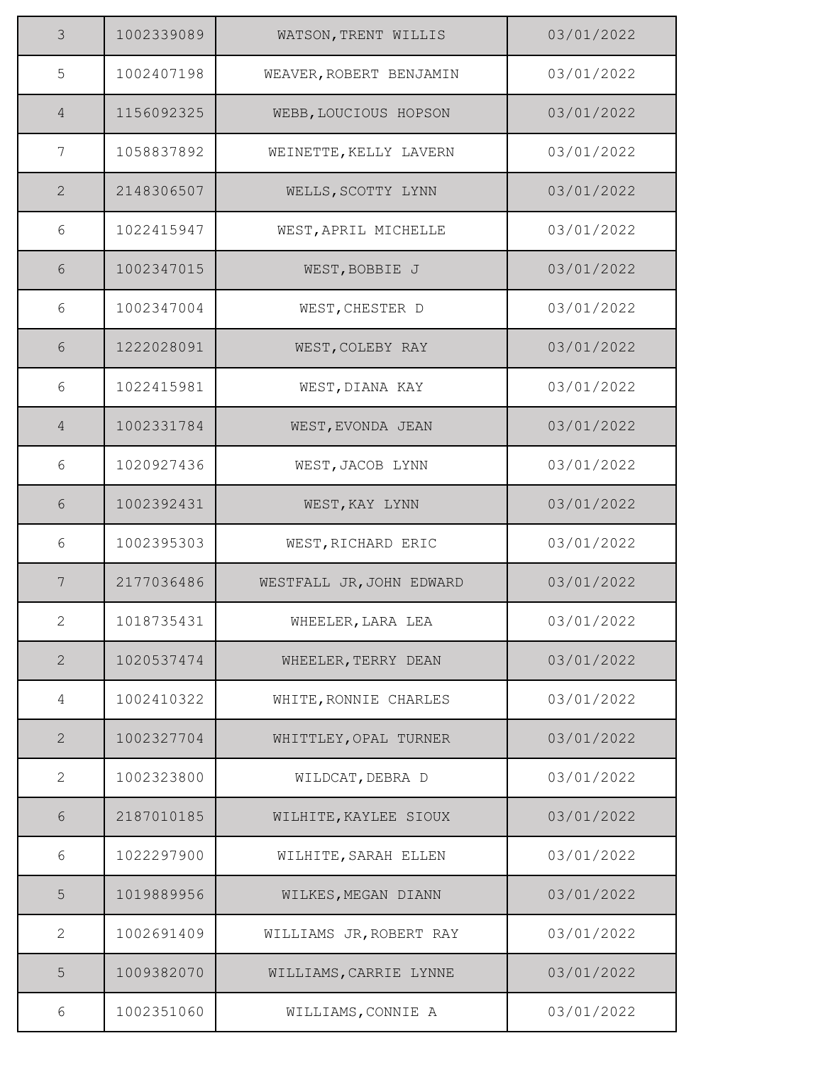| 3               | 1002339089 | WATSON, TRENT WILLIS     | 03/01/2022 |
|-----------------|------------|--------------------------|------------|
| 5               | 1002407198 | WEAVER, ROBERT BENJAMIN  | 03/01/2022 |
| $\overline{4}$  | 1156092325 | WEBB, LOUCIOUS HOPSON    | 03/01/2022 |
| 7               | 1058837892 | WEINETTE, KELLY LAVERN   | 03/01/2022 |
| $\mathbf{2}$    | 2148306507 | WELLS, SCOTTY LYNN       | 03/01/2022 |
| 6               | 1022415947 | WEST, APRIL MICHELLE     | 03/01/2022 |
| 6               | 1002347015 | WEST, BOBBIE J           | 03/01/2022 |
| 6               | 1002347004 | WEST, CHESTER D          | 03/01/2022 |
| 6               | 1222028091 | WEST, COLEBY RAY         | 03/01/2022 |
| 6               | 1022415981 | WEST, DIANA KAY          | 03/01/2022 |
| $\overline{4}$  | 1002331784 | WEST, EVONDA JEAN        | 03/01/2022 |
| 6               | 1020927436 | WEST, JACOB LYNN         | 03/01/2022 |
| 6               | 1002392431 | WEST, KAY LYNN           | 03/01/2022 |
| 6               | 1002395303 | WEST, RICHARD ERIC       | 03/01/2022 |
| $7\phantom{.0}$ | 2177036486 | WESTFALL JR, JOHN EDWARD | 03/01/2022 |
| $\mathbf{2}$    | 1018735431 | WHEELER, LARA LEA        | 03/01/2022 |
| 2               | 1020537474 | WHEELER, TERRY DEAN      | 03/01/2022 |
| 4               | 1002410322 | WHITE, RONNIE CHARLES    | 03/01/2022 |
| $\mathbf{2}$    | 1002327704 | WHITTLEY, OPAL TURNER    | 03/01/2022 |
| 2               | 1002323800 | WILDCAT, DEBRA D         | 03/01/2022 |
| 6               | 2187010185 | WILHITE, KAYLEE SIOUX    | 03/01/2022 |
| 6               | 1022297900 | WILHITE, SARAH ELLEN     | 03/01/2022 |
| 5               | 1019889956 | WILKES, MEGAN DIANN      | 03/01/2022 |
| $\mathbf{2}$    | 1002691409 | WILLIAMS JR, ROBERT RAY  | 03/01/2022 |
| 5               | 1009382070 | WILLIAMS, CARRIE LYNNE   | 03/01/2022 |
| 6               | 1002351060 | WILLIAMS, CONNIE A       | 03/01/2022 |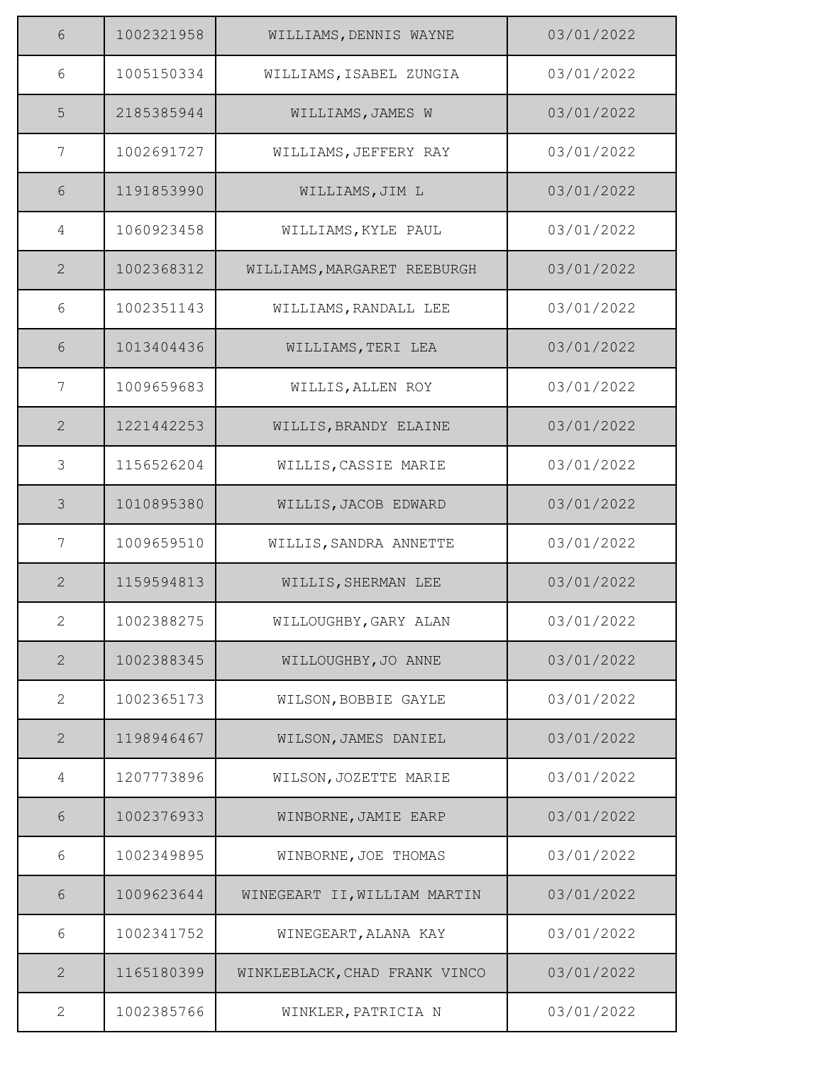| 6              | 1002321958 | WILLIAMS, DENNIS WAYNE        | 03/01/2022 |
|----------------|------------|-------------------------------|------------|
| 6              | 1005150334 | WILLIAMS, ISABEL ZUNGIA       | 03/01/2022 |
| 5              | 2185385944 | WILLIAMS, JAMES W             | 03/01/2022 |
| 7              | 1002691727 | WILLIAMS, JEFFERY RAY         | 03/01/2022 |
| 6              | 1191853990 | WILLIAMS, JIM L               | 03/01/2022 |
| 4              | 1060923458 | WILLIAMS, KYLE PAUL           | 03/01/2022 |
| $\overline{2}$ | 1002368312 | WILLIAMS, MARGARET REEBURGH   | 03/01/2022 |
| 6              | 1002351143 | WILLIAMS, RANDALL LEE         | 03/01/2022 |
| 6              | 1013404436 | WILLIAMS, TERI LEA            | 03/01/2022 |
| 7              | 1009659683 | WILLIS, ALLEN ROY             | 03/01/2022 |
| 2              | 1221442253 | WILLIS, BRANDY ELAINE         | 03/01/2022 |
| 3              | 1156526204 | WILLIS, CASSIE MARIE          | 03/01/2022 |
| 3              | 1010895380 | WILLIS, JACOB EDWARD          | 03/01/2022 |
| 7              | 1009659510 | WILLIS, SANDRA ANNETTE        | 03/01/2022 |
| $\overline{2}$ | 1159594813 | WILLIS, SHERMAN LEE           | 03/01/2022 |
| $\overline{2}$ | 1002388275 | WILLOUGHBY, GARY ALAN         | 03/01/2022 |
| $\mathbf{2}$   | 1002388345 | WILLOUGHBY, JO ANNE           | 03/01/2022 |
| $\overline{2}$ | 1002365173 | WILSON, BOBBIE GAYLE          | 03/01/2022 |
| 2              | 1198946467 | WILSON, JAMES DANIEL          | 03/01/2022 |
| 4              | 1207773896 | WILSON, JOZETTE MARIE         | 03/01/2022 |
| 6              | 1002376933 | WINBORNE, JAMIE EARP          | 03/01/2022 |
| 6              | 1002349895 | WINBORNE, JOE THOMAS          | 03/01/2022 |
| 6              | 1009623644 | WINEGEART II, WILLIAM MARTIN  | 03/01/2022 |
| 6              | 1002341752 | WINEGEART, ALANA KAY          | 03/01/2022 |
| $\mathbf{2}$   | 1165180399 | WINKLEBLACK, CHAD FRANK VINCO | 03/01/2022 |
| $\mathbf{2}$   | 1002385766 | WINKLER, PATRICIA N           | 03/01/2022 |